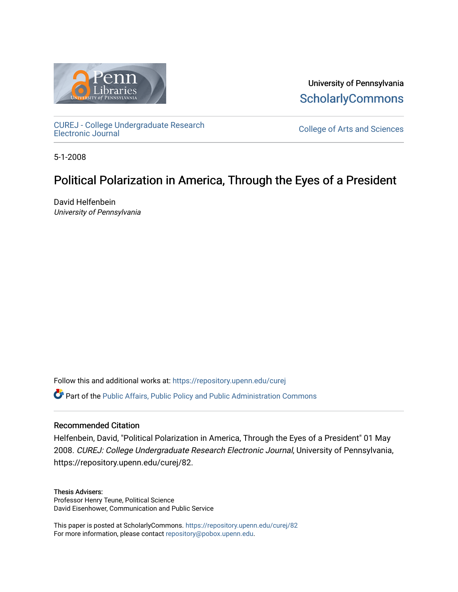

University of Pennsylvania **ScholarlyCommons** 

[CUREJ - College Undergraduate Research](https://repository.upenn.edu/curej) 

College of Arts and Sciences

5-1-2008

## Political Polarization in America, Through the Eyes of a President

David Helfenbein University of Pennsylvania

Follow this and additional works at: [https://repository.upenn.edu/curej](https://repository.upenn.edu/curej?utm_source=repository.upenn.edu%2Fcurej%2F82&utm_medium=PDF&utm_campaign=PDFCoverPages)

Part of the [Public Affairs, Public Policy and Public Administration Commons](http://network.bepress.com/hgg/discipline/393?utm_source=repository.upenn.edu%2Fcurej%2F82&utm_medium=PDF&utm_campaign=PDFCoverPages) 

## Recommended Citation

Helfenbein, David, "Political Polarization in America, Through the Eyes of a President" 01 May 2008. CUREJ: College Undergraduate Research Electronic Journal, University of Pennsylvania, https://repository.upenn.edu/curej/82.

#### Thesis Advisers:

Professor Henry Teune, Political Science David Eisenhower, Communication and Public Service

This paper is posted at ScholarlyCommons.<https://repository.upenn.edu/curej/82> For more information, please contact [repository@pobox.upenn.edu.](mailto:repository@pobox.upenn.edu)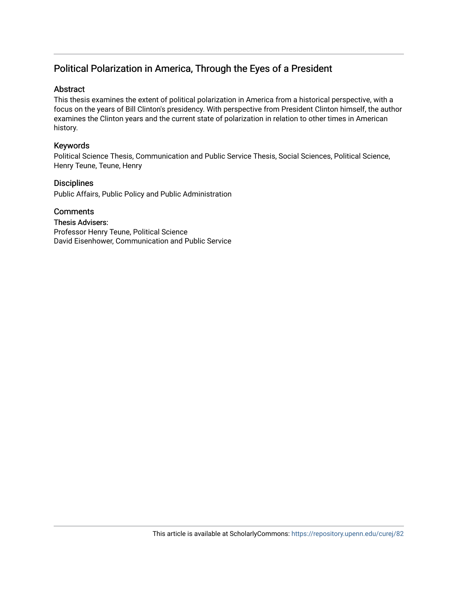## Political Polarization in America, Through the Eyes of a President

## Abstract

This thesis examines the extent of political polarization in America from a historical perspective, with a focus on the years of Bill Clinton's presidency. With perspective from President Clinton himself, the author examines the Clinton years and the current state of polarization in relation to other times in American history.

## Keywords

Political Science Thesis, Communication and Public Service Thesis, Social Sciences, Political Science, Henry Teune, Teune, Henry

## **Disciplines**

Public Affairs, Public Policy and Public Administration

**Comments** 

Thesis Advisers: Professor Henry Teune, Political Science David Eisenhower, Communication and Public Service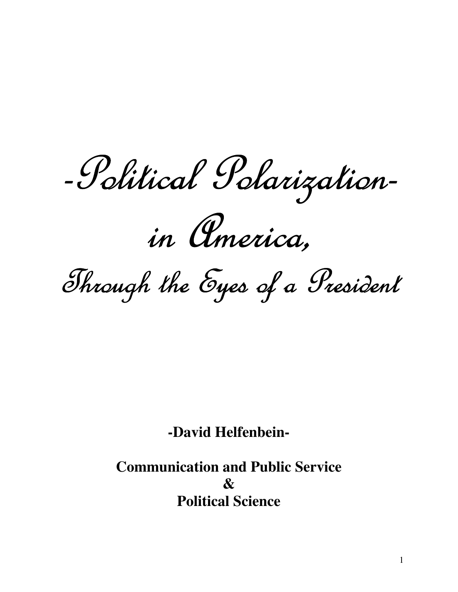-Political Polarization-

in America.

Through the Eyes of a President

**-David Helfenbein-**

**Communication and Public Service**   $\boldsymbol{\mathcal{R}}$ **Political Science**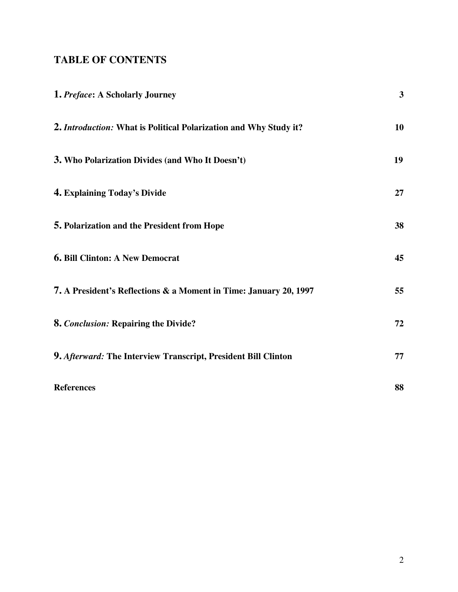## **TABLE OF CONTENTS**

| 1. Preface: A Scholarly Journey                                   | $\overline{3}$ |
|-------------------------------------------------------------------|----------------|
| 2. Introduction: What is Political Polarization and Why Study it? | 10             |
| 3. Who Polarization Divides (and Who It Doesn't)                  | 19             |
| 4. Explaining Today's Divide                                      | 27             |
| 5. Polarization and the President from Hope                       | 38             |
| <b>6. Bill Clinton: A New Democrat</b>                            | 45             |
| 7. A President's Reflections & a Moment in Time: January 20, 1997 | 55             |
| 8. Conclusion: Repairing the Divide?                              | 72             |
| 9. Afterward: The Interview Transcript, President Bill Clinton    | 77             |
| <b>References</b>                                                 | 88             |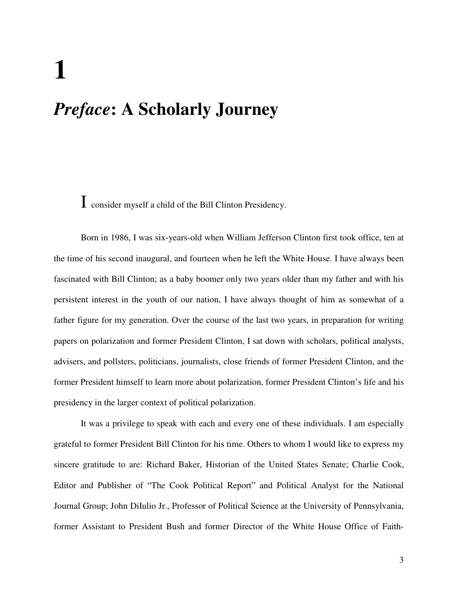# **1**

## *Preface***: A Scholarly Journey**

I consider myself a child of the Bill Clinton Presidency.

Born in 1986, I was six-years-old when William Jefferson Clinton first took office, ten at the time of his second inaugural, and fourteen when he left the White House. I have always been fascinated with Bill Clinton; as a baby boomer only two years older than my father and with his persistent interest in the youth of our nation, I have always thought of him as somewhat of a father figure for my generation. Over the course of the last two years, in preparation for writing papers on polarization and former President Clinton, I sat down with scholars, political analysts, advisers, and pollsters, politicians, journalists, close friends of former President Clinton, and the former President himself to learn more about polarization, former President Clinton's life and his presidency in the larger context of political polarization.

It was a privilege to speak with each and every one of these individuals. I am especially grateful to former President Bill Clinton for his time. Others to whom I would like to express my sincere gratitude to are: Richard Baker, Historian of the United States Senate; Charlie Cook, Editor and Publisher of "The Cook Political Report" and Political Analyst for the National Journal Group; John DiIulio Jr., Professor of Political Science at the University of Pennsylvania, former Assistant to President Bush and former Director of the White House Office of Faith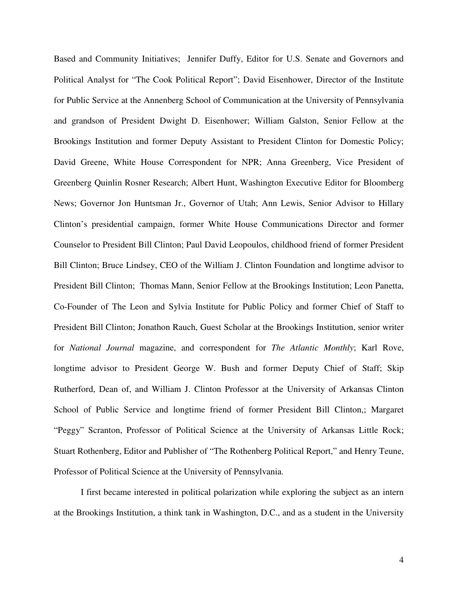Based and Community Initiatives; Jennifer Duffy, Editor for U.S. Senate and Governors and Political Analyst for "The Cook Political Report"; David Eisenhower, Director of the Institute for Public Service at the Annenberg School of Communication at the University of Pennsylvania and grandson of President Dwight D. Eisenhower; William Galston, Senior Fellow at the Brookings Institution and former Deputy Assistant to President Clinton for Domestic Policy; David Greene, White House Correspondent for NPR; Anna Greenberg, Vice President of Greenberg Quinlin Rosner Research; Albert Hunt, Washington Executive Editor for Bloomberg News; Governor Jon Huntsman Jr., Governor of Utah; Ann Lewis, Senior Advisor to Hillary Clinton's presidential campaign, former White House Communications Director and former Counselor to President Bill Clinton; Paul David Leopoulos, childhood friend of former President Bill Clinton; Bruce Lindsey, CEO of the William J. Clinton Foundation and longtime advisor to President Bill Clinton; Thomas Mann, Senior Fellow at the Brookings Institution; Leon Panetta, Co-Founder of The Leon and Sylvia Institute for Public Policy and former Chief of Staff to President Bill Clinton; Jonathon Rauch, Guest Scholar at the Brookings Institution, senior writer for *National Journal* magazine, and correspondent for *The Atlantic Monthly*; Karl Rove, longtime advisor to President George W. Bush and former Deputy Chief of Staff; Skip Rutherford, Dean of, and William J. Clinton Professor at the University of Arkansas Clinton School of Public Service and longtime friend of former President Bill Clinton,; Margaret "Peggy" Scranton, Professor of Political Science at the University of Arkansas Little Rock; Stuart Rothenberg, Editor and Publisher of "The Rothenberg Political Report," and Henry Teune, Professor of Political Science at the University of Pennsylvania.

I first became interested in political polarization while exploring the subject as an intern at the Brookings Institution, a think tank in Washington, D.C., and as a student in the University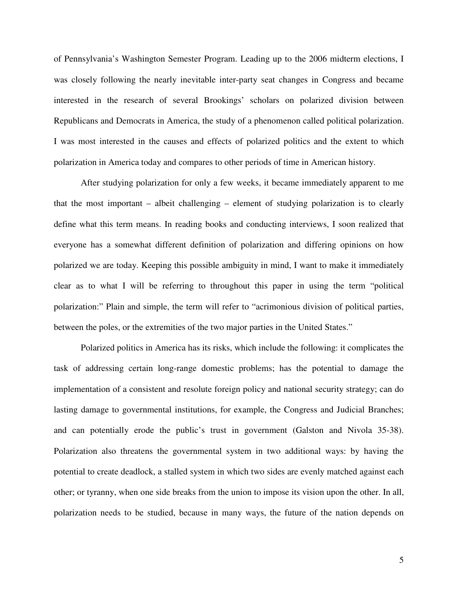of Pennsylvania's Washington Semester Program. Leading up to the 2006 midterm elections, I was closely following the nearly inevitable inter-party seat changes in Congress and became interested in the research of several Brookings' scholars on polarized division between Republicans and Democrats in America, the study of a phenomenon called political polarization. I was most interested in the causes and effects of polarized politics and the extent to which polarization in America today and compares to other periods of time in American history.

After studying polarization for only a few weeks, it became immediately apparent to me that the most important – albeit challenging – element of studying polarization is to clearly define what this term means. In reading books and conducting interviews, I soon realized that everyone has a somewhat different definition of polarization and differing opinions on how polarized we are today. Keeping this possible ambiguity in mind, I want to make it immediately clear as to what I will be referring to throughout this paper in using the term "political polarization:" Plain and simple, the term will refer to "acrimonious division of political parties, between the poles, or the extremities of the two major parties in the United States."

Polarized politics in America has its risks, which include the following: it complicates the task of addressing certain long-range domestic problems; has the potential to damage the implementation of a consistent and resolute foreign policy and national security strategy; can do lasting damage to governmental institutions, for example, the Congress and Judicial Branches; and can potentially erode the public's trust in government (Galston and Nivola 35-38). Polarization also threatens the governmental system in two additional ways: by having the potential to create deadlock, a stalled system in which two sides are evenly matched against each other; or tyranny, when one side breaks from the union to impose its vision upon the other. In all, polarization needs to be studied, because in many ways, the future of the nation depends on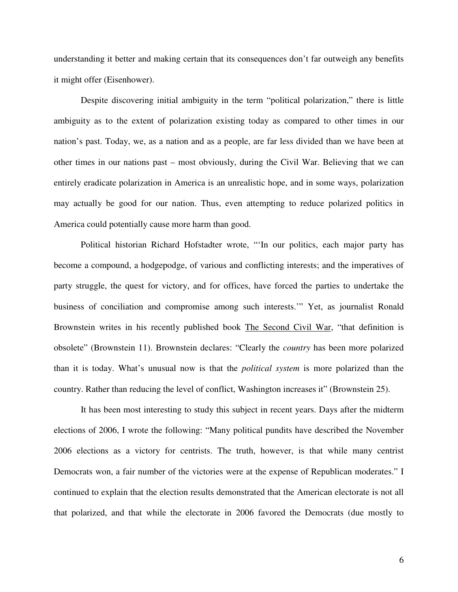understanding it better and making certain that its consequences don't far outweigh any benefits it might offer (Eisenhower).

Despite discovering initial ambiguity in the term "political polarization," there is little ambiguity as to the extent of polarization existing today as compared to other times in our nation's past. Today, we, as a nation and as a people, are far less divided than we have been at other times in our nations past – most obviously, during the Civil War. Believing that we can entirely eradicate polarization in America is an unrealistic hope, and in some ways, polarization may actually be good for our nation. Thus, even attempting to reduce polarized politics in America could potentially cause more harm than good.

Political historian Richard Hofstadter wrote, "'In our politics, each major party has become a compound, a hodgepodge, of various and conflicting interests; and the imperatives of party struggle, the quest for victory, and for offices, have forced the parties to undertake the business of conciliation and compromise among such interests.'" Yet, as journalist Ronald Brownstein writes in his recently published book The Second Civil War, "that definition is obsolete" (Brownstein 11). Brownstein declares: "Clearly the *country* has been more polarized than it is today. What's unusual now is that the *political system* is more polarized than the country. Rather than reducing the level of conflict, Washington increases it" (Brownstein 25).

 It has been most interesting to study this subject in recent years. Days after the midterm elections of 2006, I wrote the following: "Many political pundits have described the November 2006 elections as a victory for centrists. The truth, however, is that while many centrist Democrats won, a fair number of the victories were at the expense of Republican moderates." I continued to explain that the election results demonstrated that the American electorate is not all that polarized, and that while the electorate in 2006 favored the Democrats (due mostly to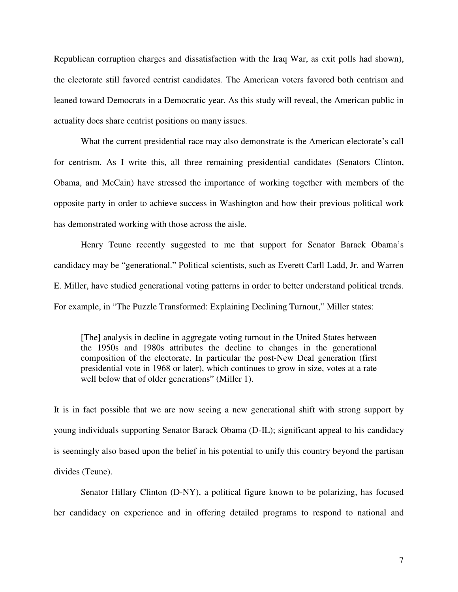Republican corruption charges and dissatisfaction with the Iraq War, as exit polls had shown), the electorate still favored centrist candidates. The American voters favored both centrism and leaned toward Democrats in a Democratic year. As this study will reveal, the American public in actuality does share centrist positions on many issues.

 What the current presidential race may also demonstrate is the American electorate's call for centrism. As I write this, all three remaining presidential candidates (Senators Clinton, Obama, and McCain) have stressed the importance of working together with members of the opposite party in order to achieve success in Washington and how their previous political work has demonstrated working with those across the aisle.

Henry Teune recently suggested to me that support for Senator Barack Obama's candidacy may be "generational." Political scientists, such as Everett Carll Ladd, Jr. and Warren E. Miller, have studied generational voting patterns in order to better understand political trends. For example, in "The Puzzle Transformed: Explaining Declining Turnout," Miller states:

[The] analysis in decline in aggregate voting turnout in the United States between the 1950s and 1980s attributes the decline to changes in the generational composition of the electorate. In particular the post-New Deal generation (first presidential vote in 1968 or later), which continues to grow in size, votes at a rate well below that of older generations" (Miller 1).

It is in fact possible that we are now seeing a new generational shift with strong support by young individuals supporting Senator Barack Obama (D-IL); significant appeal to his candidacy is seemingly also based upon the belief in his potential to unify this country beyond the partisan divides (Teune).

Senator Hillary Clinton (D-NY), a political figure known to be polarizing, has focused her candidacy on experience and in offering detailed programs to respond to national and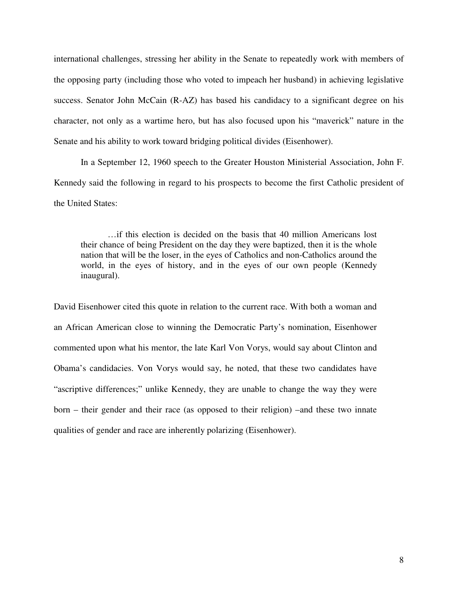international challenges, stressing her ability in the Senate to repeatedly work with members of the opposing party (including those who voted to impeach her husband) in achieving legislative success. Senator John McCain (R-AZ) has based his candidacy to a significant degree on his character, not only as a wartime hero, but has also focused upon his "maverick" nature in the Senate and his ability to work toward bridging political divides (Eisenhower).

In a September 12, 1960 speech to the Greater Houston Ministerial Association, John F. Kennedy said the following in regard to his prospects to become the first Catholic president of the United States:

…if this election is decided on the basis that 40 million Americans lost their chance of being President on the day they were baptized, then it is the whole nation that will be the loser, in the eyes of Catholics and non-Catholics around the world, in the eyes of history, and in the eyes of our own people (Kennedy inaugural).

David Eisenhower cited this quote in relation to the current race. With both a woman and an African American close to winning the Democratic Party's nomination, Eisenhower commented upon what his mentor, the late Karl Von Vorys, would say about Clinton and Obama's candidacies. Von Vorys would say, he noted, that these two candidates have "ascriptive differences;" unlike Kennedy, they are unable to change the way they were born – their gender and their race (as opposed to their religion) –and these two innate qualities of gender and race are inherently polarizing (Eisenhower).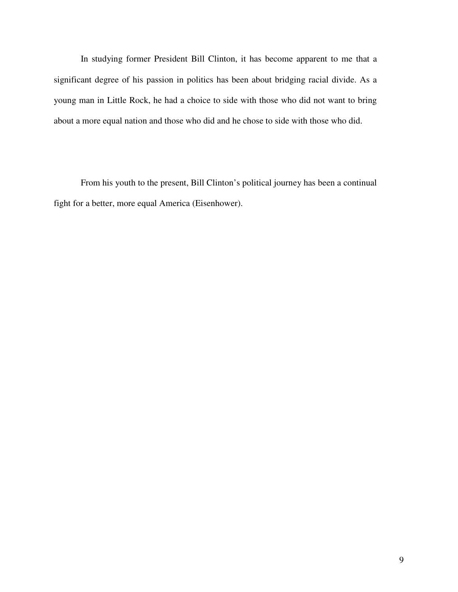In studying former President Bill Clinton, it has become apparent to me that a significant degree of his passion in politics has been about bridging racial divide. As a young man in Little Rock, he had a choice to side with those who did not want to bring about a more equal nation and those who did and he chose to side with those who did.

From his youth to the present, Bill Clinton's political journey has been a continual fight for a better, more equal America (Eisenhower).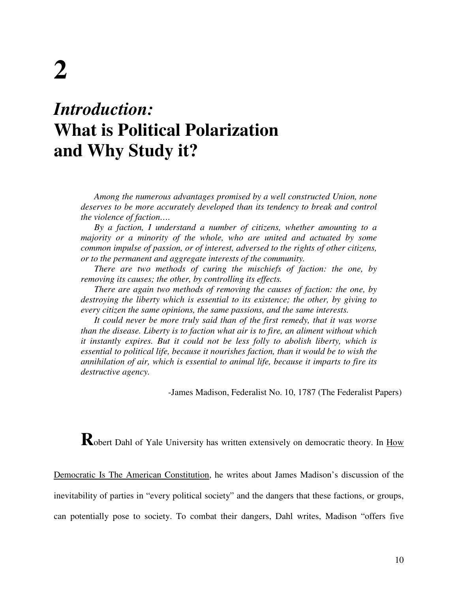## *Introduction:*  **What is Political Polarization and Why Study it?**

*Among the numerous advantages promised by a well constructed Union, none deserves to be more accurately developed than its tendency to break and control the violence of faction….* 

*By a faction, I understand a number of citizens, whether amounting to a majority or a minority of the whole, who are united and actuated by some common impulse of passion, or of interest, adversed to the rights of other citizens, or to the permanent and aggregate interests of the community.* 

*There are two methods of curing the mischiefs of faction: the one, by removing its causes; the other, by controlling its effects.* 

*There are again two methods of removing the causes of faction: the one, by destroying the liberty which is essential to its existence; the other, by giving to every citizen the same opinions, the same passions, and the same interests.* 

*It could never be more truly said than of the first remedy, that it was worse than the disease. Liberty is to faction what air is to fire, an aliment without which it instantly expires. But it could not be less folly to abolish liberty, which is essential to political life, because it nourishes faction, than it would be to wish the annihilation of air, which is essential to animal life, because it imparts to fire its destructive agency.* 

-James Madison, Federalist No. 10, 1787 (The Federalist Papers)

**R**obert Dahl of Yale University has written extensively on democratic theory. In **How** 

Democratic Is The American Constitution, he writes about James Madison's discussion of the inevitability of parties in "every political society" and the dangers that these factions, or groups, can potentially pose to society. To combat their dangers, Dahl writes, Madison "offers five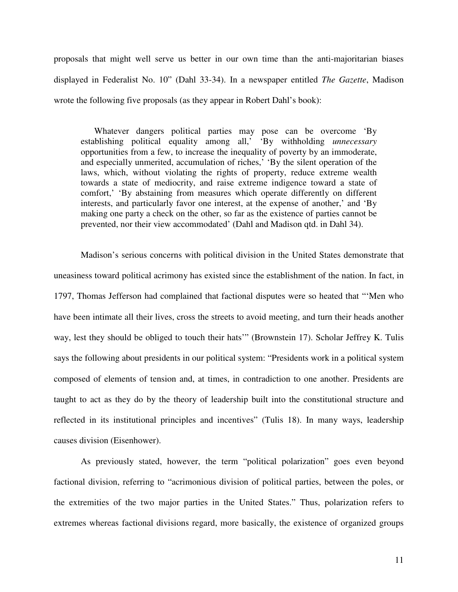proposals that might well serve us better in our own time than the anti-majoritarian biases displayed in Federalist No. 10" (Dahl 33-34). In a newspaper entitled *The Gazette*, Madison wrote the following five proposals (as they appear in Robert Dahl's book):

Whatever dangers political parties may pose can be overcome 'By establishing political equality among all,' 'By withholding *unnecessary*  opportunities from a few, to increase the inequality of poverty by an immoderate, and especially unmerited, accumulation of riches,' 'By the silent operation of the laws, which, without violating the rights of property, reduce extreme wealth towards a state of mediocrity, and raise extreme indigence toward a state of comfort,' 'By abstaining from measures which operate differently on different interests, and particularly favor one interest, at the expense of another,' and 'By making one party a check on the other, so far as the existence of parties cannot be prevented, nor their view accommodated' (Dahl and Madison qtd. in Dahl 34).

Madison's serious concerns with political division in the United States demonstrate that uneasiness toward political acrimony has existed since the establishment of the nation. In fact, in 1797, Thomas Jefferson had complained that factional disputes were so heated that "'Men who have been intimate all their lives, cross the streets to avoid meeting, and turn their heads another way, lest they should be obliged to touch their hats'" (Brownstein 17). Scholar Jeffrey K. Tulis says the following about presidents in our political system: "Presidents work in a political system composed of elements of tension and, at times, in contradiction to one another. Presidents are taught to act as they do by the theory of leadership built into the constitutional structure and reflected in its institutional principles and incentives" (Tulis 18). In many ways, leadership causes division (Eisenhower).

As previously stated, however, the term "political polarization" goes even beyond factional division, referring to "acrimonious division of political parties, between the poles, or the extremities of the two major parties in the United States." Thus, polarization refers to extremes whereas factional divisions regard, more basically, the existence of organized groups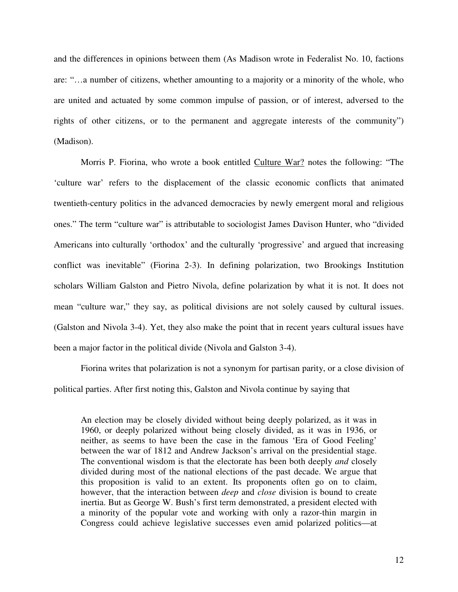and the differences in opinions between them (As Madison wrote in Federalist No. 10, factions are: "…a number of citizens, whether amounting to a majority or a minority of the whole, who are united and actuated by some common impulse of passion, or of interest, adversed to the rights of other citizens, or to the permanent and aggregate interests of the community") (Madison).

Morris P. Fiorina, who wrote a book entitled Culture War? notes the following: "The 'culture war' refers to the displacement of the classic economic conflicts that animated twentieth-century politics in the advanced democracies by newly emergent moral and religious ones." The term "culture war" is attributable to sociologist James Davison Hunter, who "divided Americans into culturally 'orthodox' and the culturally 'progressive' and argued that increasing conflict was inevitable" (Fiorina 2-3). In defining polarization, two Brookings Institution scholars William Galston and Pietro Nivola, define polarization by what it is not. It does not mean "culture war," they say, as political divisions are not solely caused by cultural issues. (Galston and Nivola 3-4). Yet, they also make the point that in recent years cultural issues have been a major factor in the political divide (Nivola and Galston 3-4).

Fiorina writes that polarization is not a synonym for partisan parity, or a close division of political parties. After first noting this, Galston and Nivola continue by saying that

An election may be closely divided without being deeply polarized, as it was in 1960, or deeply polarized without being closely divided, as it was in 1936, or neither, as seems to have been the case in the famous 'Era of Good Feeling' between the war of 1812 and Andrew Jackson's arrival on the presidential stage. The conventional wisdom is that the electorate has been both deeply *and* closely divided during most of the national elections of the past decade. We argue that this proposition is valid to an extent. Its proponents often go on to claim, however, that the interaction between *deep* and *close* division is bound to create inertia. But as George W. Bush's first term demonstrated, a president elected with a minority of the popular vote and working with only a razor-thin margin in Congress could achieve legislative successes even amid polarized politics—at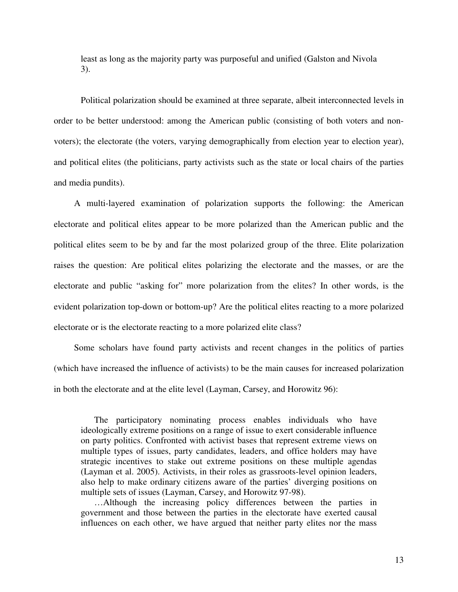least as long as the majority party was purposeful and unified (Galston and Nivola 3).

Political polarization should be examined at three separate, albeit interconnected levels in order to be better understood: among the American public (consisting of both voters and nonvoters); the electorate (the voters, varying demographically from election year to election year), and political elites (the politicians, party activists such as the state or local chairs of the parties and media pundits).

A multi-layered examination of polarization supports the following: the American electorate and political elites appear to be more polarized than the American public and the political elites seem to be by and far the most polarized group of the three. Elite polarization raises the question: Are political elites polarizing the electorate and the masses, or are the electorate and public "asking for" more polarization from the elites? In other words, is the evident polarization top-down or bottom-up? Are the political elites reacting to a more polarized electorate or is the electorate reacting to a more polarized elite class?

Some scholars have found party activists and recent changes in the politics of parties (which have increased the influence of activists) to be the main causes for increased polarization in both the electorate and at the elite level (Layman, Carsey, and Horowitz 96):

The participatory nominating process enables individuals who have ideologically extreme positions on a range of issue to exert considerable influence on party politics. Confronted with activist bases that represent extreme views on multiple types of issues, party candidates, leaders, and office holders may have strategic incentives to stake out extreme positions on these multiple agendas (Layman et al. 2005). Activists, in their roles as grassroots-level opinion leaders, also help to make ordinary citizens aware of the parties' diverging positions on multiple sets of issues (Layman, Carsey, and Horowitz 97-98).

…Although the increasing policy differences between the parties in government and those between the parties in the electorate have exerted causal influences on each other, we have argued that neither party elites nor the mass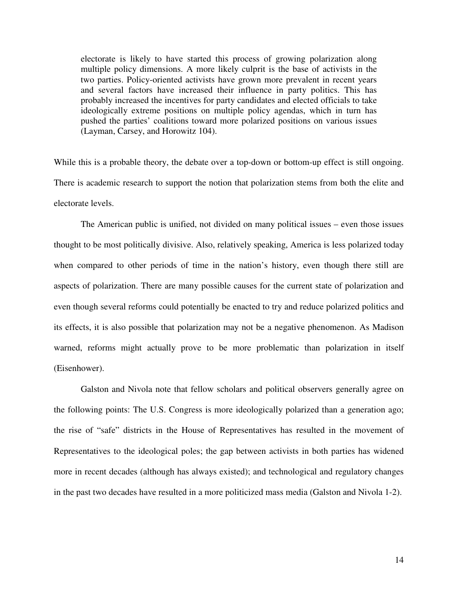electorate is likely to have started this process of growing polarization along multiple policy dimensions. A more likely culprit is the base of activists in the two parties. Policy-oriented activists have grown more prevalent in recent years and several factors have increased their influence in party politics. This has probably increased the incentives for party candidates and elected officials to take ideologically extreme positions on multiple policy agendas, which in turn has pushed the parties' coalitions toward more polarized positions on various issues (Layman, Carsey, and Horowitz 104).

While this is a probable theory, the debate over a top-down or bottom-up effect is still ongoing. There is academic research to support the notion that polarization stems from both the elite and electorate levels.

The American public is unified, not divided on many political issues – even those issues thought to be most politically divisive. Also, relatively speaking, America is less polarized today when compared to other periods of time in the nation's history, even though there still are aspects of polarization. There are many possible causes for the current state of polarization and even though several reforms could potentially be enacted to try and reduce polarized politics and its effects, it is also possible that polarization may not be a negative phenomenon. As Madison warned, reforms might actually prove to be more problematic than polarization in itself (Eisenhower).

Galston and Nivola note that fellow scholars and political observers generally agree on the following points: The U.S. Congress is more ideologically polarized than a generation ago; the rise of "safe" districts in the House of Representatives has resulted in the movement of Representatives to the ideological poles; the gap between activists in both parties has widened more in recent decades (although has always existed); and technological and regulatory changes in the past two decades have resulted in a more politicized mass media (Galston and Nivola 1-2).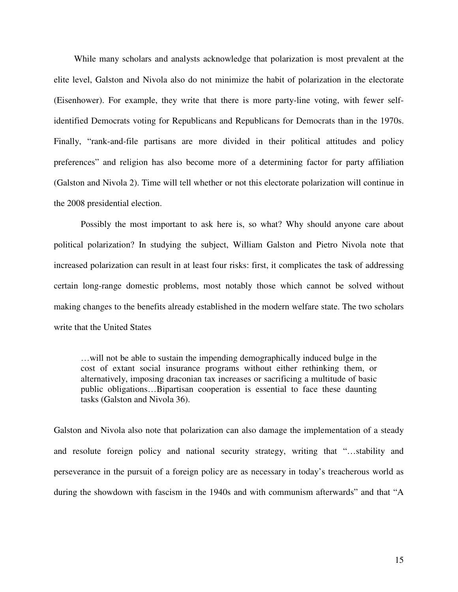While many scholars and analysts acknowledge that polarization is most prevalent at the elite level, Galston and Nivola also do not minimize the habit of polarization in the electorate (Eisenhower). For example, they write that there is more party-line voting, with fewer selfidentified Democrats voting for Republicans and Republicans for Democrats than in the 1970s. Finally, "rank-and-file partisans are more divided in their political attitudes and policy preferences" and religion has also become more of a determining factor for party affiliation (Galston and Nivola 2). Time will tell whether or not this electorate polarization will continue in the 2008 presidential election.

Possibly the most important to ask here is, so what? Why should anyone care about political polarization? In studying the subject, William Galston and Pietro Nivola note that increased polarization can result in at least four risks: first, it complicates the task of addressing certain long-range domestic problems, most notably those which cannot be solved without making changes to the benefits already established in the modern welfare state. The two scholars write that the United States

…will not be able to sustain the impending demographically induced bulge in the cost of extant social insurance programs without either rethinking them, or alternatively, imposing draconian tax increases or sacrificing a multitude of basic public obligations…Bipartisan cooperation is essential to face these daunting tasks (Galston and Nivola 36).

Galston and Nivola also note that polarization can also damage the implementation of a steady and resolute foreign policy and national security strategy, writing that "…stability and perseverance in the pursuit of a foreign policy are as necessary in today's treacherous world as during the showdown with fascism in the 1940s and with communism afterwards" and that "A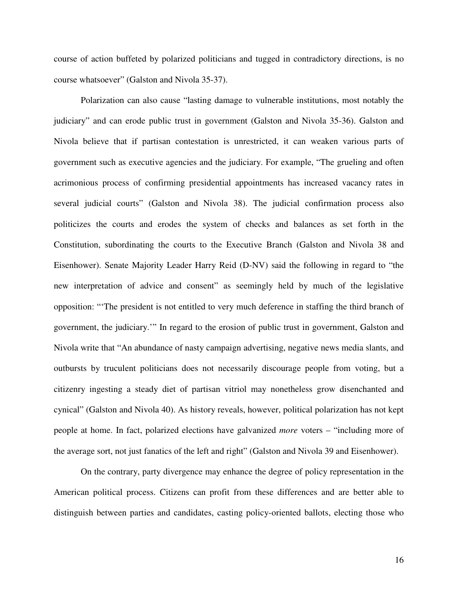course of action buffeted by polarized politicians and tugged in contradictory directions, is no course whatsoever" (Galston and Nivola 35-37).

Polarization can also cause "lasting damage to vulnerable institutions, most notably the judiciary" and can erode public trust in government (Galston and Nivola 35-36). Galston and Nivola believe that if partisan contestation is unrestricted, it can weaken various parts of government such as executive agencies and the judiciary. For example, "The grueling and often acrimonious process of confirming presidential appointments has increased vacancy rates in several judicial courts" (Galston and Nivola 38). The judicial confirmation process also politicizes the courts and erodes the system of checks and balances as set forth in the Constitution, subordinating the courts to the Executive Branch (Galston and Nivola 38 and Eisenhower). Senate Majority Leader Harry Reid (D-NV) said the following in regard to "the new interpretation of advice and consent" as seemingly held by much of the legislative opposition: "'The president is not entitled to very much deference in staffing the third branch of government, the judiciary.'" In regard to the erosion of public trust in government, Galston and Nivola write that "An abundance of nasty campaign advertising, negative news media slants, and outbursts by truculent politicians does not necessarily discourage people from voting, but a citizenry ingesting a steady diet of partisan vitriol may nonetheless grow disenchanted and cynical" (Galston and Nivola 40). As history reveals, however, political polarization has not kept people at home. In fact, polarized elections have galvanized *more* voters – "including more of the average sort, not just fanatics of the left and right" (Galston and Nivola 39 and Eisenhower).

On the contrary, party divergence may enhance the degree of policy representation in the American political process. Citizens can profit from these differences and are better able to distinguish between parties and candidates, casting policy-oriented ballots, electing those who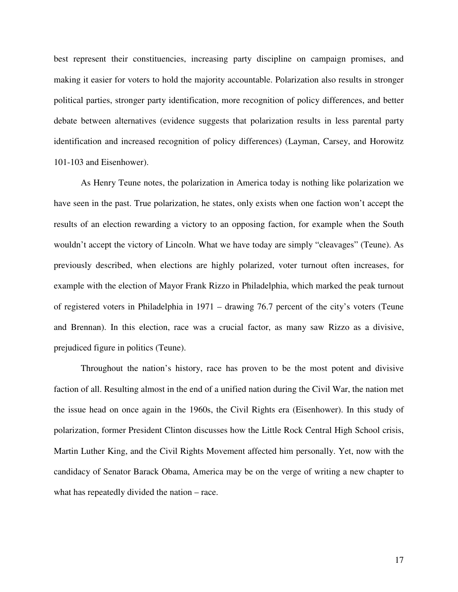best represent their constituencies, increasing party discipline on campaign promises, and making it easier for voters to hold the majority accountable. Polarization also results in stronger political parties, stronger party identification, more recognition of policy differences, and better debate between alternatives (evidence suggests that polarization results in less parental party identification and increased recognition of policy differences) (Layman, Carsey, and Horowitz 101-103 and Eisenhower).

As Henry Teune notes, the polarization in America today is nothing like polarization we have seen in the past. True polarization, he states, only exists when one faction won't accept the results of an election rewarding a victory to an opposing faction, for example when the South wouldn't accept the victory of Lincoln. What we have today are simply "cleavages" (Teune). As previously described, when elections are highly polarized, voter turnout often increases, for example with the election of Mayor Frank Rizzo in Philadelphia, which marked the peak turnout of registered voters in Philadelphia in 1971 – drawing 76.7 percent of the city's voters (Teune and Brennan). In this election, race was a crucial factor, as many saw Rizzo as a divisive, prejudiced figure in politics (Teune).

Throughout the nation's history, race has proven to be the most potent and divisive faction of all. Resulting almost in the end of a unified nation during the Civil War, the nation met the issue head on once again in the 1960s, the Civil Rights era (Eisenhower). In this study of polarization, former President Clinton discusses how the Little Rock Central High School crisis, Martin Luther King, and the Civil Rights Movement affected him personally. Yet, now with the candidacy of Senator Barack Obama, America may be on the verge of writing a new chapter to what has repeatedly divided the nation – race.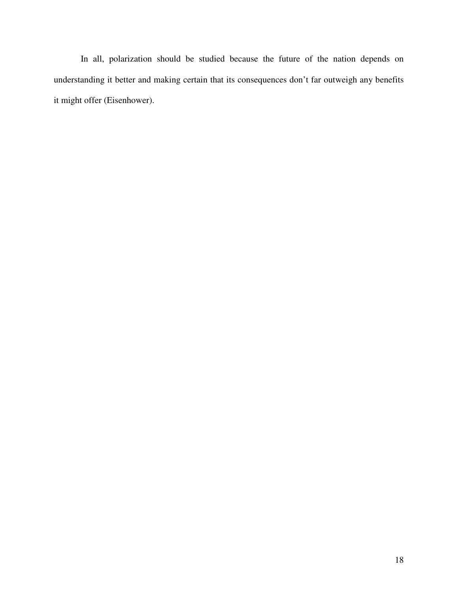In all, polarization should be studied because the future of the nation depends on understanding it better and making certain that its consequences don't far outweigh any benefits it might offer (Eisenhower).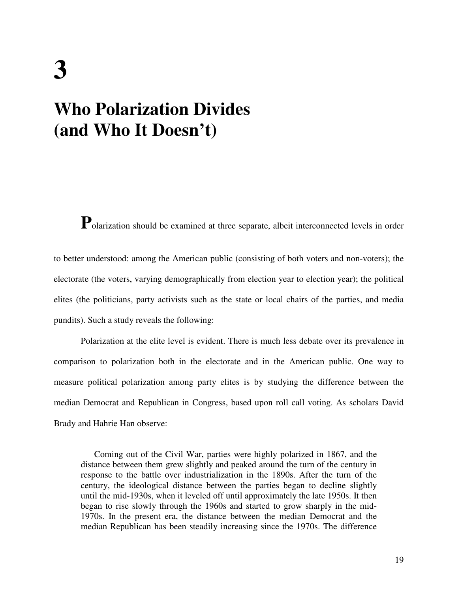## **3 Who Polarization Divides (and Who It Doesn't)**

**P**olarization should be examined at three separate, albeit interconnected levels in order

to better understood: among the American public (consisting of both voters and non-voters); the electorate (the voters, varying demographically from election year to election year); the political elites (the politicians, party activists such as the state or local chairs of the parties, and media pundits). Such a study reveals the following:

Polarization at the elite level is evident. There is much less debate over its prevalence in comparison to polarization both in the electorate and in the American public. One way to measure political polarization among party elites is by studying the difference between the median Democrat and Republican in Congress, based upon roll call voting. As scholars David Brady and Hahrie Han observe:

Coming out of the Civil War, parties were highly polarized in 1867, and the distance between them grew slightly and peaked around the turn of the century in response to the battle over industrialization in the 1890s. After the turn of the century, the ideological distance between the parties began to decline slightly until the mid-1930s, when it leveled off until approximately the late 1950s. It then began to rise slowly through the 1960s and started to grow sharply in the mid-1970s. In the present era, the distance between the median Democrat and the median Republican has been steadily increasing since the 1970s. The difference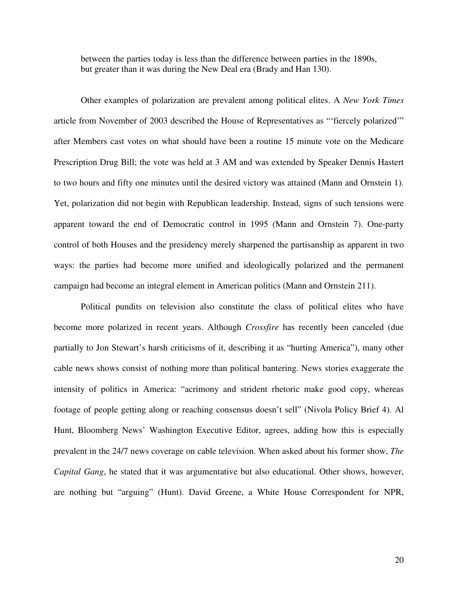between the parties today is less than the difference between parties in the 1890s, but greater than it was during the New Deal era (Brady and Han 130).

Other examples of polarization are prevalent among political elites. A *New York Times*  article from November of 2003 described the House of Representatives as "'fiercely polarized'" after Members cast votes on what should have been a routine 15 minute vote on the Medicare Prescription Drug Bill; the vote was held at 3 AM and was extended by Speaker Dennis Hastert to two hours and fifty one minutes until the desired victory was attained (Mann and Ornstein 1). Yet, polarization did not begin with Republican leadership. Instead, signs of such tensions were apparent toward the end of Democratic control in 1995 (Mann and Ornstein 7). One-party control of both Houses and the presidency merely sharpened the partisanship as apparent in two ways: the parties had become more unified and ideologically polarized and the permanent campaign had become an integral element in American politics (Mann and Ornstein 211).

Political pundits on television also constitute the class of political elites who have become more polarized in recent years. Although *Crossfire* has recently been canceled (due partially to Jon Stewart's harsh criticisms of it, describing it as "hurting America"), many other cable news shows consist of nothing more than political bantering. News stories exaggerate the intensity of politics in America: "acrimony and strident rhetoric make good copy, whereas footage of people getting along or reaching consensus doesn't sell" (Nivola Policy Brief 4). Al Hunt, Bloomberg News' Washington Executive Editor, agrees, adding how this is especially prevalent in the 24/7 news coverage on cable television. When asked about his former show, *The Capital Gang*, he stated that it was argumentative but also educational. Other shows, however, are nothing but "arguing" (Hunt). David Greene, a White House Correspondent for NPR,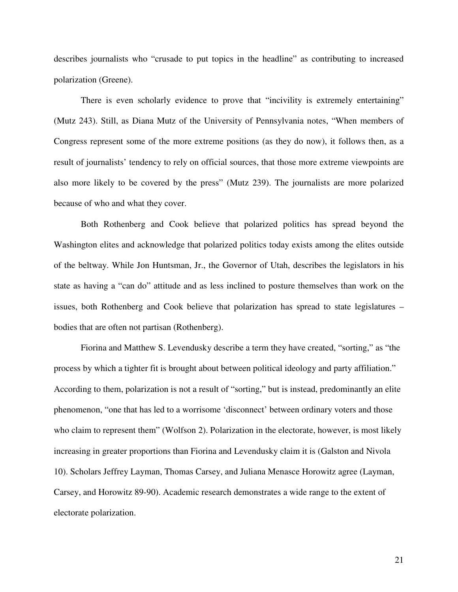describes journalists who "crusade to put topics in the headline" as contributing to increased polarization (Greene).

There is even scholarly evidence to prove that "incivility is extremely entertaining" (Mutz 243). Still, as Diana Mutz of the University of Pennsylvania notes, "When members of Congress represent some of the more extreme positions (as they do now), it follows then, as a result of journalists' tendency to rely on official sources, that those more extreme viewpoints are also more likely to be covered by the press" (Mutz 239). The journalists are more polarized because of who and what they cover.

Both Rothenberg and Cook believe that polarized politics has spread beyond the Washington elites and acknowledge that polarized politics today exists among the elites outside of the beltway. While Jon Huntsman, Jr., the Governor of Utah, describes the legislators in his state as having a "can do" attitude and as less inclined to posture themselves than work on the issues, both Rothenberg and Cook believe that polarization has spread to state legislatures – bodies that are often not partisan (Rothenberg).

Fiorina and Matthew S. Levendusky describe a term they have created, "sorting," as "the process by which a tighter fit is brought about between political ideology and party affiliation." According to them, polarization is not a result of "sorting," but is instead, predominantly an elite phenomenon, "one that has led to a worrisome 'disconnect' between ordinary voters and those who claim to represent them" (Wolfson 2). Polarization in the electorate, however, is most likely increasing in greater proportions than Fiorina and Levendusky claim it is (Galston and Nivola 10). Scholars Jeffrey Layman, Thomas Carsey, and Juliana Menasce Horowitz agree (Layman, Carsey, and Horowitz 89-90). Academic research demonstrates a wide range to the extent of electorate polarization.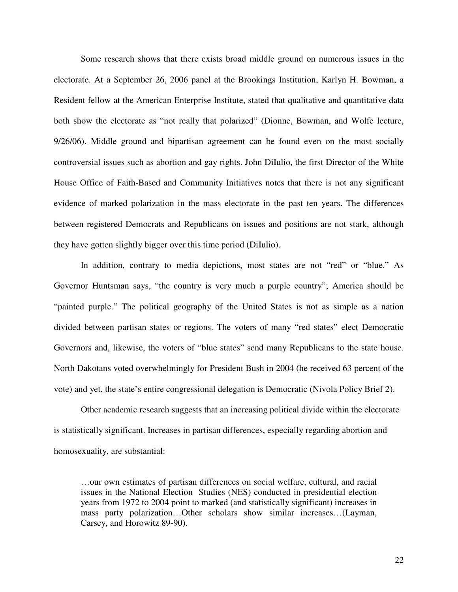Some research shows that there exists broad middle ground on numerous issues in the electorate. At a September 26, 2006 panel at the Brookings Institution, Karlyn H. Bowman, a Resident fellow at the American Enterprise Institute, stated that qualitative and quantitative data both show the electorate as "not really that polarized" (Dionne, Bowman, and Wolfe lecture, 9/26/06). Middle ground and bipartisan agreement can be found even on the most socially controversial issues such as abortion and gay rights. John DiIulio, the first Director of the White House Office of Faith-Based and Community Initiatives notes that there is not any significant evidence of marked polarization in the mass electorate in the past ten years. The differences between registered Democrats and Republicans on issues and positions are not stark, although they have gotten slightly bigger over this time period (DiIulio).

In addition, contrary to media depictions, most states are not "red" or "blue." As Governor Huntsman says, "the country is very much a purple country"; America should be "painted purple." The political geography of the United States is not as simple as a nation divided between partisan states or regions. The voters of many "red states" elect Democratic Governors and, likewise, the voters of "blue states" send many Republicans to the state house. North Dakotans voted overwhelmingly for President Bush in 2004 (he received 63 percent of the vote) and yet, the state's entire congressional delegation is Democratic (Nivola Policy Brief 2).

Other academic research suggests that an increasing political divide within the electorate is statistically significant. Increases in partisan differences, especially regarding abortion and homosexuality, are substantial:

…our own estimates of partisan differences on social welfare, cultural, and racial issues in the National Election Studies (NES) conducted in presidential election years from 1972 to 2004 point to marked (and statistically significant) increases in mass party polarization…Other scholars show similar increases…(Layman, Carsey, and Horowitz 89-90).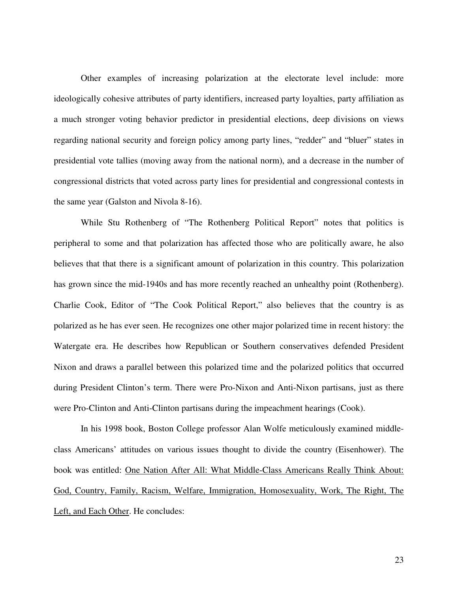Other examples of increasing polarization at the electorate level include: more ideologically cohesive attributes of party identifiers, increased party loyalties, party affiliation as a much stronger voting behavior predictor in presidential elections, deep divisions on views regarding national security and foreign policy among party lines, "redder" and "bluer" states in presidential vote tallies (moving away from the national norm), and a decrease in the number of congressional districts that voted across party lines for presidential and congressional contests in the same year (Galston and Nivola 8-16).

While Stu Rothenberg of "The Rothenberg Political Report" notes that politics is peripheral to some and that polarization has affected those who are politically aware, he also believes that that there is a significant amount of polarization in this country. This polarization has grown since the mid-1940s and has more recently reached an unhealthy point (Rothenberg). Charlie Cook, Editor of "The Cook Political Report," also believes that the country is as polarized as he has ever seen. He recognizes one other major polarized time in recent history: the Watergate era. He describes how Republican or Southern conservatives defended President Nixon and draws a parallel between this polarized time and the polarized politics that occurred during President Clinton's term. There were Pro-Nixon and Anti-Nixon partisans, just as there were Pro-Clinton and Anti-Clinton partisans during the impeachment hearings (Cook).

 In his 1998 book, Boston College professor Alan Wolfe meticulously examined middleclass Americans' attitudes on various issues thought to divide the country (Eisenhower). The book was entitled: One Nation After All: What Middle-Class Americans Really Think About: God, Country, Family, Racism, Welfare, Immigration, Homosexuality, Work, The Right, The Left, and Each Other. He concludes: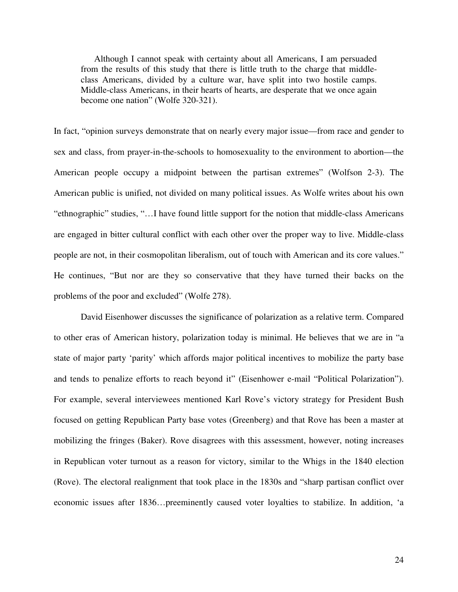Although I cannot speak with certainty about all Americans, I am persuaded from the results of this study that there is little truth to the charge that middleclass Americans, divided by a culture war, have split into two hostile camps. Middle-class Americans, in their hearts of hearts, are desperate that we once again become one nation" (Wolfe 320-321).

In fact, "opinion surveys demonstrate that on nearly every major issue—from race and gender to sex and class, from prayer-in-the-schools to homosexuality to the environment to abortion—the American people occupy a midpoint between the partisan extremes" (Wolfson 2-3). The American public is unified, not divided on many political issues. As Wolfe writes about his own "ethnographic" studies, "…I have found little support for the notion that middle-class Americans are engaged in bitter cultural conflict with each other over the proper way to live. Middle-class people are not, in their cosmopolitan liberalism, out of touch with American and its core values." He continues, "But nor are they so conservative that they have turned their backs on the problems of the poor and excluded" (Wolfe 278).

David Eisenhower discusses the significance of polarization as a relative term. Compared to other eras of American history, polarization today is minimal. He believes that we are in "a state of major party 'parity' which affords major political incentives to mobilize the party base and tends to penalize efforts to reach beyond it" (Eisenhower e-mail "Political Polarization"). For example, several interviewees mentioned Karl Rove's victory strategy for President Bush focused on getting Republican Party base votes (Greenberg) and that Rove has been a master at mobilizing the fringes (Baker). Rove disagrees with this assessment, however, noting increases in Republican voter turnout as a reason for victory, similar to the Whigs in the 1840 election (Rove). The electoral realignment that took place in the 1830s and "sharp partisan conflict over economic issues after 1836…preeminently caused voter loyalties to stabilize. In addition, 'a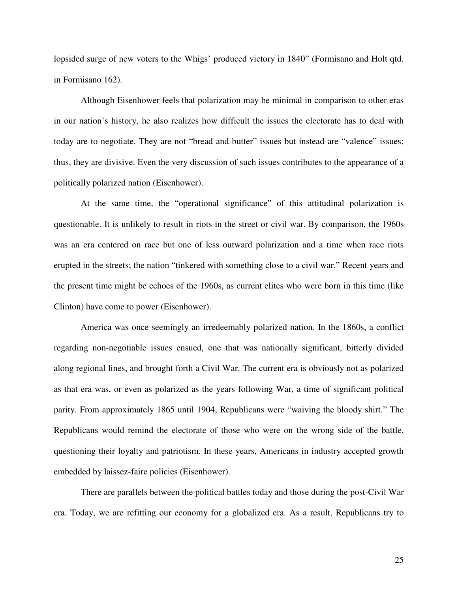lopsided surge of new voters to the Whigs' produced victory in 1840" (Formisano and Holt qtd. in Formisano 162).

Although Eisenhower feels that polarization may be minimal in comparison to other eras in our nation's history, he also realizes how difficult the issues the electorate has to deal with today are to negotiate. They are not "bread and butter" issues but instead are "valence" issues; thus, they are divisive. Even the very discussion of such issues contributes to the appearance of a politically polarized nation (Eisenhower).

At the same time, the "operational significance" of this attitudinal polarization is questionable. It is unlikely to result in riots in the street or civil war. By comparison, the 1960s was an era centered on race but one of less outward polarization and a time when race riots erupted in the streets; the nation "tinkered with something close to a civil war." Recent years and the present time might be echoes of the 1960s, as current elites who were born in this time (like Clinton) have come to power (Eisenhower).

America was once seemingly an irredeemably polarized nation. In the 1860s, a conflict regarding non-negotiable issues ensued, one that was nationally significant, bitterly divided along regional lines, and brought forth a Civil War. The current era is obviously not as polarized as that era was, or even as polarized as the years following War, a time of significant political parity. From approximately 1865 until 1904, Republicans were "waiving the bloody shirt." The Republicans would remind the electorate of those who were on the wrong side of the battle, questioning their loyalty and patriotism. In these years, Americans in industry accepted growth embedded by laissez-faire policies (Eisenhower).

There are parallels between the political battles today and those during the post-Civil War era. Today, we are refitting our economy for a globalized era. As a result, Republicans try to

25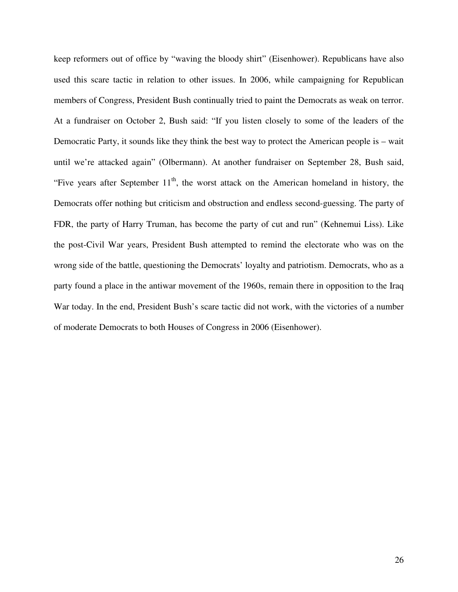keep reformers out of office by "waving the bloody shirt" (Eisenhower). Republicans have also used this scare tactic in relation to other issues. In 2006, while campaigning for Republican members of Congress, President Bush continually tried to paint the Democrats as weak on terror. At a fundraiser on October 2, Bush said: "If you listen closely to some of the leaders of the Democratic Party, it sounds like they think the best way to protect the American people is – wait until we're attacked again" (Olbermann). At another fundraiser on September 28, Bush said, "Five years after September  $11<sup>th</sup>$ , the worst attack on the American homeland in history, the Democrats offer nothing but criticism and obstruction and endless second-guessing. The party of FDR, the party of Harry Truman, has become the party of cut and run" (Kehnemui Liss). Like the post-Civil War years, President Bush attempted to remind the electorate who was on the wrong side of the battle, questioning the Democrats' loyalty and patriotism. Democrats, who as a party found a place in the antiwar movement of the 1960s, remain there in opposition to the Iraq War today. In the end, President Bush's scare tactic did not work, with the victories of a number of moderate Democrats to both Houses of Congress in 2006 (Eisenhower).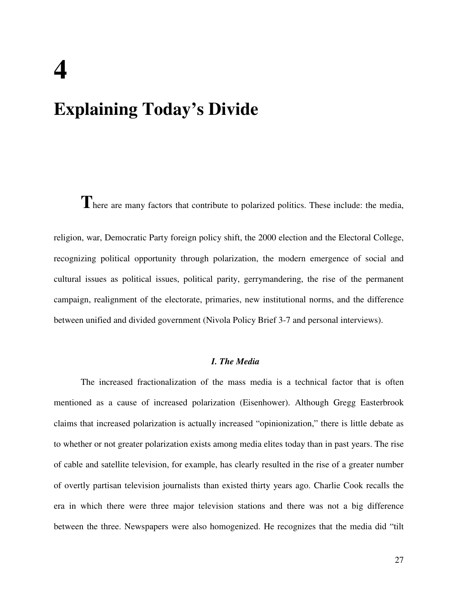# **4 Explaining Today's Divide**

There are many factors that contribute to polarized politics. These include: the media,

religion, war, Democratic Party foreign policy shift, the 2000 election and the Electoral College, recognizing political opportunity through polarization, the modern emergence of social and cultural issues as political issues, political parity, gerrymandering, the rise of the permanent campaign, realignment of the electorate, primaries, new institutional norms, and the difference between unified and divided government (Nivola Policy Brief 3-7 and personal interviews).

## *I. The Media*

The increased fractionalization of the mass media is a technical factor that is often mentioned as a cause of increased polarization (Eisenhower). Although Gregg Easterbrook claims that increased polarization is actually increased "opinionization," there is little debate as to whether or not greater polarization exists among media elites today than in past years. The rise of cable and satellite television, for example, has clearly resulted in the rise of a greater number of overtly partisan television journalists than existed thirty years ago. Charlie Cook recalls the era in which there were three major television stations and there was not a big difference between the three. Newspapers were also homogenized. He recognizes that the media did "tilt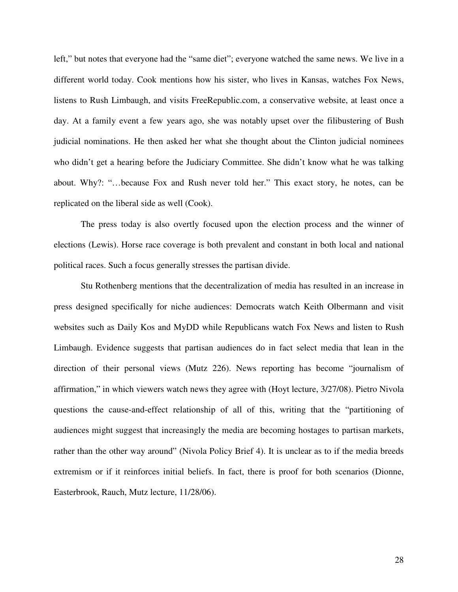left," but notes that everyone had the "same diet"; everyone watched the same news. We live in a different world today. Cook mentions how his sister, who lives in Kansas, watches Fox News, listens to Rush Limbaugh, and visits FreeRepublic.com, a conservative website, at least once a day. At a family event a few years ago, she was notably upset over the filibustering of Bush judicial nominations. He then asked her what she thought about the Clinton judicial nominees who didn't get a hearing before the Judiciary Committee. She didn't know what he was talking about. Why?: "…because Fox and Rush never told her." This exact story, he notes, can be replicated on the liberal side as well (Cook).

The press today is also overtly focused upon the election process and the winner of elections (Lewis). Horse race coverage is both prevalent and constant in both local and national political races. Such a focus generally stresses the partisan divide.

Stu Rothenberg mentions that the decentralization of media has resulted in an increase in press designed specifically for niche audiences: Democrats watch Keith Olbermann and visit websites such as Daily Kos and MyDD while Republicans watch Fox News and listen to Rush Limbaugh. Evidence suggests that partisan audiences do in fact select media that lean in the direction of their personal views (Mutz 226). News reporting has become "journalism of affirmation," in which viewers watch news they agree with (Hoyt lecture, 3/27/08). Pietro Nivola questions the cause-and-effect relationship of all of this, writing that the "partitioning of audiences might suggest that increasingly the media are becoming hostages to partisan markets, rather than the other way around" (Nivola Policy Brief 4). It is unclear as to if the media breeds extremism or if it reinforces initial beliefs. In fact, there is proof for both scenarios (Dionne, Easterbrook, Rauch, Mutz lecture, 11/28/06).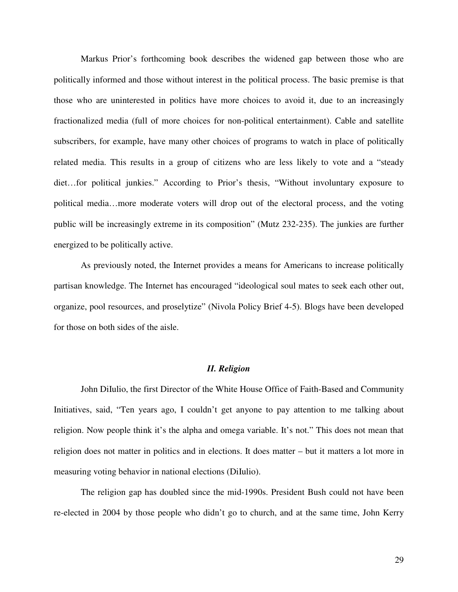Markus Prior's forthcoming book describes the widened gap between those who are politically informed and those without interest in the political process. The basic premise is that those who are uninterested in politics have more choices to avoid it, due to an increasingly fractionalized media (full of more choices for non-political entertainment). Cable and satellite subscribers, for example, have many other choices of programs to watch in place of politically related media. This results in a group of citizens who are less likely to vote and a "steady diet…for political junkies." According to Prior's thesis, "Without involuntary exposure to political media…more moderate voters will drop out of the electoral process, and the voting public will be increasingly extreme in its composition" (Mutz 232-235). The junkies are further energized to be politically active.

As previously noted, the Internet provides a means for Americans to increase politically partisan knowledge. The Internet has encouraged "ideological soul mates to seek each other out, organize, pool resources, and proselytize" (Nivola Policy Brief 4-5). Blogs have been developed for those on both sides of the aisle.

## *II. Religion*

John DiIulio, the first Director of the White House Office of Faith-Based and Community Initiatives, said, "Ten years ago, I couldn't get anyone to pay attention to me talking about religion. Now people think it's the alpha and omega variable. It's not." This does not mean that religion does not matter in politics and in elections. It does matter – but it matters a lot more in measuring voting behavior in national elections (DiIulio).

The religion gap has doubled since the mid-1990s. President Bush could not have been re-elected in 2004 by those people who didn't go to church, and at the same time, John Kerry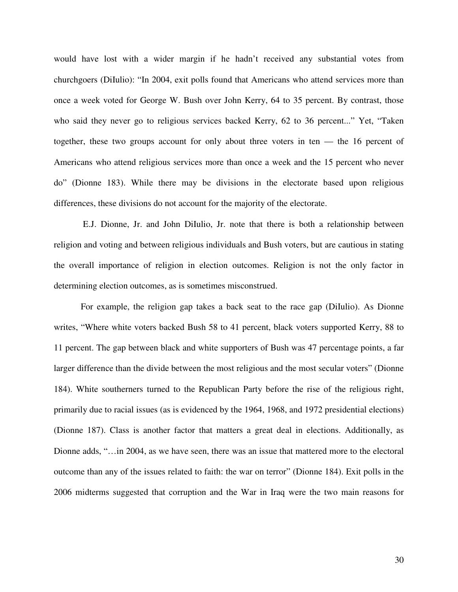would have lost with a wider margin if he hadn't received any substantial votes from churchgoers (DiIulio): "In 2004, exit polls found that Americans who attend services more than once a week voted for George W. Bush over John Kerry, 64 to 35 percent. By contrast, those who said they never go to religious services backed Kerry, 62 to 36 percent..." Yet, "Taken together, these two groups account for only about three voters in ten — the 16 percent of Americans who attend religious services more than once a week and the 15 percent who never do" (Dionne 183). While there may be divisions in the electorate based upon religious differences, these divisions do not account for the majority of the electorate.

 E.J. Dionne, Jr. and John DiIulio, Jr. note that there is both a relationship between religion and voting and between religious individuals and Bush voters, but are cautious in stating the overall importance of religion in election outcomes. Religion is not the only factor in determining election outcomes, as is sometimes misconstrued.

 For example, the religion gap takes a back seat to the race gap (DiIulio). As Dionne writes, "Where white voters backed Bush 58 to 41 percent, black voters supported Kerry, 88 to 11 percent. The gap between black and white supporters of Bush was 47 percentage points, a far larger difference than the divide between the most religious and the most secular voters" (Dionne 184). White southerners turned to the Republican Party before the rise of the religious right, primarily due to racial issues (as is evidenced by the 1964, 1968, and 1972 presidential elections) (Dionne 187). Class is another factor that matters a great deal in elections. Additionally, as Dionne adds, "…in 2004, as we have seen, there was an issue that mattered more to the electoral outcome than any of the issues related to faith: the war on terror" (Dionne 184). Exit polls in the 2006 midterms suggested that corruption and the War in Iraq were the two main reasons for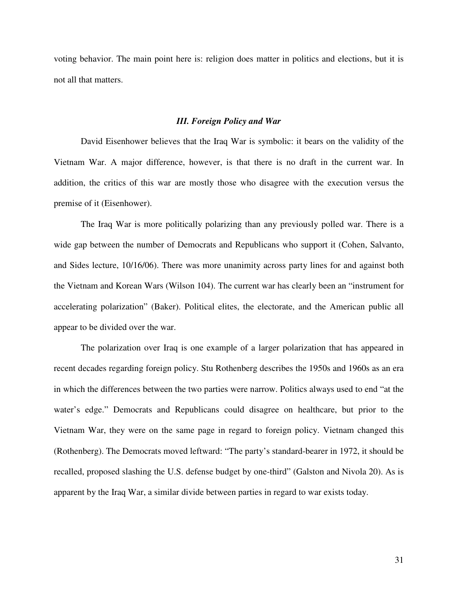voting behavior. The main point here is: religion does matter in politics and elections, but it is not all that matters.

#### *III. Foreign Policy and War*

David Eisenhower believes that the Iraq War is symbolic: it bears on the validity of the Vietnam War. A major difference, however, is that there is no draft in the current war. In addition, the critics of this war are mostly those who disagree with the execution versus the premise of it (Eisenhower).

The Iraq War is more politically polarizing than any previously polled war. There is a wide gap between the number of Democrats and Republicans who support it (Cohen, Salvanto, and Sides lecture, 10/16/06). There was more unanimity across party lines for and against both the Vietnam and Korean Wars (Wilson 104). The current war has clearly been an "instrument for accelerating polarization" (Baker). Political elites, the electorate, and the American public all appear to be divided over the war.

The polarization over Iraq is one example of a larger polarization that has appeared in recent decades regarding foreign policy. Stu Rothenberg describes the 1950s and 1960s as an era in which the differences between the two parties were narrow. Politics always used to end "at the water's edge." Democrats and Republicans could disagree on healthcare, but prior to the Vietnam War, they were on the same page in regard to foreign policy. Vietnam changed this (Rothenberg). The Democrats moved leftward: "The party's standard-bearer in 1972, it should be recalled, proposed slashing the U.S. defense budget by one-third" (Galston and Nivola 20). As is apparent by the Iraq War, a similar divide between parties in regard to war exists today.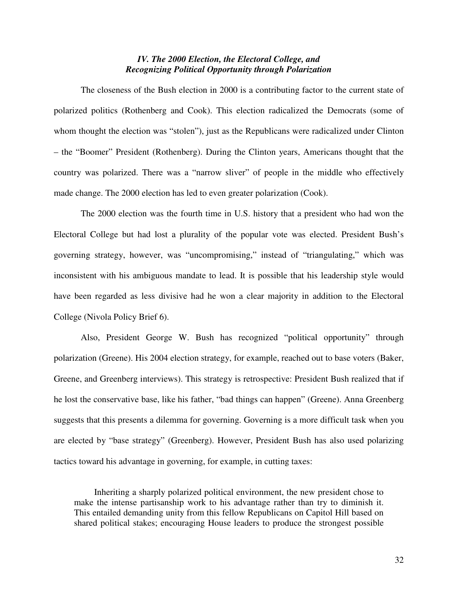## *IV. The 2000 Election, the Electoral College, and Recognizing Political Opportunity through Polarization*

The closeness of the Bush election in 2000 is a contributing factor to the current state of polarized politics (Rothenberg and Cook). This election radicalized the Democrats (some of whom thought the election was "stolen"), just as the Republicans were radicalized under Clinton – the "Boomer" President (Rothenberg). During the Clinton years, Americans thought that the country was polarized. There was a "narrow sliver" of people in the middle who effectively made change. The 2000 election has led to even greater polarization (Cook).

The 2000 election was the fourth time in U.S. history that a president who had won the Electoral College but had lost a plurality of the popular vote was elected. President Bush's governing strategy, however, was "uncompromising," instead of "triangulating," which was inconsistent with his ambiguous mandate to lead. It is possible that his leadership style would have been regarded as less divisive had he won a clear majority in addition to the Electoral College (Nivola Policy Brief 6).

Also, President George W. Bush has recognized "political opportunity" through polarization (Greene). His 2004 election strategy, for example, reached out to base voters (Baker, Greene, and Greenberg interviews). This strategy is retrospective: President Bush realized that if he lost the conservative base, like his father, "bad things can happen" (Greene). Anna Greenberg suggests that this presents a dilemma for governing. Governing is a more difficult task when you are elected by "base strategy" (Greenberg). However, President Bush has also used polarizing tactics toward his advantage in governing, for example, in cutting taxes:

Inheriting a sharply polarized political environment, the new president chose to make the intense partisanship work to his advantage rather than try to diminish it. This entailed demanding unity from this fellow Republicans on Capitol Hill based on shared political stakes; encouraging House leaders to produce the strongest possible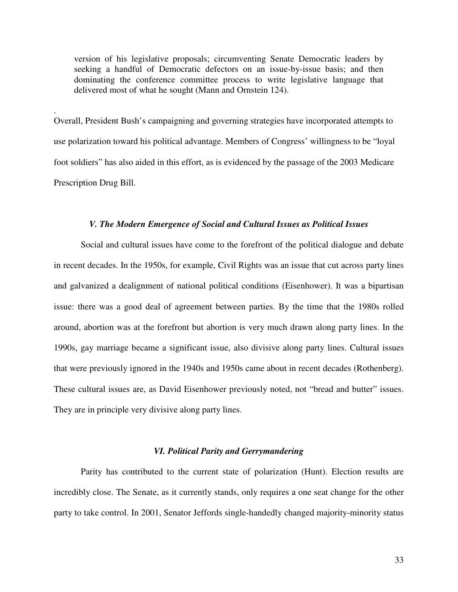version of his legislative proposals; circumventing Senate Democratic leaders by seeking a handful of Democratic defectors on an issue-by-issue basis; and then dominating the conference committee process to write legislative language that delivered most of what he sought (Mann and Ornstein 124).

Overall, President Bush's campaigning and governing strategies have incorporated attempts to use polarization toward his political advantage. Members of Congress' willingness to be "loyal foot soldiers" has also aided in this effort, as is evidenced by the passage of the 2003 Medicare Prescription Drug Bill.

.

## *V. The Modern Emergence of Social and Cultural Issues as Political Issues*

Social and cultural issues have come to the forefront of the political dialogue and debate in recent decades. In the 1950s, for example, Civil Rights was an issue that cut across party lines and galvanized a dealignment of national political conditions (Eisenhower). It was a bipartisan issue: there was a good deal of agreement between parties. By the time that the 1980s rolled around, abortion was at the forefront but abortion is very much drawn along party lines. In the 1990s, gay marriage became a significant issue, also divisive along party lines. Cultural issues that were previously ignored in the 1940s and 1950s came about in recent decades (Rothenberg). These cultural issues are, as David Eisenhower previously noted, not "bread and butter" issues. They are in principle very divisive along party lines.

#### *VI. Political Parity and Gerrymandering*

Parity has contributed to the current state of polarization (Hunt). Election results are incredibly close. The Senate, as it currently stands, only requires a one seat change for the other party to take control. In 2001, Senator Jeffords single-handedly changed majority-minority status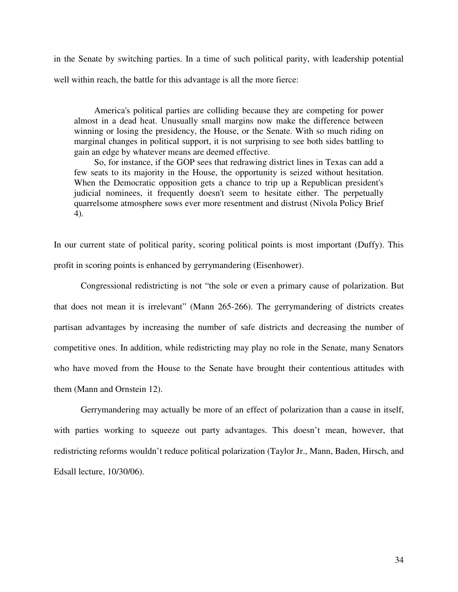in the Senate by switching parties. In a time of such political parity, with leadership potential well within reach, the battle for this advantage is all the more fierce:

America's political parties are colliding because they are competing for power almost in a dead heat. Unusually small margins now make the difference between winning or losing the presidency, the House, or the Senate. With so much riding on marginal changes in political support, it is not surprising to see both sides battling to gain an edge by whatever means are deemed effective.

So, for instance, if the GOP sees that redrawing district lines in Texas can add a few seats to its majority in the House, the opportunity is seized without hesitation. When the Democratic opposition gets a chance to trip up a Republican president's judicial nominees, it frequently doesn't seem to hesitate either. The perpetually quarrelsome atmosphere sows ever more resentment and distrust (Nivola Policy Brief 4).

In our current state of political parity, scoring political points is most important (Duffy). This profit in scoring points is enhanced by gerrymandering (Eisenhower).

 Congressional redistricting is not "the sole or even a primary cause of polarization. But that does not mean it is irrelevant" (Mann 265-266). The gerrymandering of districts creates partisan advantages by increasing the number of safe districts and decreasing the number of competitive ones. In addition, while redistricting may play no role in the Senate, many Senators who have moved from the House to the Senate have brought their contentious attitudes with them (Mann and Ornstein 12).

Gerrymandering may actually be more of an effect of polarization than a cause in itself, with parties working to squeeze out party advantages. This doesn't mean, however, that redistricting reforms wouldn't reduce political polarization (Taylor Jr., Mann, Baden, Hirsch, and Edsall lecture, 10/30/06).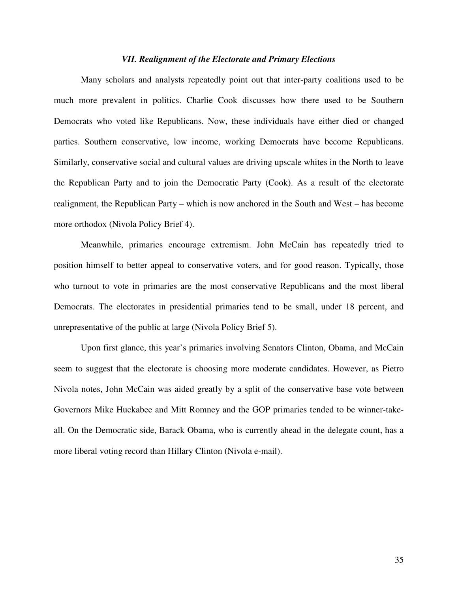#### *VII. Realignment of the Electorate and Primary Elections*

Many scholars and analysts repeatedly point out that inter-party coalitions used to be much more prevalent in politics. Charlie Cook discusses how there used to be Southern Democrats who voted like Republicans. Now, these individuals have either died or changed parties. Southern conservative, low income, working Democrats have become Republicans. Similarly, conservative social and cultural values are driving upscale whites in the North to leave the Republican Party and to join the Democratic Party (Cook). As a result of the electorate realignment, the Republican Party – which is now anchored in the South and West – has become more orthodox (Nivola Policy Brief 4).

Meanwhile, primaries encourage extremism. John McCain has repeatedly tried to position himself to better appeal to conservative voters, and for good reason. Typically, those who turnout to vote in primaries are the most conservative Republicans and the most liberal Democrats. The electorates in presidential primaries tend to be small, under 18 percent, and unrepresentative of the public at large (Nivola Policy Brief 5).

Upon first glance, this year's primaries involving Senators Clinton, Obama, and McCain seem to suggest that the electorate is choosing more moderate candidates. However, as Pietro Nivola notes, John McCain was aided greatly by a split of the conservative base vote between Governors Mike Huckabee and Mitt Romney and the GOP primaries tended to be winner-takeall. On the Democratic side, Barack Obama, who is currently ahead in the delegate count, has a more liberal voting record than Hillary Clinton (Nivola e-mail).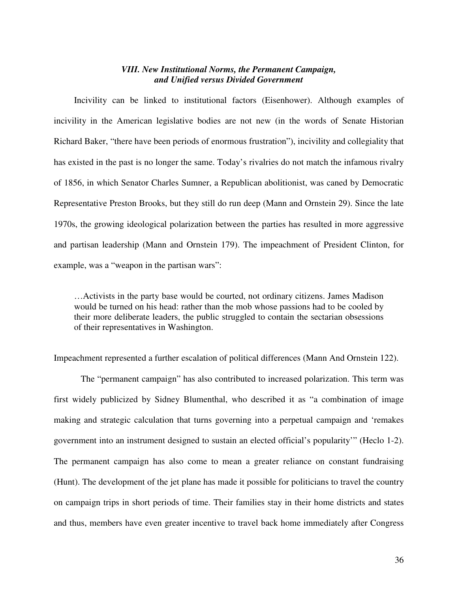### *VIII. New Institutional Norms, the Permanent Campaign, and Unified versus Divided Government*

Incivility can be linked to institutional factors (Eisenhower). Although examples of incivility in the American legislative bodies are not new (in the words of Senate Historian Richard Baker, "there have been periods of enormous frustration"), incivility and collegiality that has existed in the past is no longer the same. Today's rivalries do not match the infamous rivalry of 1856, in which Senator Charles Sumner, a Republican abolitionist, was caned by Democratic Representative Preston Brooks, but they still do run deep (Mann and Ornstein 29). Since the late 1970s, the growing ideological polarization between the parties has resulted in more aggressive and partisan leadership (Mann and Ornstein 179). The impeachment of President Clinton, for example, was a "weapon in the partisan wars":

…Activists in the party base would be courted, not ordinary citizens. James Madison would be turned on his head: rather than the mob whose passions had to be cooled by their more deliberate leaders, the public struggled to contain the sectarian obsessions of their representatives in Washington.

Impeachment represented a further escalation of political differences (Mann And Ornstein 122).

The "permanent campaign" has also contributed to increased polarization. This term was first widely publicized by Sidney Blumenthal, who described it as "a combination of image making and strategic calculation that turns governing into a perpetual campaign and 'remakes government into an instrument designed to sustain an elected official's popularity'" (Heclo 1-2). The permanent campaign has also come to mean a greater reliance on constant fundraising (Hunt). The development of the jet plane has made it possible for politicians to travel the country on campaign trips in short periods of time. Their families stay in their home districts and states and thus, members have even greater incentive to travel back home immediately after Congress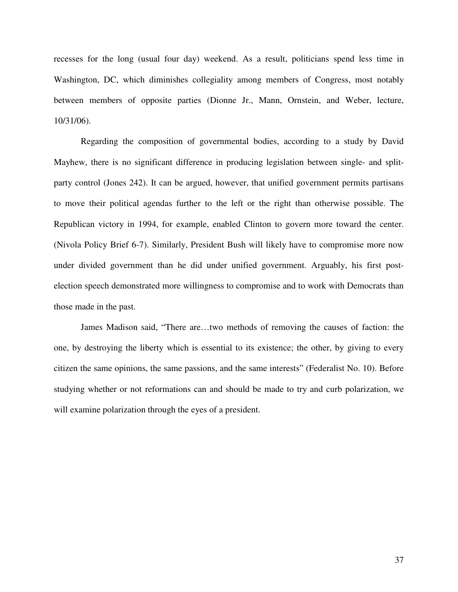recesses for the long (usual four day) weekend. As a result, politicians spend less time in Washington, DC, which diminishes collegiality among members of Congress, most notably between members of opposite parties (Dionne Jr., Mann, Ornstein, and Weber, lecture, 10/31/06).

Regarding the composition of governmental bodies, according to a study by David Mayhew, there is no significant difference in producing legislation between single- and splitparty control (Jones 242). It can be argued, however, that unified government permits partisans to move their political agendas further to the left or the right than otherwise possible. The Republican victory in 1994, for example, enabled Clinton to govern more toward the center. (Nivola Policy Brief 6-7). Similarly, President Bush will likely have to compromise more now under divided government than he did under unified government. Arguably, his first postelection speech demonstrated more willingness to compromise and to work with Democrats than those made in the past.

James Madison said, "There are…two methods of removing the causes of faction: the one, by destroying the liberty which is essential to its existence; the other, by giving to every citizen the same opinions, the same passions, and the same interests" (Federalist No. 10). Before studying whether or not reformations can and should be made to try and curb polarization, we will examine polarization through the eyes of a president.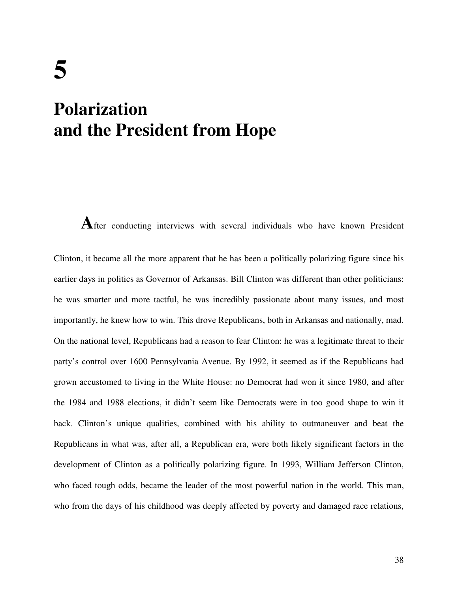## **Polarization and the President from Hope**

**A**fter conducting interviews with several individuals who have known President Clinton, it became all the more apparent that he has been a politically polarizing figure since his earlier days in politics as Governor of Arkansas. Bill Clinton was different than other politicians: he was smarter and more tactful, he was incredibly passionate about many issues, and most importantly, he knew how to win. This drove Republicans, both in Arkansas and nationally, mad. On the national level, Republicans had a reason to fear Clinton: he was a legitimate threat to their party's control over 1600 Pennsylvania Avenue. By 1992, it seemed as if the Republicans had grown accustomed to living in the White House: no Democrat had won it since 1980, and after the 1984 and 1988 elections, it didn't seem like Democrats were in too good shape to win it back. Clinton's unique qualities, combined with his ability to outmaneuver and beat the Republicans in what was, after all, a Republican era, were both likely significant factors in the development of Clinton as a politically polarizing figure. In 1993, William Jefferson Clinton, who faced tough odds, became the leader of the most powerful nation in the world. This man, who from the days of his childhood was deeply affected by poverty and damaged race relations,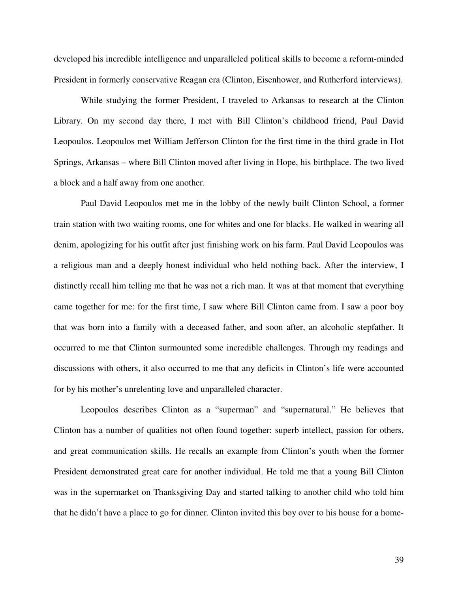developed his incredible intelligence and unparalleled political skills to become a reform-minded President in formerly conservative Reagan era (Clinton, Eisenhower, and Rutherford interviews).

While studying the former President, I traveled to Arkansas to research at the Clinton Library. On my second day there, I met with Bill Clinton's childhood friend, Paul David Leopoulos. Leopoulos met William Jefferson Clinton for the first time in the third grade in Hot Springs, Arkansas – where Bill Clinton moved after living in Hope, his birthplace. The two lived a block and a half away from one another.

Paul David Leopoulos met me in the lobby of the newly built Clinton School, a former train station with two waiting rooms, one for whites and one for blacks. He walked in wearing all denim, apologizing for his outfit after just finishing work on his farm. Paul David Leopoulos was a religious man and a deeply honest individual who held nothing back. After the interview, I distinctly recall him telling me that he was not a rich man. It was at that moment that everything came together for me: for the first time, I saw where Bill Clinton came from. I saw a poor boy that was born into a family with a deceased father, and soon after, an alcoholic stepfather. It occurred to me that Clinton surmounted some incredible challenges. Through my readings and discussions with others, it also occurred to me that any deficits in Clinton's life were accounted for by his mother's unrelenting love and unparalleled character.

Leopoulos describes Clinton as a "superman" and "supernatural." He believes that Clinton has a number of qualities not often found together: superb intellect, passion for others, and great communication skills. He recalls an example from Clinton's youth when the former President demonstrated great care for another individual. He told me that a young Bill Clinton was in the supermarket on Thanksgiving Day and started talking to another child who told him that he didn't have a place to go for dinner. Clinton invited this boy over to his house for a home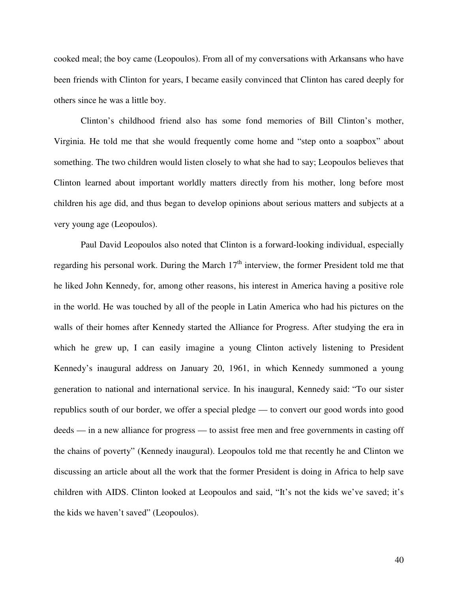cooked meal; the boy came (Leopoulos). From all of my conversations with Arkansans who have been friends with Clinton for years, I became easily convinced that Clinton has cared deeply for others since he was a little boy.

 Clinton's childhood friend also has some fond memories of Bill Clinton's mother, Virginia. He told me that she would frequently come home and "step onto a soapbox" about something. The two children would listen closely to what she had to say; Leopoulos believes that Clinton learned about important worldly matters directly from his mother, long before most children his age did, and thus began to develop opinions about serious matters and subjects at a very young age (Leopoulos).

Paul David Leopoulos also noted that Clinton is a forward-looking individual, especially regarding his personal work. During the March  $17<sup>th</sup>$  interview, the former President told me that he liked John Kennedy, for, among other reasons, his interest in America having a positive role in the world. He was touched by all of the people in Latin America who had his pictures on the walls of their homes after Kennedy started the Alliance for Progress. After studying the era in which he grew up, I can easily imagine a young Clinton actively listening to President Kennedy's inaugural address on January 20, 1961, in which Kennedy summoned a young generation to national and international service. In his inaugural, Kennedy said: "To our sister republics south of our border, we offer a special pledge — to convert our good words into good deeds — in a new alliance for progress — to assist free men and free governments in casting off the chains of poverty" (Kennedy inaugural). Leopoulos told me that recently he and Clinton we discussing an article about all the work that the former President is doing in Africa to help save children with AIDS. Clinton looked at Leopoulos and said, "It's not the kids we've saved; it's the kids we haven't saved" (Leopoulos).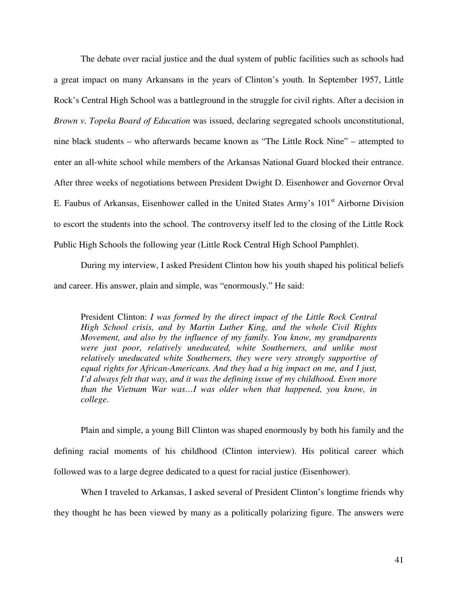The debate over racial justice and the dual system of public facilities such as schools had a great impact on many Arkansans in the years of Clinton's youth. In September 1957, Little Rock's Central High School was a battleground in the struggle for civil rights. After a decision in *Brown v. Topeka Board of Education* was issued, declaring segregated schools unconstitutional, nine black students – who afterwards became known as "The Little Rock Nine" – attempted to enter an all-white school while members of the Arkansas National Guard blocked their entrance. After three weeks of negotiations between President Dwight D. Eisenhower and Governor Orval E. Faubus of Arkansas, Eisenhower called in the United States Army's 101<sup>st</sup> Airborne Division to escort the students into the school. The controversy itself led to the closing of the Little Rock Public High Schools the following year (Little Rock Central High School Pamphlet).

During my interview, I asked President Clinton how his youth shaped his political beliefs and career. His answer, plain and simple, was "enormously." He said:

President Clinton: *I was formed by the direct impact of the Little Rock Central High School crisis, and by Martin Luther King, and the whole Civil Rights Movement, and also by the influence of my family. You know, my grandparents were just poor, relatively uneducated, white Southerners, and unlike most relatively uneducated white Southerners, they were very strongly supportive of equal rights for African-Americans. And they had a big impact on me, and I just, I'd always felt that way, and it was the defining issue of my childhood. Even more than the Vietnam War was…I was older when that happened, you know, in college*.

Plain and simple, a young Bill Clinton was shaped enormously by both his family and the defining racial moments of his childhood (Clinton interview). His political career which followed was to a large degree dedicated to a quest for racial justice (Eisenhower).

When I traveled to Arkansas, I asked several of President Clinton's longtime friends why they thought he has been viewed by many as a politically polarizing figure. The answers were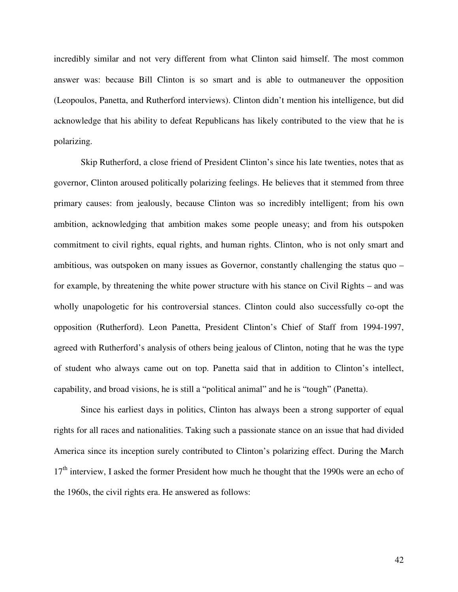incredibly similar and not very different from what Clinton said himself. The most common answer was: because Bill Clinton is so smart and is able to outmaneuver the opposition (Leopoulos, Panetta, and Rutherford interviews). Clinton didn't mention his intelligence, but did acknowledge that his ability to defeat Republicans has likely contributed to the view that he is polarizing.

Skip Rutherford, a close friend of President Clinton's since his late twenties, notes that as governor, Clinton aroused politically polarizing feelings. He believes that it stemmed from three primary causes: from jealously, because Clinton was so incredibly intelligent; from his own ambition, acknowledging that ambition makes some people uneasy; and from his outspoken commitment to civil rights, equal rights, and human rights. Clinton, who is not only smart and ambitious, was outspoken on many issues as Governor, constantly challenging the status quo – for example, by threatening the white power structure with his stance on Civil Rights – and was wholly unapologetic for his controversial stances. Clinton could also successfully co-opt the opposition (Rutherford). Leon Panetta, President Clinton's Chief of Staff from 1994-1997, agreed with Rutherford's analysis of others being jealous of Clinton, noting that he was the type of student who always came out on top. Panetta said that in addition to Clinton's intellect, capability, and broad visions, he is still a "political animal" and he is "tough" (Panetta).

Since his earliest days in politics, Clinton has always been a strong supporter of equal rights for all races and nationalities. Taking such a passionate stance on an issue that had divided America since its inception surely contributed to Clinton's polarizing effect. During the March  $17<sup>th</sup>$  interview, I asked the former President how much he thought that the 1990s were an echo of the 1960s, the civil rights era. He answered as follows: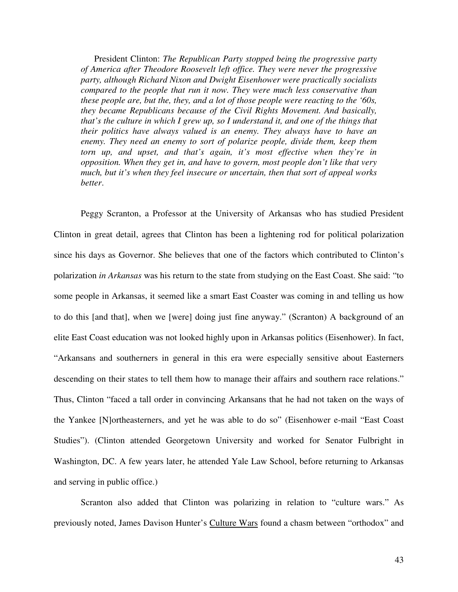President Clinton: *The Republican Party stopped being the progressive party of America after Theodore Roosevelt left office. They were never the progressive party, although Richard Nixon and Dwight Eisenhower were practically socialists compared to the people that run it now. They were much less conservative than these people are, but the, they, and a lot of those people were reacting to the '60s, they became Republicans because of the Civil Rights Movement. And basically, that's the culture in which I grew up, so I understand it, and one of the things that their politics have always valued is an enemy. They always have to have an enemy. They need an enemy to sort of polarize people, divide them, keep them torn up, and upset, and that's again, it's most effective when they're in opposition. When they get in, and have to govern, most people don't like that very much, but it's when they feel insecure or uncertain, then that sort of appeal works better*.

 Peggy Scranton, a Professor at the University of Arkansas who has studied President Clinton in great detail, agrees that Clinton has been a lightening rod for political polarization since his days as Governor. She believes that one of the factors which contributed to Clinton's polarization *in Arkansas* was his return to the state from studying on the East Coast. She said: "to some people in Arkansas, it seemed like a smart East Coaster was coming in and telling us how to do this [and that], when we [were] doing just fine anyway." (Scranton) A background of an elite East Coast education was not looked highly upon in Arkansas politics (Eisenhower). In fact, "Arkansans and southerners in general in this era were especially sensitive about Easterners descending on their states to tell them how to manage their affairs and southern race relations." Thus, Clinton "faced a tall order in convincing Arkansans that he had not taken on the ways of the Yankee [N]ortheasterners, and yet he was able to do so" (Eisenhower e-mail "East Coast Studies"). (Clinton attended Georgetown University and worked for Senator Fulbright in Washington, DC. A few years later, he attended Yale Law School, before returning to Arkansas and serving in public office.)

Scranton also added that Clinton was polarizing in relation to "culture wars." As previously noted, James Davison Hunter's Culture Wars found a chasm between "orthodox" and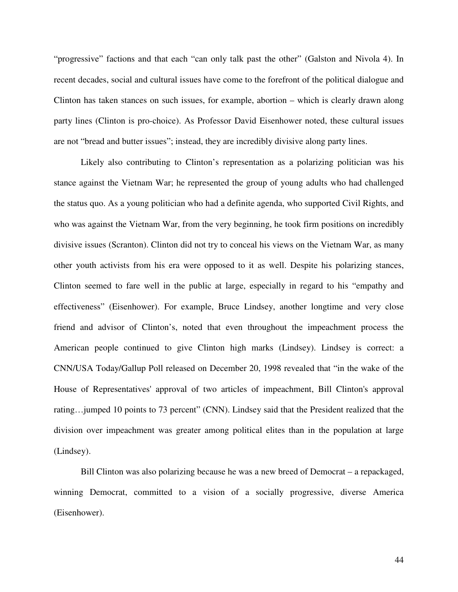"progressive" factions and that each "can only talk past the other" (Galston and Nivola 4). In recent decades, social and cultural issues have come to the forefront of the political dialogue and Clinton has taken stances on such issues, for example, abortion – which is clearly drawn along party lines (Clinton is pro-choice). As Professor David Eisenhower noted, these cultural issues are not "bread and butter issues"; instead, they are incredibly divisive along party lines.

Likely also contributing to Clinton's representation as a polarizing politician was his stance against the Vietnam War; he represented the group of young adults who had challenged the status quo. As a young politician who had a definite agenda, who supported Civil Rights, and who was against the Vietnam War, from the very beginning, he took firm positions on incredibly divisive issues (Scranton). Clinton did not try to conceal his views on the Vietnam War, as many other youth activists from his era were opposed to it as well. Despite his polarizing stances, Clinton seemed to fare well in the public at large, especially in regard to his "empathy and effectiveness" (Eisenhower). For example, Bruce Lindsey, another longtime and very close friend and advisor of Clinton's, noted that even throughout the impeachment process the American people continued to give Clinton high marks (Lindsey). Lindsey is correct: a CNN/USA Today/Gallup Poll released on December 20, 1998 revealed that "in the wake of the House of Representatives' approval of two articles of impeachment, Bill Clinton's approval rating... jumped 10 points to 73 percent" (CNN). Lindsey said that the President realized that the division over impeachment was greater among political elites than in the population at large (Lindsey).

 Bill Clinton was also polarizing because he was a new breed of Democrat – a repackaged, winning Democrat, committed to a vision of a socially progressive, diverse America (Eisenhower).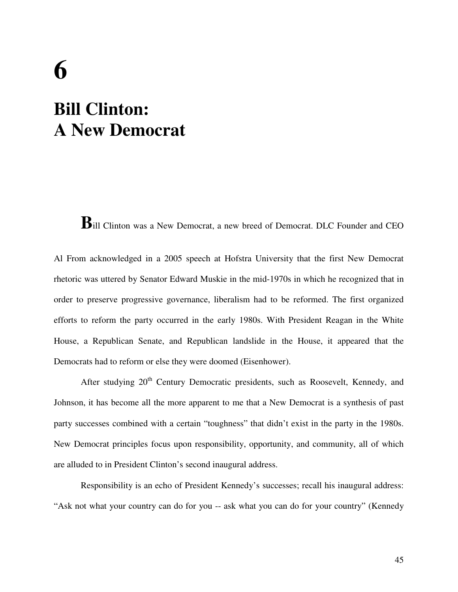# **6 Bill Clinton: A New Democrat**

**B**ill Clinton was a New Democrat, a new breed of Democrat. DLC Founder and CEO

Al From acknowledged in a 2005 speech at Hofstra University that the first New Democrat rhetoric was uttered by Senator Edward Muskie in the mid-1970s in which he recognized that in order to preserve progressive governance, liberalism had to be reformed. The first organized efforts to reform the party occurred in the early 1980s. With President Reagan in the White House, a Republican Senate, and Republican landslide in the House, it appeared that the Democrats had to reform or else they were doomed (Eisenhower).

After studying  $20<sup>th</sup>$  Century Democratic presidents, such as Roosevelt, Kennedy, and Johnson, it has become all the more apparent to me that a New Democrat is a synthesis of past party successes combined with a certain "toughness" that didn't exist in the party in the 1980s. New Democrat principles focus upon responsibility, opportunity, and community, all of which are alluded to in President Clinton's second inaugural address.

Responsibility is an echo of President Kennedy's successes; recall his inaugural address: "Ask not what your country can do for you -- ask what you can do for your country" (Kennedy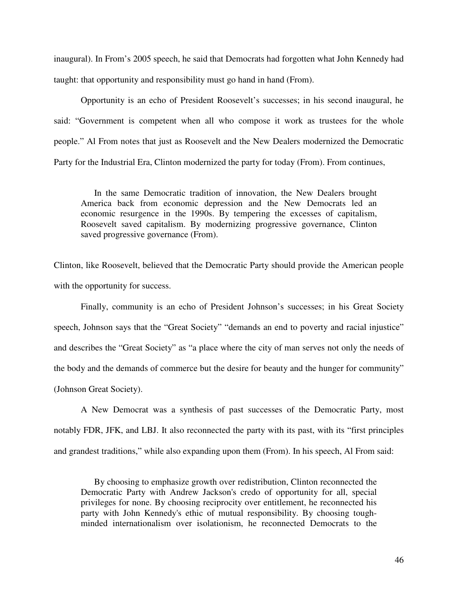inaugural). In From's 2005 speech, he said that Democrats had forgotten what John Kennedy had taught: that opportunity and responsibility must go hand in hand (From).

Opportunity is an echo of President Roosevelt's successes; in his second inaugural, he said: "Government is competent when all who compose it work as trustees for the whole people." Al From notes that just as Roosevelt and the New Dealers modernized the Democratic Party for the Industrial Era, Clinton modernized the party for today (From). From continues,

In the same Democratic tradition of innovation, the New Dealers brought America back from economic depression and the New Democrats led an economic resurgence in the 1990s. By tempering the excesses of capitalism, Roosevelt saved capitalism. By modernizing progressive governance, Clinton saved progressive governance (From).

Clinton, like Roosevelt, believed that the Democratic Party should provide the American people with the opportunity for success.

 Finally, community is an echo of President Johnson's successes; in his Great Society speech, Johnson says that the "Great Society" "demands an end to poverty and racial injustice" and describes the "Great Society" as "a place where the city of man serves not only the needs of the body and the demands of commerce but the desire for beauty and the hunger for community" (Johnson Great Society).

A New Democrat was a synthesis of past successes of the Democratic Party, most notably FDR, JFK, and LBJ. It also reconnected the party with its past, with its "first principles" and grandest traditions," while also expanding upon them (From). In his speech, Al From said:

By choosing to emphasize growth over redistribution, Clinton reconnected the Democratic Party with Andrew Jackson's credo of opportunity for all, special privileges for none. By choosing reciprocity over entitlement, he reconnected his party with John Kennedy's ethic of mutual responsibility. By choosing toughminded internationalism over isolationism, he reconnected Democrats to the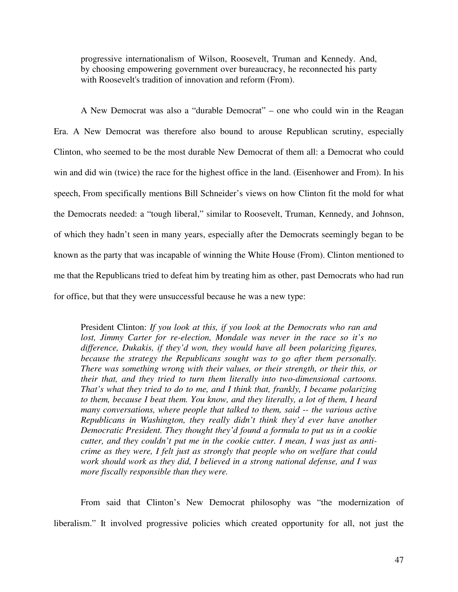progressive internationalism of Wilson, Roosevelt, Truman and Kennedy. And, by choosing empowering government over bureaucracy, he reconnected his party with Roosevelt's tradition of innovation and reform (From).

A New Democrat was also a "durable Democrat" – one who could win in the Reagan Era. A New Democrat was therefore also bound to arouse Republican scrutiny, especially Clinton, who seemed to be the most durable New Democrat of them all: a Democrat who could win and did win (twice) the race for the highest office in the land. (Eisenhower and From). In his speech, From specifically mentions Bill Schneider's views on how Clinton fit the mold for what the Democrats needed: a "tough liberal," similar to Roosevelt, Truman, Kennedy, and Johnson, of which they hadn't seen in many years, especially after the Democrats seemingly began to be known as the party that was incapable of winning the White House (From). Clinton mentioned to me that the Republicans tried to defeat him by treating him as other, past Democrats who had run for office, but that they were unsuccessful because he was a new type:

President Clinton: *If you look at this, if you look at the Democrats who ran and lost, Jimmy Carter for re-election, Mondale was never in the race so it's no difference, Dukakis, if they'd won, they would have all been polarizing figures, because the strategy the Republicans sought was to go after them personally. There was something wrong with their values, or their strength, or their this, or their that, and they tried to turn them literally into two-dimensional cartoons. That's what they tried to do to me, and I think that, frankly, I became polarizing to them, because I beat them. You know, and they literally, a lot of them, I heard many conversations, where people that talked to them, said -- the various active Republicans in Washington, they really didn't think they'd ever have another Democratic President. They thought they'd found a formula to put us in a cookie cutter, and they couldn't put me in the cookie cutter. I mean, I was just as anticrime as they were, I felt just as strongly that people who on welfare that could work should work as they did, I believed in a strong national defense, and I was more fiscally responsible than they were.*

From said that Clinton's New Democrat philosophy was "the modernization of liberalism." It involved progressive policies which created opportunity for all, not just the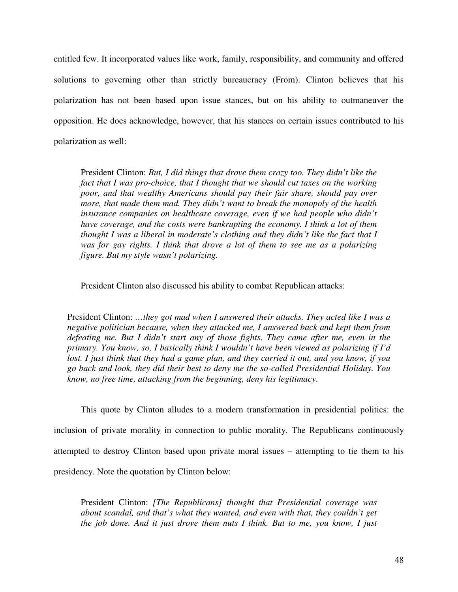entitled few. It incorporated values like work, family, responsibility, and community and offered solutions to governing other than strictly bureaucracy (From). Clinton believes that his polarization has not been based upon issue stances, but on his ability to outmaneuver the opposition. He does acknowledge, however, that his stances on certain issues contributed to his polarization as well:

President Clinton: *But, I did things that drove them crazy too. They didn't like the fact that I was pro-choice, that I thought that we should cut taxes on the working poor, and that wealthy Americans should pay their fair share, should pay over more, that made them mad. They didn't want to break the monopoly of the health insurance companies on healthcare coverage, even if we had people who didn't have coverage, and the costs were bankrupting the economy. I think a lot of them thought I was a liberal in moderate's clothing and they didn't like the fact that I was for gay rights. I think that drove a lot of them to see me as a polarizing figure. But my style wasn't polarizing.* 

President Clinton also discussed his ability to combat Republican attacks:

President Clinton: *…they got mad when I answered their attacks. They acted like I was a negative politician because, when they attacked me, I answered back and kept them from defeating me. But I didn't start any of those fights. They came after me, even in the primary. You know, so, I basically think I wouldn't have been viewed as polarizing if I'd lost. I just think that they had a game plan, and they carried it out, and you know, if you go back and look, they did their best to deny me the so-called Presidential Holiday. You know, no free time, attacking from the beginning, deny his legitimacy*.

 This quote by Clinton alludes to a modern transformation in presidential politics: the inclusion of private morality in connection to public morality. The Republicans continuously attempted to destroy Clinton based upon private moral issues – attempting to tie them to his presidency. Note the quotation by Clinton below:

President Clinton: *[The Republicans] thought that Presidential coverage was about scandal, and that's what they wanted, and even with that, they couldn't get the job done. And it just drove them nuts I think. But to me, you know, I just*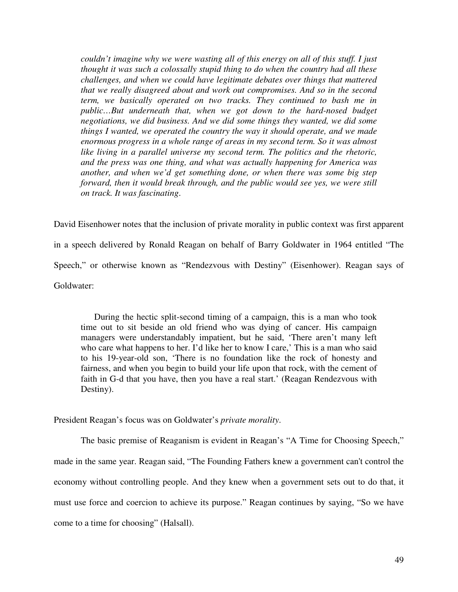*couldn't imagine why we were wasting all of this energy on all of this stuff. I just thought it was such a colossally stupid thing to do when the country had all these challenges, and when we could have legitimate debates over things that mattered that we really disagreed about and work out compromises. And so in the second term, we basically operated on two tracks. They continued to bash me in public…But underneath that, when we got down to the hard-nosed budget negotiations, we did business. And we did some things they wanted, we did some things I wanted, we operated the country the way it should operate, and we made enormous progress in a whole range of areas in my second term. So it was almost like living in a parallel universe my second term. The politics and the rhetoric, and the press was one thing, and what was actually happening for America was another, and when we'd get something done, or when there was some big step forward, then it would break through, and the public would see yes, we were still on track. It was fascinating*.

David Eisenhower notes that the inclusion of private morality in public context was first apparent in a speech delivered by Ronald Reagan on behalf of Barry Goldwater in 1964 entitled "The Speech," or otherwise known as "Rendezvous with Destiny" (Eisenhower). Reagan says of Goldwater:

During the hectic split-second timing of a campaign, this is a man who took time out to sit beside an old friend who was dying of cancer. His campaign managers were understandably impatient, but he said, 'There aren't many left who care what happens to her. I'd like her to know I care,' This is a man who said to his 19-year-old son, 'There is no foundation like the rock of honesty and fairness, and when you begin to build your life upon that rock, with the cement of faith in G-d that you have, then you have a real start.' (Reagan Rendezvous with Destiny).

President Reagan's focus was on Goldwater's *private morality*.

The basic premise of Reaganism is evident in Reagan's "A Time for Choosing Speech," made in the same year. Reagan said, "The Founding Fathers knew a government can't control the economy without controlling people. And they knew when a government sets out to do that, it must use force and coercion to achieve its purpose." Reagan continues by saying, "So we have come to a time for choosing" (Halsall).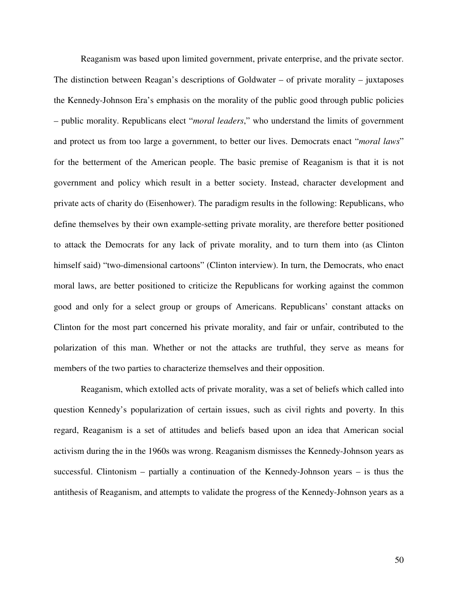Reaganism was based upon limited government, private enterprise, and the private sector. The distinction between Reagan's descriptions of Goldwater – of private morality – juxtaposes the Kennedy-Johnson Era's emphasis on the morality of the public good through public policies – public morality. Republicans elect "*moral leaders*," who understand the limits of government and protect us from too large a government, to better our lives. Democrats enact "*moral laws*" for the betterment of the American people. The basic premise of Reaganism is that it is not government and policy which result in a better society. Instead, character development and private acts of charity do (Eisenhower). The paradigm results in the following: Republicans, who define themselves by their own example-setting private morality, are therefore better positioned to attack the Democrats for any lack of private morality, and to turn them into (as Clinton himself said) "two-dimensional cartoons" (Clinton interview). In turn, the Democrats, who enact moral laws, are better positioned to criticize the Republicans for working against the common good and only for a select group or groups of Americans. Republicans' constant attacks on Clinton for the most part concerned his private morality, and fair or unfair, contributed to the polarization of this man. Whether or not the attacks are truthful, they serve as means for members of the two parties to characterize themselves and their opposition.

 Reaganism, which extolled acts of private morality, was a set of beliefs which called into question Kennedy's popularization of certain issues, such as civil rights and poverty. In this regard, Reaganism is a set of attitudes and beliefs based upon an idea that American social activism during the in the 1960s was wrong. Reaganism dismisses the Kennedy-Johnson years as successful. Clintonism – partially a continuation of the Kennedy-Johnson years – is thus the antithesis of Reaganism, and attempts to validate the progress of the Kennedy-Johnson years as a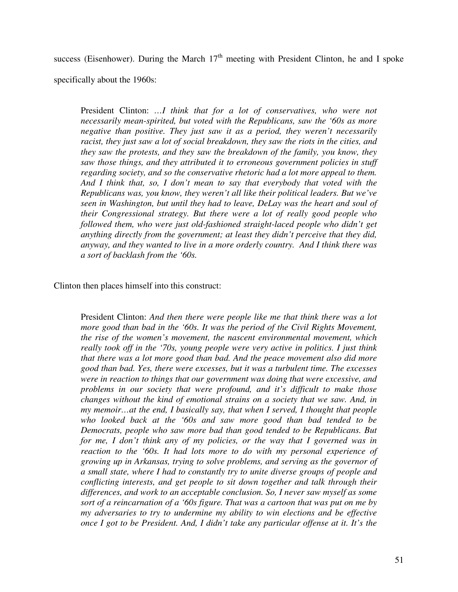success (Eisenhower). During the March  $17<sup>th</sup>$  meeting with President Clinton, he and I spoke specifically about the 1960s:

President Clinton: *…I think that for a lot of conservatives, who were not necessarily mean-spirited, but voted with the Republicans, saw the '60s as more negative than positive. They just saw it as a period, they weren't necessarily racist, they just saw a lot of social breakdown, they saw the riots in the cities, and they saw the protests, and they saw the breakdown of the family, you know, they saw those things, and they attributed it to erroneous government policies in stuff regarding society, and so the conservative rhetoric had a lot more appeal to them. And I think that, so, I don't mean to say that everybody that voted with the Republicans was, you know, they weren't all like their political leaders. But we've seen in Washington, but until they had to leave, DeLay was the heart and soul of their Congressional strategy. But there were a lot of really good people who followed them, who were just old-fashioned straight-laced people who didn't get anything directly from the government; at least they didn't perceive that they did, anyway, and they wanted to live in a more orderly country. And I think there was a sort of backlash from the '60s.* 

### Clinton then places himself into this construct:

President Clinton: *And then there were people like me that think there was a lot more good than bad in the '60s. It was the period of the Civil Rights Movement, the rise of the women's movement, the nascent environmental movement, which really took off in the '70s, young people were very active in politics. I just think that there was a lot more good than bad. And the peace movement also did more good than bad. Yes, there were excesses, but it was a turbulent time. The excesses were in reaction to things that our government was doing that were excessive, and problems in our society that were profound, and it's difficult to make those changes without the kind of emotional strains on a society that we saw. And, in my memoir…at the end, I basically say, that when I served, I thought that people who looked back at the '60s and saw more good than bad tended to be Democrats, people who saw more bad than good tended to be Republicans. But for me, I don't think any of my policies, or the way that I governed was in reaction to the '60s. It had lots more to do with my personal experience of growing up in Arkansas, trying to solve problems, and serving as the governor of a small state, where I had to constantly try to unite diverse groups of people and conflicting interests, and get people to sit down together and talk through their differences, and work to an acceptable conclusion. So, I never saw myself as some sort of a reincarnation of a '60s figure. That was a cartoon that was put on me by my adversaries to try to undermine my ability to win elections and be effective once I got to be President. And, I didn't take any particular offense at it. It's the*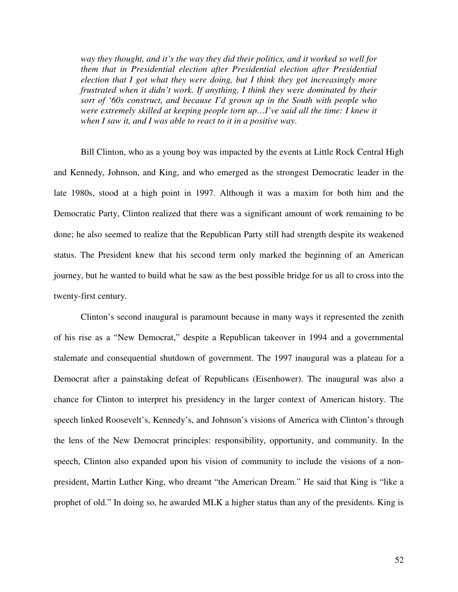*way they thought, and it's the way they did their politics, and it worked so well for them that in Presidential election after Presidential election after Presidential election that I got what they were doing, but I think they got increasingly more frustrated when it didn't work. If anything, I think they were dominated by their sort of '60s construct, and because I'd grown up in the South with people who were extremely skilled at keeping people torn up…I've said all the time: I knew it when I saw it, and I was able to react to it in a positive way*.

Bill Clinton, who as a young boy was impacted by the events at Little Rock Central High and Kennedy, Johnson, and King, and who emerged as the strongest Democratic leader in the late 1980s, stood at a high point in 1997. Although it was a maxim for both him and the Democratic Party, Clinton realized that there was a significant amount of work remaining to be done; he also seemed to realize that the Republican Party still had strength despite its weakened status. The President knew that his second term only marked the beginning of an American journey, but he wanted to build what he saw as the best possible bridge for us all to cross into the twenty-first century.

Clinton's second inaugural is paramount because in many ways it represented the zenith of his rise as a "New Democrat," despite a Republican takeover in 1994 and a governmental stalemate and consequential shutdown of government. The 1997 inaugural was a plateau for a Democrat after a painstaking defeat of Republicans (Eisenhower). The inaugural was also a chance for Clinton to interpret his presidency in the larger context of American history. The speech linked Roosevelt's, Kennedy's, and Johnson's visions of America with Clinton's through the lens of the New Democrat principles: responsibility, opportunity, and community. In the speech, Clinton also expanded upon his vision of community to include the visions of a nonpresident, Martin Luther King, who dreamt "the American Dream." He said that King is "like a prophet of old." In doing so, he awarded MLK a higher status than any of the presidents. King is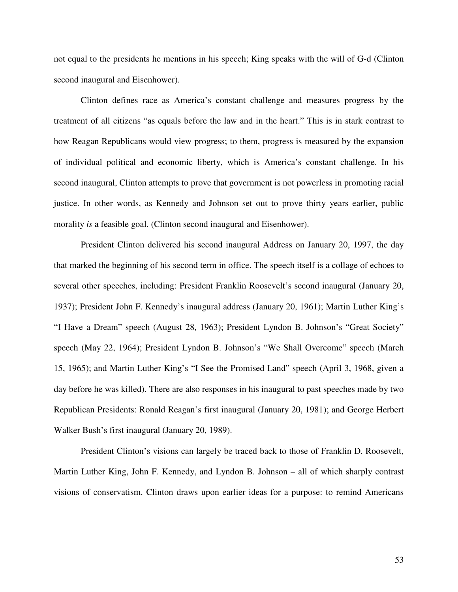not equal to the presidents he mentions in his speech; King speaks with the will of G-d (Clinton second inaugural and Eisenhower).

Clinton defines race as America's constant challenge and measures progress by the treatment of all citizens "as equals before the law and in the heart." This is in stark contrast to how Reagan Republicans would view progress; to them, progress is measured by the expansion of individual political and economic liberty, which is America's constant challenge. In his second inaugural, Clinton attempts to prove that government is not powerless in promoting racial justice. In other words, as Kennedy and Johnson set out to prove thirty years earlier, public morality *is* a feasible goal. (Clinton second inaugural and Eisenhower).

President Clinton delivered his second inaugural Address on January 20, 1997, the day that marked the beginning of his second term in office. The speech itself is a collage of echoes to several other speeches, including: President Franklin Roosevelt's second inaugural (January 20, 1937); President John F. Kennedy's inaugural address (January 20, 1961); Martin Luther King's "I Have a Dream" speech (August 28, 1963); President Lyndon B. Johnson's "Great Society" speech (May 22, 1964); President Lyndon B. Johnson's "We Shall Overcome" speech (March 15, 1965); and Martin Luther King's "I See the Promised Land" speech (April 3, 1968, given a day before he was killed). There are also responses in his inaugural to past speeches made by two Republican Presidents: Ronald Reagan's first inaugural (January 20, 1981); and George Herbert Walker Bush's first inaugural (January 20, 1989).

President Clinton's visions can largely be traced back to those of Franklin D. Roosevelt, Martin Luther King, John F. Kennedy, and Lyndon B. Johnson – all of which sharply contrast visions of conservatism. Clinton draws upon earlier ideas for a purpose: to remind Americans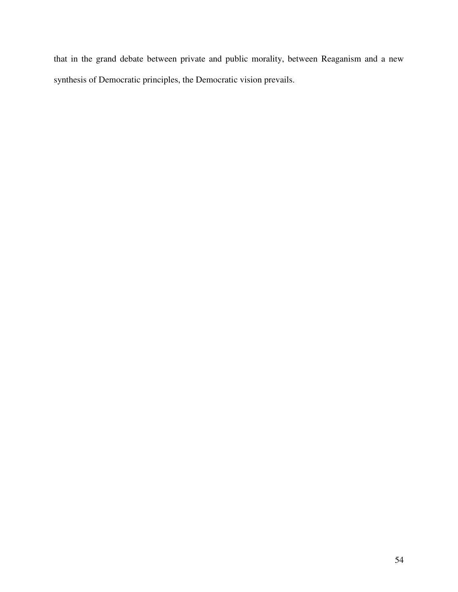that in the grand debate between private and public morality, between Reaganism and a new synthesis of Democratic principles, the Democratic vision prevails.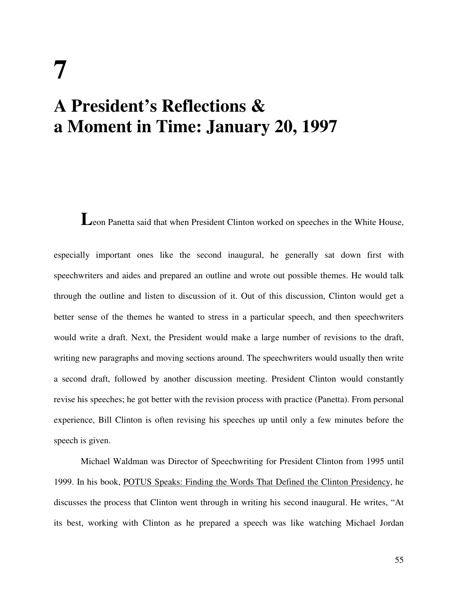# **7 A President's Reflections & a Moment in Time: January 20, 1997**

Leon Panetta said that when President Clinton worked on speeches in the White House,

especially important ones like the second inaugural, he generally sat down first with speechwriters and aides and prepared an outline and wrote out possible themes. He would talk through the outline and listen to discussion of it. Out of this discussion, Clinton would get a better sense of the themes he wanted to stress in a particular speech, and then speechwriters would write a draft. Next, the President would make a large number of revisions to the draft, writing new paragraphs and moving sections around. The speechwriters would usually then write a second draft, followed by another discussion meeting. President Clinton would constantly revise his speeches; he got better with the revision process with practice (Panetta). From personal experience, Bill Clinton is often revising his speeches up until only a few minutes before the speech is given.

Michael Waldman was Director of Speechwriting for President Clinton from 1995 until 1999. In his book, POTUS Speaks: Finding the Words That Defined the Clinton Presidency, he discusses the process that Clinton went through in writing his second inaugural. He writes, "At its best, working with Clinton as he prepared a speech was like watching Michael Jordan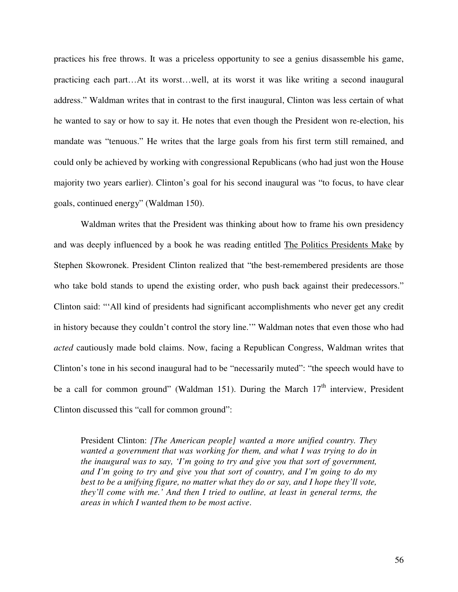practices his free throws. It was a priceless opportunity to see a genius disassemble his game, practicing each part…At its worst…well, at its worst it was like writing a second inaugural address." Waldman writes that in contrast to the first inaugural, Clinton was less certain of what he wanted to say or how to say it. He notes that even though the President won re-election, his mandate was "tenuous." He writes that the large goals from his first term still remained, and could only be achieved by working with congressional Republicans (who had just won the House majority two years earlier). Clinton's goal for his second inaugural was "to focus, to have clear goals, continued energy" (Waldman 150).

Waldman writes that the President was thinking about how to frame his own presidency and was deeply influenced by a book he was reading entitled The Politics Presidents Make by Stephen Skowronek. President Clinton realized that "the best-remembered presidents are those who take bold stands to upend the existing order, who push back against their predecessors." Clinton said: "'All kind of presidents had significant accomplishments who never get any credit in history because they couldn't control the story line.'" Waldman notes that even those who had *acted* cautiously made bold claims. Now, facing a Republican Congress, Waldman writes that Clinton's tone in his second inaugural had to be "necessarily muted": "the speech would have to be a call for common ground" (Waldman 151). During the March  $17<sup>th</sup>$  interview, President Clinton discussed this "call for common ground":

President Clinton: *[The American people] wanted a more unified country. They wanted a government that was working for them, and what I was trying to do in the inaugural was to say, 'I'm going to try and give you that sort of government, and I'm going to try and give you that sort of country, and I'm going to do my best to be a unifying figure, no matter what they do or say, and I hope they'll vote, they'll come with me.' And then I tried to outline, at least in general terms, the areas in which I wanted them to be most active*.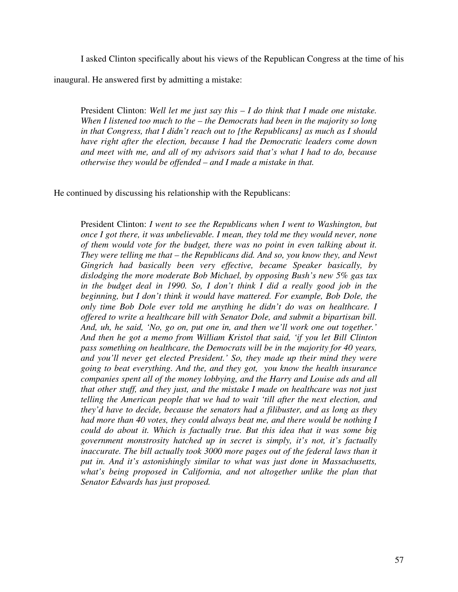I asked Clinton specifically about his views of the Republican Congress at the time of his

inaugural. He answered first by admitting a mistake:

President Clinton: *Well let me just say this – I do think that I made one mistake. When I listened too much to the – the Democrats had been in the majority so long in that Congress, that I didn't reach out to [the Republicans] as much as I should have right after the election, because I had the Democratic leaders come down and meet with me, and all of my advisors said that's what I had to do, because otherwise they would be offended – and I made a mistake in that.* 

He continued by discussing his relationship with the Republicans:

President Clinton: *I went to see the Republicans when I went to Washington, but once I got there, it was unbelievable. I mean, they told me they would never, none of them would vote for the budget, there was no point in even talking about it. They were telling me that – the Republicans did. And so, you know they, and Newt Gingrich had basically been very effective, became Speaker basically, by dislodging the more moderate Bob Michael, by opposing Bush's new 5% gas tax in the budget deal in 1990. So, I don't think I did a really good job in the beginning, but I don't think it would have mattered. For example, Bob Dole, the only time Bob Dole ever told me anything he didn't do was on healthcare. I offered to write a healthcare bill with Senator Dole, and submit a bipartisan bill. And, uh, he said, 'No, go on, put one in, and then we'll work one out together.' And then he got a memo from William Kristol that said, 'if you let Bill Clinton pass something on healthcare, the Democrats will be in the majority for 40 years, and you'll never get elected President.' So, they made up their mind they were going to beat everything. And the, and they got, you know the health insurance companies spent all of the money lobbying, and the Harry and Louise ads and all that other stuff, and they just, and the mistake I made on healthcare was not just telling the American people that we had to wait 'till after the next election, and they'd have to decide, because the senators had a filibuster, and as long as they had more than 40 votes, they could always beat me, and there would be nothing I could do about it. Which is factually true. But this idea that it was some big government monstrosity hatched up in secret is simply, it's not, it's factually inaccurate. The bill actually took 3000 more pages out of the federal laws than it put in. And it's astonishingly similar to what was just done in Massachusetts, what's being proposed in California, and not altogether unlike the plan that Senator Edwards has just proposed.*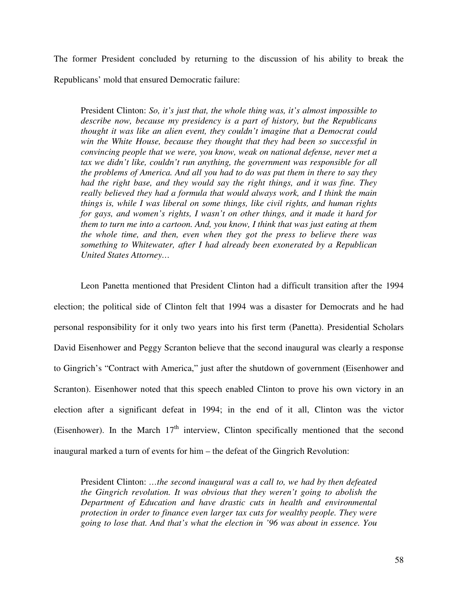The former President concluded by returning to the discussion of his ability to break the Republicans' mold that ensured Democratic failure:

President Clinton: *So, it's just that, the whole thing was, it's almost impossible to describe now, because my presidency is a part of history, but the Republicans thought it was like an alien event, they couldn't imagine that a Democrat could win the White House, because they thought that they had been so successful in convincing people that we were, you know, weak on national defense, never met a* tax we didn't like, couldn't run anything, the government was responsible for all *the problems of America. And all you had to do was put them in there to say they had the right base, and they would say the right things, and it was fine. They really believed they had a formula that would always work, and I think the main things is, while I was liberal on some things, like civil rights, and human rights for gays, and women's rights, I wasn't on other things, and it made it hard for them to turn me into a cartoon. And, you know, I think that was just eating at them the whole time, and then, even when they got the press to believe there was something to Whitewater, after I had already been exonerated by a Republican United States Attorney…* 

Leon Panetta mentioned that President Clinton had a difficult transition after the 1994 election; the political side of Clinton felt that 1994 was a disaster for Democrats and he had personal responsibility for it only two years into his first term (Panetta). Presidential Scholars David Eisenhower and Peggy Scranton believe that the second inaugural was clearly a response to Gingrich's "Contract with America," just after the shutdown of government (Eisenhower and Scranton). Eisenhower noted that this speech enabled Clinton to prove his own victory in an election after a significant defeat in 1994; in the end of it all, Clinton was the victor (Eisenhower). In the March  $17<sup>th</sup>$  interview, Clinton specifically mentioned that the second inaugural marked a turn of events for him – the defeat of the Gingrich Revolution:

President Clinton: *…the second inaugural was a call to, we had by then defeated the Gingrich revolution. It was obvious that they weren't going to abolish the Department of Education and have drastic cuts in health and environmental protection in order to finance even larger tax cuts for wealthy people. They were going to lose that. And that's what the election in '96 was about in essence. You*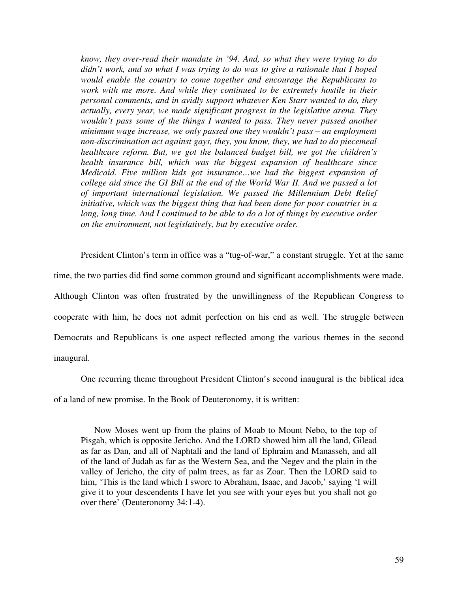*know, they over-read their mandate in '94. And, so what they were trying to do didn't work, and so what I was trying to do was to give a rationale that I hoped would enable the country to come together and encourage the Republicans to work with me more. And while they continued to be extremely hostile in their personal comments, and in avidly support whatever Ken Starr wanted to do, they actually, every year, we made significant progress in the legislative arena. They wouldn't pass some of the things I wanted to pass. They never passed another minimum wage increase, we only passed one they wouldn't pass – an employment non-discrimination act against gays, they, you know, they, we had to do piecemeal healthcare reform. But, we got the balanced budget bill, we got the children's health insurance bill, which was the biggest expansion of healthcare since Medicaid. Five million kids got insurance…we had the biggest expansion of college aid since the GI Bill at the end of the World War II. And we passed a lot of important international legislation. We passed the Millennium Debt Relief initiative, which was the biggest thing that had been done for poor countries in a*  long, long time. And I continued to be able to do a lot of things by executive order *on the environment, not legislatively, but by executive order.* 

President Clinton's term in office was a "tug-of-war," a constant struggle. Yet at the same time, the two parties did find some common ground and significant accomplishments were made. Although Clinton was often frustrated by the unwillingness of the Republican Congress to cooperate with him, he does not admit perfection on his end as well. The struggle between Democrats and Republicans is one aspect reflected among the various themes in the second inaugural.

 One recurring theme throughout President Clinton's second inaugural is the biblical idea of a land of new promise. In the Book of Deuteronomy, it is written:

Now Moses went up from the plains of Moab to Mount Nebo, to the top of Pisgah, which is opposite Jericho. And the LORD showed him all the land, Gilead as far as Dan, and all of Naphtali and the land of Ephraim and Manasseh, and all of the land of Judah as far as the Western Sea, and the Negev and the plain in the valley of Jericho, the city of palm trees, as far as Zoar. Then the LORD said to him, 'This is the land which I swore to Abraham, Isaac, and Jacob,' saying 'I will give it to your descendents I have let you see with your eyes but you shall not go over there' (Deuteronomy 34:1-4).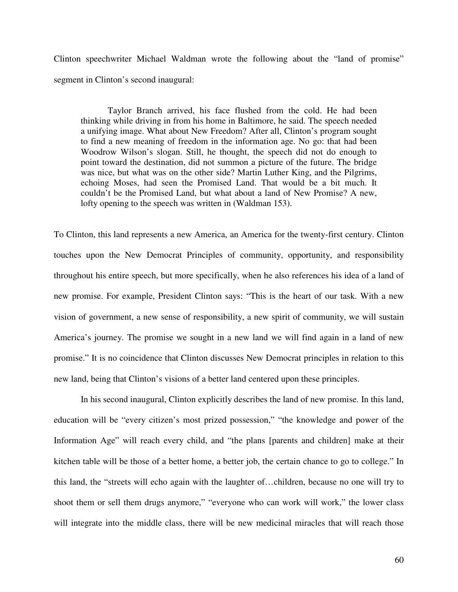Clinton speechwriter Michael Waldman wrote the following about the "land of promise" segment in Clinton's second inaugural:

 Taylor Branch arrived, his face flushed from the cold. He had been thinking while driving in from his home in Baltimore, he said. The speech needed a unifying image. What about New Freedom? After all, Clinton's program sought to find a new meaning of freedom in the information age. No go: that had been Woodrow Wilson's slogan. Still, he thought, the speech did not do enough to point toward the destination, did not summon a picture of the future. The bridge was nice, but what was on the other side? Martin Luther King, and the Pilgrims, echoing Moses, had seen the Promised Land. That would be a bit much. It couldn't be the Promised Land, but what about a land of New Promise? A new, lofty opening to the speech was written in (Waldman 153).

To Clinton, this land represents a new America, an America for the twenty-first century. Clinton touches upon the New Democrat Principles of community, opportunity, and responsibility throughout his entire speech, but more specifically, when he also references his idea of a land of new promise. For example, President Clinton says: "This is the heart of our task. With a new vision of government, a new sense of responsibility, a new spirit of community, we will sustain America's journey. The promise we sought in a new land we will find again in a land of new promise." It is no coincidence that Clinton discusses New Democrat principles in relation to this new land, being that Clinton's visions of a better land centered upon these principles.

 In his second inaugural, Clinton explicitly describes the land of new promise. In this land, education will be "every citizen's most prized possession," "the knowledge and power of the Information Age" will reach every child, and "the plans [parents and children] make at their kitchen table will be those of a better home, a better job, the certain chance to go to college." In this land, the "streets will echo again with the laughter of…children, because no one will try to shoot them or sell them drugs anymore," "everyone who can work will work," the lower class will integrate into the middle class, there will be new medicinal miracles that will reach those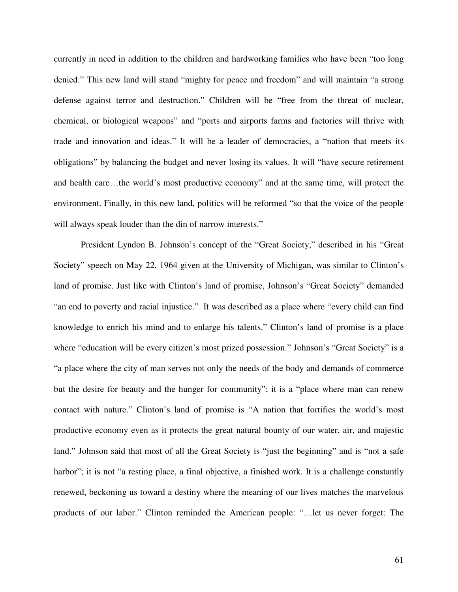currently in need in addition to the children and hardworking families who have been "too long denied." This new land will stand "mighty for peace and freedom" and will maintain "a strong defense against terror and destruction." Children will be "free from the threat of nuclear, chemical, or biological weapons" and "ports and airports farms and factories will thrive with trade and innovation and ideas." It will be a leader of democracies, a "nation that meets its obligations" by balancing the budget and never losing its values. It will "have secure retirement and health care…the world's most productive economy" and at the same time, will protect the environment. Finally, in this new land, politics will be reformed "so that the voice of the people will always speak louder than the din of narrow interests."

President Lyndon B. Johnson's concept of the "Great Society," described in his "Great Society" speech on May 22, 1964 given at the University of Michigan, was similar to Clinton's land of promise. Just like with Clinton's land of promise, Johnson's "Great Society" demanded "an end to poverty and racial injustice." It was described as a place where "every child can find knowledge to enrich his mind and to enlarge his talents." Clinton's land of promise is a place where "education will be every citizen's most prized possession." Johnson's "Great Society" is a "a place where the city of man serves not only the needs of the body and demands of commerce but the desire for beauty and the hunger for community"; it is a "place where man can renew contact with nature." Clinton's land of promise is "A nation that fortifies the world's most productive economy even as it protects the great natural bounty of our water, air, and majestic land." Johnson said that most of all the Great Society is "just the beginning" and is "not a safe harbor"; it is not "a resting place, a final objective, a finished work. It is a challenge constantly renewed, beckoning us toward a destiny where the meaning of our lives matches the marvelous products of our labor." Clinton reminded the American people: "…let us never forget: The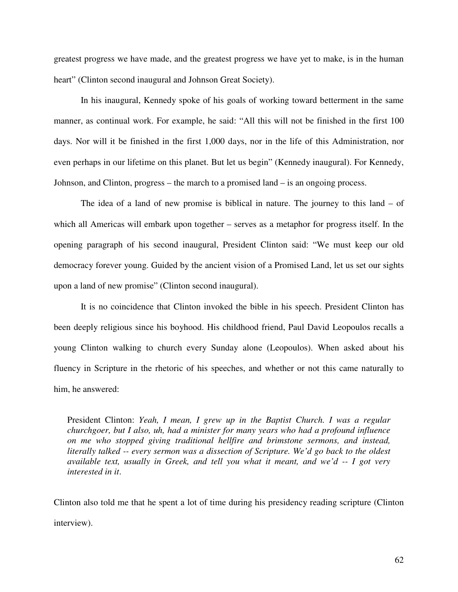greatest progress we have made, and the greatest progress we have yet to make, is in the human heart" (Clinton second inaugural and Johnson Great Society).

In his inaugural, Kennedy spoke of his goals of working toward betterment in the same manner, as continual work. For example, he said: "All this will not be finished in the first 100 days. Nor will it be finished in the first 1,000 days, nor in the life of this Administration, nor even perhaps in our lifetime on this planet. But let us begin" (Kennedy inaugural). For Kennedy, Johnson, and Clinton, progress – the march to a promised land – is an ongoing process.

The idea of a land of new promise is biblical in nature. The journey to this land – of which all Americas will embark upon together – serves as a metaphor for progress itself. In the opening paragraph of his second inaugural, President Clinton said: "We must keep our old democracy forever young. Guided by the ancient vision of a Promised Land, let us set our sights upon a land of new promise" (Clinton second inaugural).

It is no coincidence that Clinton invoked the bible in his speech. President Clinton has been deeply religious since his boyhood. His childhood friend, Paul David Leopoulos recalls a young Clinton walking to church every Sunday alone (Leopoulos). When asked about his fluency in Scripture in the rhetoric of his speeches, and whether or not this came naturally to him, he answered:

President Clinton: *Yeah, I mean, I grew up in the Baptist Church. I was a regular churchgoer, but I also, uh, had a minister for many years who had a profound influence on me who stopped giving traditional hellfire and brimstone sermons, and instead, literally talked -- every sermon was a dissection of Scripture. We'd go back to the oldest available text, usually in Greek, and tell you what it meant, and we'd -- I got very interested in it*.

Clinton also told me that he spent a lot of time during his presidency reading scripture (Clinton interview).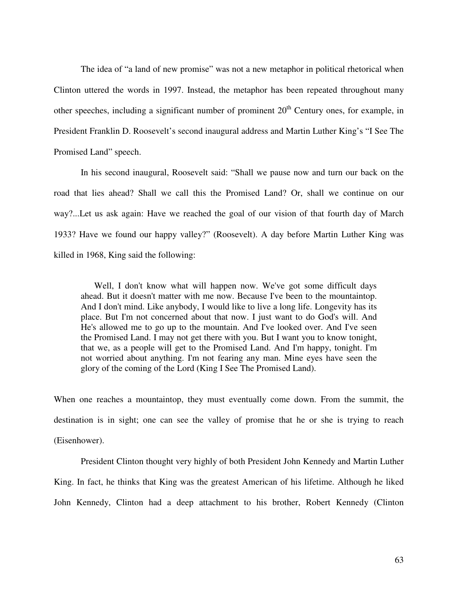The idea of "a land of new promise" was not a new metaphor in political rhetorical when Clinton uttered the words in 1997. Instead, the metaphor has been repeated throughout many other speeches, including a significant number of prominent  $20<sup>th</sup>$  Century ones, for example, in President Franklin D. Roosevelt's second inaugural address and Martin Luther King's "I See The Promised Land" speech.

In his second inaugural, Roosevelt said: "Shall we pause now and turn our back on the road that lies ahead? Shall we call this the Promised Land? Or, shall we continue on our way?...Let us ask again: Have we reached the goal of our vision of that fourth day of March 1933? Have we found our happy valley?" (Roosevelt). A day before Martin Luther King was killed in 1968, King said the following:

Well, I don't know what will happen now. We've got some difficult days ahead. But it doesn't matter with me now. Because I've been to the mountaintop. And I don't mind. Like anybody, I would like to live a long life. Longevity has its place. But I'm not concerned about that now. I just want to do God's will. And He's allowed me to go up to the mountain. And I've looked over. And I've seen the Promised Land. I may not get there with you. But I want you to know tonight, that we, as a people will get to the Promised Land. And I'm happy, tonight. I'm not worried about anything. I'm not fearing any man. Mine eyes have seen the glory of the coming of the Lord (King I See The Promised Land).

When one reaches a mountaintop, they must eventually come down. From the summit, the destination is in sight; one can see the valley of promise that he or she is trying to reach (Eisenhower).

 President Clinton thought very highly of both President John Kennedy and Martin Luther King. In fact, he thinks that King was the greatest American of his lifetime. Although he liked John Kennedy, Clinton had a deep attachment to his brother, Robert Kennedy (Clinton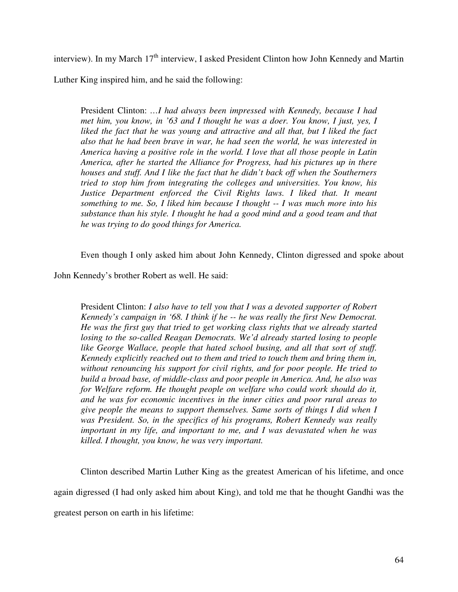interview). In my March  $17<sup>th</sup>$  interview, I asked President Clinton how John Kennedy and Martin

Luther King inspired him, and he said the following:

President Clinton: *…I had always been impressed with Kennedy, because I had met him, you know, in '63 and I thought he was a doer. You know, I just, yes, I*  liked the fact that he was young and attractive and all that, but I liked the fact *also that he had been brave in war, he had seen the world, he was interested in America having a positive role in the world. I love that all those people in Latin America, after he started the Alliance for Progress, had his pictures up in there houses and stuff. And I like the fact that he didn't back off when the Southerners tried to stop him from integrating the colleges and universities. You know, his Justice Department enforced the Civil Rights laws. I liked that. It meant something to me. So, I liked him because I thought -- I was much more into his substance than his style. I thought he had a good mind and a good team and that he was trying to do good things for America.* 

Even though I only asked him about John Kennedy, Clinton digressed and spoke about

John Kennedy's brother Robert as well. He said:

President Clinton: *I also have to tell you that I was a devoted supporter of Robert Kennedy's campaign in '68. I think if he -- he was really the first New Democrat. He was the first guy that tried to get working class rights that we already started losing to the so-called Reagan Democrats. We'd already started losing to people*  like George Wallace, people that hated school busing, and all that sort of stuff. *Kennedy explicitly reached out to them and tried to touch them and bring them in, without renouncing his support for civil rights, and for poor people. He tried to build a broad base, of middle-class and poor people in America. And, he also was for Welfare reform. He thought people on welfare who could work should do it, and he was for economic incentives in the inner cities and poor rural areas to give people the means to support themselves. Same sorts of things I did when I was President. So, in the specifics of his programs, Robert Kennedy was really important in my life, and important to me, and I was devastated when he was killed. I thought, you know, he was very important.* 

 Clinton described Martin Luther King as the greatest American of his lifetime, and once again digressed (I had only asked him about King), and told me that he thought Gandhi was the greatest person on earth in his lifetime: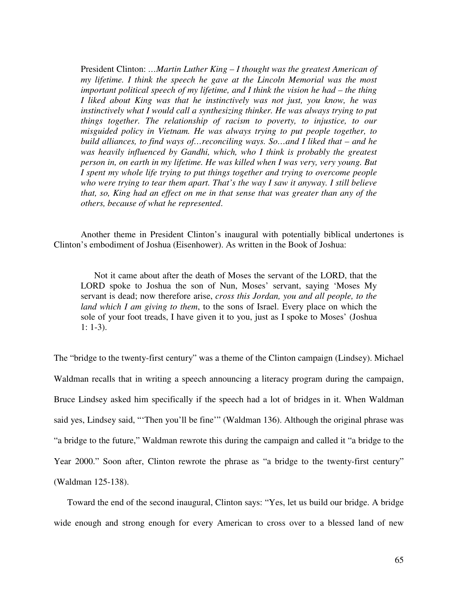President Clinton: *…Martin Luther King – I thought was the greatest American of my lifetime. I think the speech he gave at the Lincoln Memorial was the most important political speech of my lifetime, and I think the vision he had – the thing I liked about King was that he instinctively was not just, you know, he was instinctively what I would call a synthesizing thinker. He was always trying to put things together. The relationship of racism to poverty, to injustice, to our misguided policy in Vietnam. He was always trying to put people together, to build alliances, to find ways of…reconciling ways. So…and I liked that – and he*  was heavily influenced by Gandhi, which, who I think is probably the greatest *person in, on earth in my lifetime. He was killed when I was very, very young. But I spent my whole life trying to put things together and trying to overcome people who were trying to tear them apart. That's the way I saw it anyway. I still believe that, so, King had an effect on me in that sense that was greater than any of the others, because of what he represented*.

 Another theme in President Clinton's inaugural with potentially biblical undertones is Clinton's embodiment of Joshua (Eisenhower). As written in the Book of Joshua:

Not it came about after the death of Moses the servant of the LORD, that the LORD spoke to Joshua the son of Nun, Moses' servant, saying 'Moses My servant is dead; now therefore arise, *cross this Jordan, you and all people, to the land which I am giving to them*, to the sons of Israel. Every place on which the sole of your foot treads, I have given it to you, just as I spoke to Moses' (Joshua 1: 1-3).

The "bridge to the twenty-first century" was a theme of the Clinton campaign (Lindsey). Michael Waldman recalls that in writing a speech announcing a literacy program during the campaign, Bruce Lindsey asked him specifically if the speech had a lot of bridges in it. When Waldman said yes, Lindsey said, "'Then you'll be fine'" (Waldman 136). Although the original phrase was "a bridge to the future," Waldman rewrote this during the campaign and called it "a bridge to the Year 2000." Soon after, Clinton rewrote the phrase as "a bridge to the twenty-first century" (Waldman 125-138).

Toward the end of the second inaugural, Clinton says: "Yes, let us build our bridge. A bridge wide enough and strong enough for every American to cross over to a blessed land of new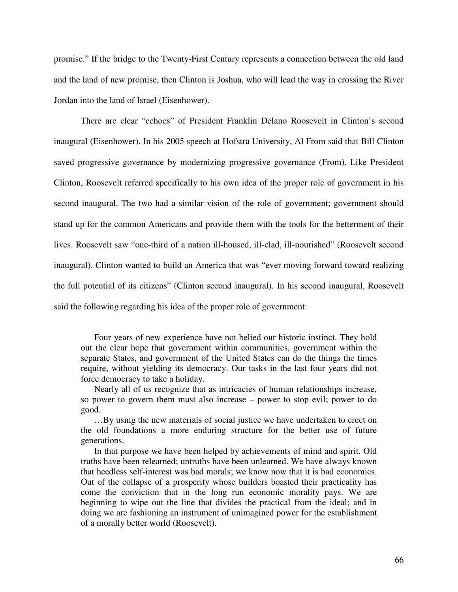promise." If the bridge to the Twenty-First Century represents a connection between the old land and the land of new promise, then Clinton is Joshua, who will lead the way in crossing the River Jordan into the land of Israel (Eisenhower).

There are clear "echoes" of President Franklin Delano Roosevelt in Clinton's second inaugural (Eisenhower). In his 2005 speech at Hofstra University, Al From said that Bill Clinton saved progressive governance by modernizing progressive governance (From). Like President Clinton, Roosevelt referred specifically to his own idea of the proper role of government in his second inaugural. The two had a similar vision of the role of government; government should stand up for the common Americans and provide them with the tools for the betterment of their lives. Roosevelt saw "one-third of a nation ill-housed, ill-clad, ill-nourished" (Roosevelt second inaugural). Clinton wanted to build an America that was "ever moving forward toward realizing the full potential of its citizens" (Clinton second inaugural). In his second inaugural, Roosevelt said the following regarding his idea of the proper role of government:

Four years of new experience have not belied our historic instinct. They hold out the clear hope that government within communities, government within the separate States, and government of the United States can do the things the times require, without yielding its democracy. Our tasks in the last four years did not force democracy to take a holiday.

Nearly all of us recognize that as intricacies of human relationships increase, so power to govern them must also increase – power to stop evil; power to do good.

…By using the new materials of social justice we have undertaken to erect on the old foundations a more enduring structure for the better use of future generations.

In that purpose we have been helped by achievements of mind and spirit. Old truths have been relearned; untruths have been unlearned. We have always known that heedless self-interest was bad morals; we know now that it is bad economics. Out of the collapse of a prosperity whose builders boasted their practicality has come the conviction that in the long run economic morality pays. We are beginning to wipe out the line that divides the practical from the ideal; and in doing we are fashioning an instrument of unimagined power for the establishment of a morally better world (Roosevelt).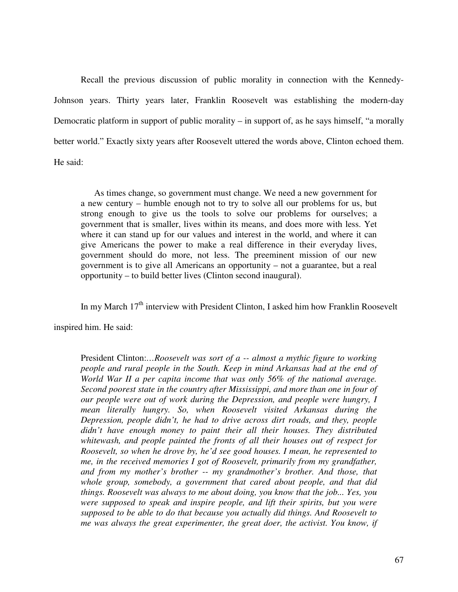Recall the previous discussion of public morality in connection with the Kennedy-Johnson years. Thirty years later, Franklin Roosevelt was establishing the modern-day Democratic platform in support of public morality – in support of, as he says himself, "a morally better world." Exactly sixty years after Roosevelt uttered the words above, Clinton echoed them. He said:

As times change, so government must change. We need a new government for a new century – humble enough not to try to solve all our problems for us, but strong enough to give us the tools to solve our problems for ourselves; a government that is smaller, lives within its means, and does more with less. Yet where it can stand up for our values and interest in the world, and where it can give Americans the power to make a real difference in their everyday lives, government should do more, not less. The preeminent mission of our new government is to give all Americans an opportunity – not a guarantee, but a real opportunity – to build better lives (Clinton second inaugural).

In my March  $17<sup>th</sup>$  interview with President Clinton, I asked him how Franklin Roosevelt

inspired him. He said:

President Clinton:*…Roosevelt was sort of a -- almost a mythic figure to working people and rural people in the South. Keep in mind Arkansas had at the end of World War II a per capita income that was only 56% of the national average. Second poorest state in the country after Mississippi, and more than one in four of our people were out of work during the Depression, and people were hungry, I mean literally hungry. So, when Roosevelt visited Arkansas during the Depression, people didn't, he had to drive across dirt roads, and they, people didn't have enough money to paint their all their houses. They distributed whitewash, and people painted the fronts of all their houses out of respect for Roosevelt, so when he drove by, he'd see good houses. I mean, he represented to me, in the received memories I got of Roosevelt, primarily from my grandfather, and from my mother's brother -- my grandmother's brother. And those, that whole group, somebody, a government that cared about people, and that did things. Roosevelt was always to me about doing, you know that the job... Yes, you were supposed to speak and inspire people, and lift their spirits, but you were supposed to be able to do that because you actually did things. And Roosevelt to me was always the great experimenter, the great doer, the activist. You know, if*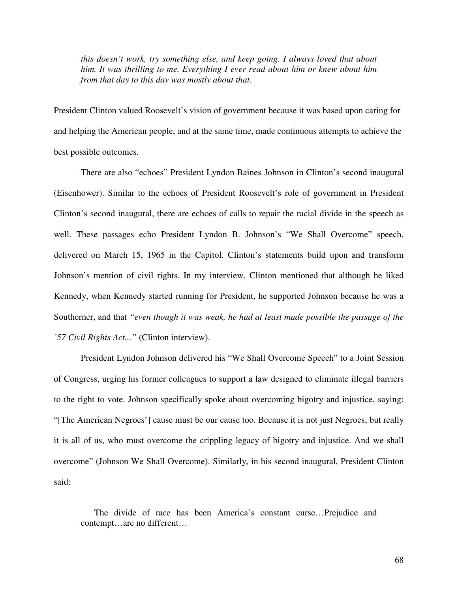*this doesn't work, try something else, and keep going. I always loved that about him. It was thrilling to me. Everything I ever read about him or knew about him from that day to this day was mostly about that.*

President Clinton valued Roosevelt's vision of government because it was based upon caring for and helping the American people, and at the same time, made continuous attempts to achieve the best possible outcomes.

 There are also "echoes" President Lyndon Baines Johnson in Clinton's second inaugural (Eisenhower). Similar to the echoes of President Roosevelt's role of government in President Clinton's second inaugural, there are echoes of calls to repair the racial divide in the speech as well. These passages echo President Lyndon B. Johnson's "We Shall Overcome" speech, delivered on March 15, 1965 in the Capitol. Clinton's statements build upon and transform Johnson's mention of civil rights. In my interview, Clinton mentioned that although he liked Kennedy, when Kennedy started running for President, he supported Johnson because he was a Southerner, and that *"even though it was weak, he had at least made possible the passage of the '57 Civil Rights Act..."* (Clinton interview).

 President Lyndon Johnson delivered his "We Shall Overcome Speech" to a Joint Session of Congress, urging his former colleagues to support a law designed to eliminate illegal barriers to the right to vote. Johnson specifically spoke about overcoming bigotry and injustice, saying: "[The American Negroes'] cause must be our cause too. Because it is not just Negroes, but really it is all of us, who must overcome the crippling legacy of bigotry and injustice. And we shall overcome" (Johnson We Shall Overcome). Similarly, in his second inaugural, President Clinton said:

The divide of race has been America's constant curse…Prejudice and contempt…are no different…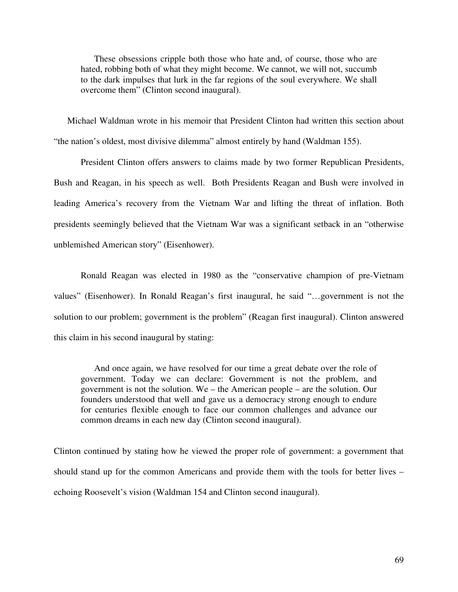These obsessions cripple both those who hate and, of course, those who are hated, robbing both of what they might become. We cannot, we will not, succumb to the dark impulses that lurk in the far regions of the soul everywhere. We shall overcome them" (Clinton second inaugural).

Michael Waldman wrote in his memoir that President Clinton had written this section about "the nation's oldest, most divisive dilemma" almost entirely by hand (Waldman 155).

 President Clinton offers answers to claims made by two former Republican Presidents, Bush and Reagan, in his speech as well. Both Presidents Reagan and Bush were involved in leading America's recovery from the Vietnam War and lifting the threat of inflation. Both presidents seemingly believed that the Vietnam War was a significant setback in an "otherwise unblemished American story" (Eisenhower).

 Ronald Reagan was elected in 1980 as the "conservative champion of pre-Vietnam values" (Eisenhower). In Ronald Reagan's first inaugural, he said "…government is not the solution to our problem; government is the problem" (Reagan first inaugural). Clinton answered this claim in his second inaugural by stating:

And once again, we have resolved for our time a great debate over the role of government. Today we can declare: Government is not the problem, and government is not the solution. We – the American people – are the solution. Our founders understood that well and gave us a democracy strong enough to endure for centuries flexible enough to face our common challenges and advance our common dreams in each new day (Clinton second inaugural).

Clinton continued by stating how he viewed the proper role of government: a government that should stand up for the common Americans and provide them with the tools for better lives – echoing Roosevelt's vision (Waldman 154 and Clinton second inaugural).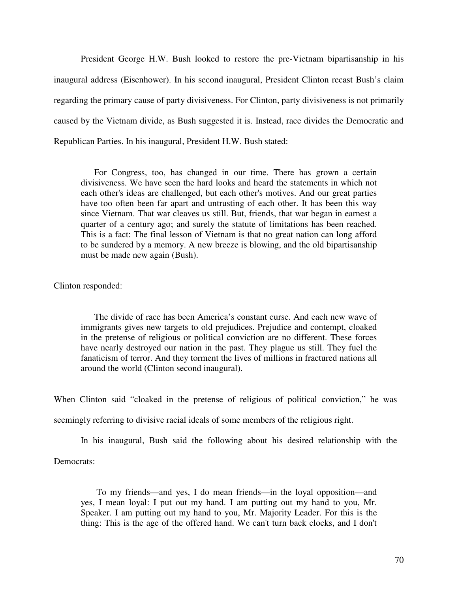President George H.W. Bush looked to restore the pre-Vietnam bipartisanship in his inaugural address (Eisenhower). In his second inaugural, President Clinton recast Bush's claim regarding the primary cause of party divisiveness. For Clinton, party divisiveness is not primarily caused by the Vietnam divide, as Bush suggested it is. Instead, race divides the Democratic and Republican Parties. In his inaugural, President H.W. Bush stated:

For Congress, too, has changed in our time. There has grown a certain divisiveness. We have seen the hard looks and heard the statements in which not each other's ideas are challenged, but each other's motives. And our great parties have too often been far apart and untrusting of each other. It has been this way since Vietnam. That war cleaves us still. But, friends, that war began in earnest a quarter of a century ago; and surely the statute of limitations has been reached. This is a fact: The final lesson of Vietnam is that no great nation can long afford to be sundered by a memory. A new breeze is blowing, and the old bipartisanship must be made new again (Bush).

#### Clinton responded:

The divide of race has been America's constant curse. And each new wave of immigrants gives new targets to old prejudices. Prejudice and contempt, cloaked in the pretense of religious or political conviction are no different. These forces have nearly destroyed our nation in the past. They plague us still. They fuel the fanaticism of terror. And they torment the lives of millions in fractured nations all around the world (Clinton second inaugural).

When Clinton said "cloaked in the pretense of religious of political conviction," he was

seemingly referring to divisive racial ideals of some members of the religious right.

In his inaugural, Bush said the following about his desired relationship with the

Democrats:

 To my friends—and yes, I do mean friends—in the loyal opposition—and yes, I mean loyal: I put out my hand. I am putting out my hand to you, Mr. Speaker. I am putting out my hand to you, Mr. Majority Leader. For this is the thing: This is the age of the offered hand. We can't turn back clocks, and I don't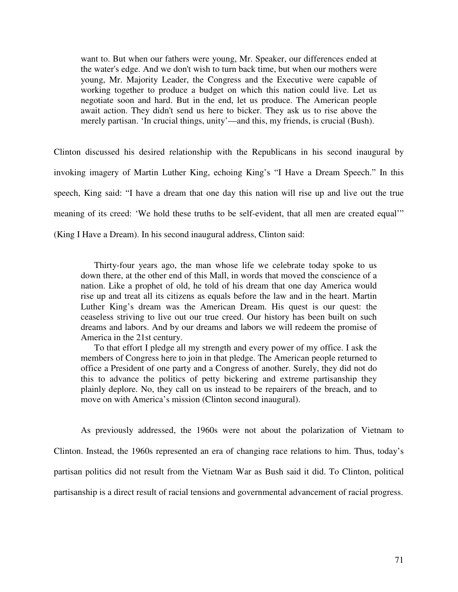want to. But when our fathers were young, Mr. Speaker, our differences ended at the water's edge. And we don't wish to turn back time, but when our mothers were young, Mr. Majority Leader, the Congress and the Executive were capable of working together to produce a budget on which this nation could live. Let us negotiate soon and hard. But in the end, let us produce. The American people await action. They didn't send us here to bicker. They ask us to rise above the merely partisan. 'In crucial things, unity'—and this, my friends, is crucial (Bush).

Clinton discussed his desired relationship with the Republicans in his second inaugural by invoking imagery of Martin Luther King, echoing King's "I Have a Dream Speech." In this speech, King said: "I have a dream that one day this nation will rise up and live out the true meaning of its creed: 'We hold these truths to be self-evident, that all men are created equal'" (King I Have a Dream). In his second inaugural address, Clinton said:

Thirty-four years ago, the man whose life we celebrate today spoke to us down there, at the other end of this Mall, in words that moved the conscience of a nation. Like a prophet of old, he told of his dream that one day America would rise up and treat all its citizens as equals before the law and in the heart. Martin Luther King's dream was the American Dream. His quest is our quest: the ceaseless striving to live out our true creed. Our history has been built on such dreams and labors. And by our dreams and labors we will redeem the promise of America in the 21st century.

To that effort I pledge all my strength and every power of my office. I ask the members of Congress here to join in that pledge. The American people returned to office a President of one party and a Congress of another. Surely, they did not do this to advance the politics of petty bickering and extreme partisanship they plainly deplore. No, they call on us instead to be repairers of the breach, and to move on with America's mission (Clinton second inaugural).

As previously addressed, the 1960s were not about the polarization of Vietnam to Clinton. Instead, the 1960s represented an era of changing race relations to him. Thus, today's partisan politics did not result from the Vietnam War as Bush said it did. To Clinton, political partisanship is a direct result of racial tensions and governmental advancement of racial progress.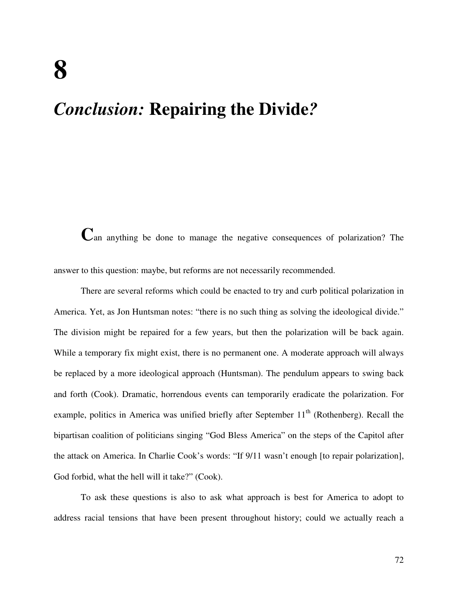## *Conclusion:* **Repairing the Divide***?*

**C**an anything be done to manage the negative consequences of polarization? The answer to this question: maybe, but reforms are not necessarily recommended.

There are several reforms which could be enacted to try and curb political polarization in America. Yet, as Jon Huntsman notes: "there is no such thing as solving the ideological divide." The division might be repaired for a few years, but then the polarization will be back again. While a temporary fix might exist, there is no permanent one. A moderate approach will always be replaced by a more ideological approach (Huntsman). The pendulum appears to swing back and forth (Cook). Dramatic, horrendous events can temporarily eradicate the polarization. For example, politics in America was unified briefly after September  $11<sup>th</sup>$  (Rothenberg). Recall the bipartisan coalition of politicians singing "God Bless America" on the steps of the Capitol after the attack on America. In Charlie Cook's words: "If 9/11 wasn't enough [to repair polarization], God forbid, what the hell will it take?" (Cook).

To ask these questions is also to ask what approach is best for America to adopt to address racial tensions that have been present throughout history; could we actually reach a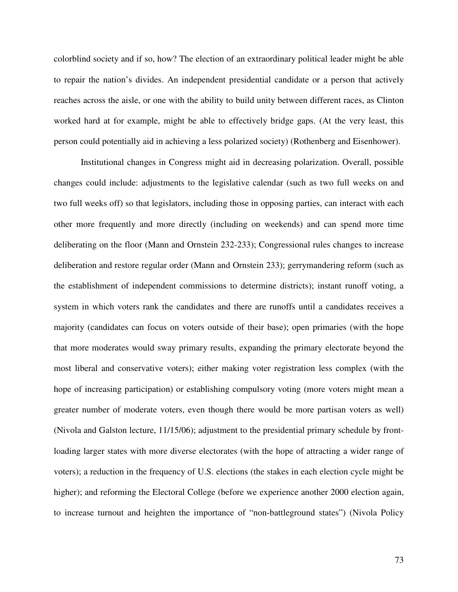colorblind society and if so, how? The election of an extraordinary political leader might be able to repair the nation's divides. An independent presidential candidate or a person that actively reaches across the aisle, or one with the ability to build unity between different races, as Clinton worked hard at for example, might be able to effectively bridge gaps. (At the very least, this person could potentially aid in achieving a less polarized society) (Rothenberg and Eisenhower).

Institutional changes in Congress might aid in decreasing polarization. Overall, possible changes could include: adjustments to the legislative calendar (such as two full weeks on and two full weeks off) so that legislators, including those in opposing parties, can interact with each other more frequently and more directly (including on weekends) and can spend more time deliberating on the floor (Mann and Ornstein 232-233); Congressional rules changes to increase deliberation and restore regular order (Mann and Ornstein 233); gerrymandering reform (such as the establishment of independent commissions to determine districts); instant runoff voting, a system in which voters rank the candidates and there are runoffs until a candidates receives a majority (candidates can focus on voters outside of their base); open primaries (with the hope that more moderates would sway primary results, expanding the primary electorate beyond the most liberal and conservative voters); either making voter registration less complex (with the hope of increasing participation) or establishing compulsory voting (more voters might mean a greater number of moderate voters, even though there would be more partisan voters as well) (Nivola and Galston lecture, 11/15/06); adjustment to the presidential primary schedule by frontloading larger states with more diverse electorates (with the hope of attracting a wider range of voters); a reduction in the frequency of U.S. elections (the stakes in each election cycle might be higher); and reforming the Electoral College (before we experience another 2000 election again, to increase turnout and heighten the importance of "non-battleground states") (Nivola Policy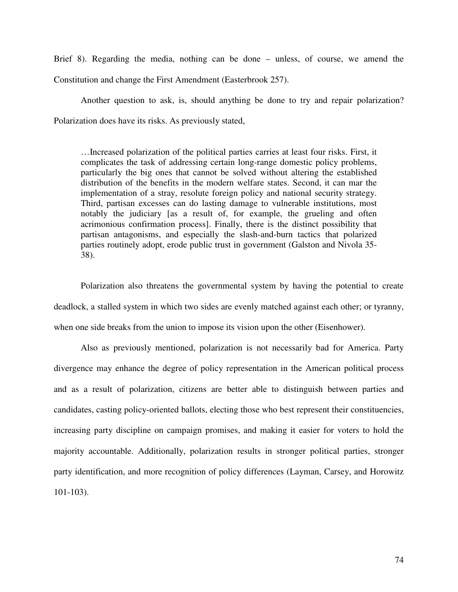Brief 8). Regarding the media, nothing can be done – unless, of course, we amend the Constitution and change the First Amendment (Easterbrook 257).

Another question to ask, is, should anything be done to try and repair polarization? Polarization does have its risks. As previously stated,

…Increased polarization of the political parties carries at least four risks. First, it complicates the task of addressing certain long-range domestic policy problems, particularly the big ones that cannot be solved without altering the established distribution of the benefits in the modern welfare states. Second, it can mar the implementation of a stray, resolute foreign policy and national security strategy. Third, partisan excesses can do lasting damage to vulnerable institutions, most notably the judiciary [as a result of, for example, the grueling and often acrimonious confirmation process]. Finally, there is the distinct possibility that partisan antagonisms, and especially the slash-and-burn tactics that polarized parties routinely adopt, erode public trust in government (Galston and Nivola 35- 38).

Polarization also threatens the governmental system by having the potential to create deadlock, a stalled system in which two sides are evenly matched against each other; or tyranny, when one side breaks from the union to impose its vision upon the other (Eisenhower).

Also as previously mentioned, polarization is not necessarily bad for America. Party divergence may enhance the degree of policy representation in the American political process and as a result of polarization, citizens are better able to distinguish between parties and candidates, casting policy-oriented ballots, electing those who best represent their constituencies, increasing party discipline on campaign promises, and making it easier for voters to hold the majority accountable. Additionally, polarization results in stronger political parties, stronger party identification, and more recognition of policy differences (Layman, Carsey, and Horowitz 101-103).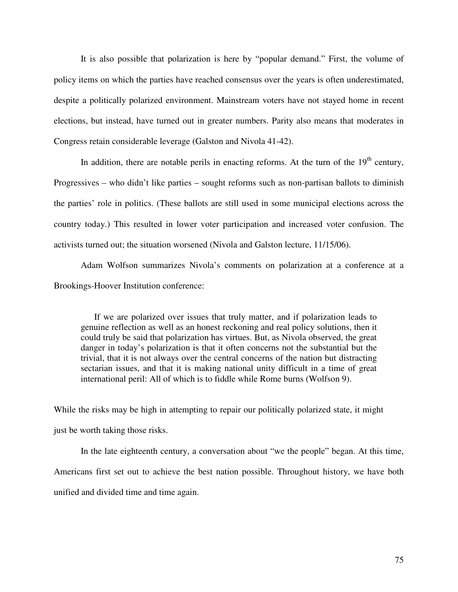It is also possible that polarization is here by "popular demand." First, the volume of policy items on which the parties have reached consensus over the years is often underestimated, despite a politically polarized environment. Mainstream voters have not stayed home in recent elections, but instead, have turned out in greater numbers. Parity also means that moderates in Congress retain considerable leverage (Galston and Nivola 41-42).

In addition, there are notable perils in enacting reforms. At the turn of the  $19<sup>th</sup>$  century, Progressives – who didn't like parties – sought reforms such as non-partisan ballots to diminish the parties' role in politics. (These ballots are still used in some municipal elections across the country today.) This resulted in lower voter participation and increased voter confusion. The activists turned out; the situation worsened (Nivola and Galston lecture, 11/15/06).

 Adam Wolfson summarizes Nivola's comments on polarization at a conference at a Brookings-Hoover Institution conference:

If we are polarized over issues that truly matter, and if polarization leads to genuine reflection as well as an honest reckoning and real policy solutions, then it could truly be said that polarization has virtues. But, as Nivola observed, the great danger in today's polarization is that it often concerns not the substantial but the trivial, that it is not always over the central concerns of the nation but distracting sectarian issues, and that it is making national unity difficult in a time of great international peril: All of which is to fiddle while Rome burns (Wolfson 9).

While the risks may be high in attempting to repair our politically polarized state, it might just be worth taking those risks.

In the late eighteenth century, a conversation about "we the people" began. At this time, Americans first set out to achieve the best nation possible. Throughout history, we have both unified and divided time and time again.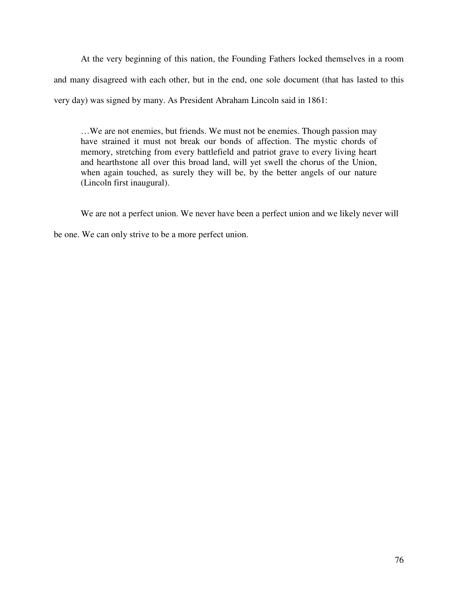At the very beginning of this nation, the Founding Fathers locked themselves in a room and many disagreed with each other, but in the end, one sole document (that has lasted to this very day) was signed by many. As President Abraham Lincoln said in 1861:

…We are not enemies, but friends. We must not be enemies. Though passion may have strained it must not break our bonds of affection. The mystic chords of memory, stretching from every battlefield and patriot grave to every living heart and hearthstone all over this broad land, will yet swell the chorus of the Union, when again touched, as surely they will be, by the better angels of our nature (Lincoln first inaugural).

We are not a perfect union. We never have been a perfect union and we likely never will be one. We can only strive to be a more perfect union.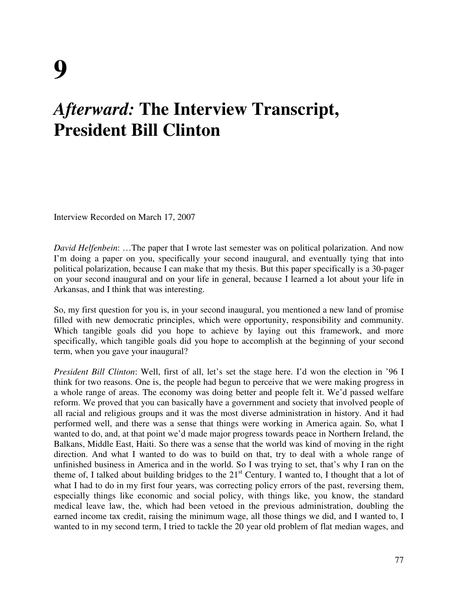## *Afterward:* **The Interview Transcript, President Bill Clinton**

Interview Recorded on March 17, 2007

*David Helfenbein*: …The paper that I wrote last semester was on political polarization. And now I'm doing a paper on you, specifically your second inaugural, and eventually tying that into political polarization, because I can make that my thesis. But this paper specifically is a 30-pager on your second inaugural and on your life in general, because I learned a lot about your life in Arkansas, and I think that was interesting.

So, my first question for you is, in your second inaugural, you mentioned a new land of promise filled with new democratic principles, which were opportunity, responsibility and community. Which tangible goals did you hope to achieve by laying out this framework, and more specifically, which tangible goals did you hope to accomplish at the beginning of your second term, when you gave your inaugural?

*President Bill Clinton*: Well, first of all, let's set the stage here. I'd won the election in '96 I think for two reasons. One is, the people had begun to perceive that we were making progress in a whole range of areas. The economy was doing better and people felt it. We'd passed welfare reform. We proved that you can basically have a government and society that involved people of all racial and religious groups and it was the most diverse administration in history. And it had performed well, and there was a sense that things were working in America again. So, what I wanted to do, and, at that point we'd made major progress towards peace in Northern Ireland, the Balkans, Middle East, Haiti. So there was a sense that the world was kind of moving in the right direction. And what I wanted to do was to build on that, try to deal with a whole range of unfinished business in America and in the world. So I was trying to set, that's why I ran on the theme of, I talked about building bridges to the  $21<sup>st</sup>$  Century. I wanted to, I thought that a lot of what I had to do in my first four years, was correcting policy errors of the past, reversing them, especially things like economic and social policy, with things like, you know, the standard medical leave law, the, which had been vetoed in the previous administration, doubling the earned income tax credit, raising the minimum wage, all those things we did, and I wanted to, I wanted to in my second term, I tried to tackle the 20 year old problem of flat median wages, and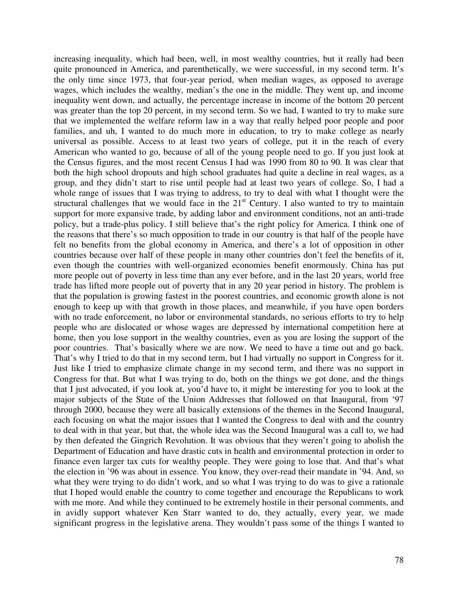increasing inequality, which had been, well, in most wealthy countries, but it really had been quite pronounced in America, and parenthetically, we were successful, in my second term. It's the only time since 1973, that four-year period, when median wages, as opposed to average wages, which includes the wealthy, median's the one in the middle. They went up, and income inequality went down, and actually, the percentage increase in income of the bottom 20 percent was greater than the top 20 percent, in my second term. So we had, I wanted to try to make sure that we implemented the welfare reform law in a way that really helped poor people and poor families, and uh, I wanted to do much more in education, to try to make college as nearly universal as possible. Access to at least two years of college, put it in the reach of every American who wanted to go, because of all of the young people need to go. If you just look at the Census figures, and the most recent Census I had was 1990 from 80 to 90. It was clear that both the high school dropouts and high school graduates had quite a decline in real wages, as a group, and they didn't start to rise until people had at least two years of college. So, I had a whole range of issues that I was trying to address, to try to deal with what I thought were the structural challenges that we would face in the  $21<sup>st</sup>$  Century. I also wanted to try to maintain support for more expansive trade, by adding labor and environment conditions, not an anti-trade policy, but a trade-plus policy. I still believe that's the right policy for America. I think one of the reasons that there's so much opposition to trade in our country is that half of the people have felt no benefits from the global economy in America, and there's a lot of opposition in other countries because over half of these people in many other countries don't feel the benefits of it, even though the countries with well-organized economies benefit enormously. China has put more people out of poverty in less time than any ever before, and in the last 20 years, world free trade has lifted more people out of poverty that in any 20 year period in history. The problem is that the population is growing fastest in the poorest countries, and economic growth alone is not enough to keep up with that growth in those places, and meanwhile, if you have open borders with no trade enforcement, no labor or environmental standards, no serious efforts to try to help people who are dislocated or whose wages are depressed by international competition here at home, then you lose support in the wealthy countries, even as you are losing the support of the poor countries. That's basically where we are now. We need to have a time out and go back. That's why I tried to do that in my second term, but I had virtually no support in Congress for it. Just like I tried to emphasize climate change in my second term, and there was no support in Congress for that. But what I was trying to do, both on the things we got done, and the things that I just advocated, if you look at, you'd have to, it might be interesting for you to look at the major subjects of the State of the Union Addresses that followed on that Inaugural, from '97 through 2000, because they were all basically extensions of the themes in the Second Inaugural, each focusing on what the major issues that I wanted the Congress to deal with and the country to deal with in that year, but that, the whole idea was the Second Inaugural was a call to, we had by then defeated the Gingrich Revolution. It was obvious that they weren't going to abolish the Department of Education and have drastic cuts in health and environmental protection in order to finance even larger tax cuts for wealthy people. They were going to lose that. And that's what the election in '96 was about in essence. You know, they over-read their mandate in '94. And, so what they were trying to do didn't work, and so what I was trying to do was to give a rationale that I hoped would enable the country to come together and encourage the Republicans to work with me more. And while they continued to be extremely hostile in their personal comments, and in avidly support whatever Ken Starr wanted to do, they actually, every year, we made significant progress in the legislative arena. They wouldn't pass some of the things I wanted to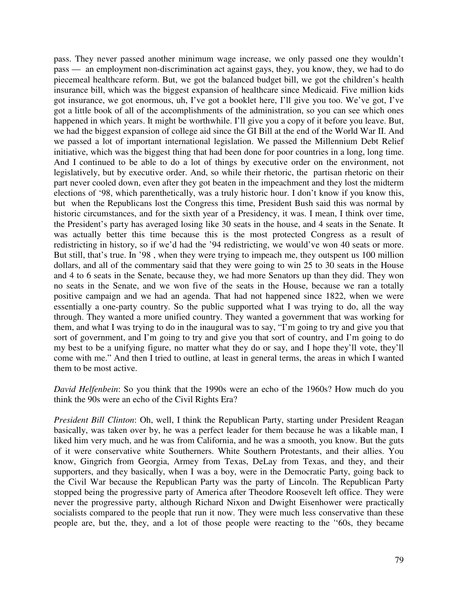pass. They never passed another minimum wage increase, we only passed one they wouldn't pass — an employment non-discrimination act against gays, they, you know, they, we had to do piecemeal healthcare reform. But, we got the balanced budget bill, we got the children's health insurance bill, which was the biggest expansion of healthcare since Medicaid. Five million kids got insurance, we got enormous, uh, I've got a booklet here, I'll give you too. We've got, I've got a little book of all of the accomplishments of the administration, so you can see which ones happened in which years. It might be worthwhile. I'll give you a copy of it before you leave. But, we had the biggest expansion of college aid since the GI Bill at the end of the World War II. And we passed a lot of important international legislation. We passed the Millennium Debt Relief initiative, which was the biggest thing that had been done for poor countries in a long, long time. And I continued to be able to do a lot of things by executive order on the environment, not legislatively, but by executive order. And, so while their rhetoric, the partisan rhetoric on their part never cooled down, even after they got beaten in the impeachment and they lost the midterm elections of '98, which parenthetically, was a truly historic hour. I don't know if you know this, but when the Republicans lost the Congress this time, President Bush said this was normal by historic circumstances, and for the sixth year of a Presidency, it was. I mean, I think over time, the President's party has averaged losing like 30 seats in the house, and 4 seats in the Senate. It was actually better this time because this is the most protected Congress as a result of redistricting in history, so if we'd had the '94 redistricting, we would've won 40 seats or more. But still, that's true. In '98 , when they were trying to impeach me, they outspent us 100 million dollars, and all of the commentary said that they were going to win 25 to 30 seats in the House and 4 to 6 seats in the Senate, because they, we had more Senators up than they did. They won no seats in the Senate, and we won five of the seats in the House, because we ran a totally positive campaign and we had an agenda. That had not happened since 1822, when we were essentially a one-party country. So the public supported what I was trying to do, all the way through. They wanted a more unified country. They wanted a government that was working for them, and what I was trying to do in the inaugural was to say, "I'm going to try and give you that sort of government, and I'm going to try and give you that sort of country, and I'm going to do my best to be a unifying figure, no matter what they do or say, and I hope they'll vote, they'll come with me." And then I tried to outline, at least in general terms, the areas in which I wanted them to be most active.

*David Helfenbein*: So you think that the 1990s were an echo of the 1960s? How much do you think the 90s were an echo of the Civil Rights Era?

*President Bill Clinton*: Oh, well, I think the Republican Party, starting under President Reagan basically, was taken over by, he was a perfect leader for them because he was a likable man, I liked him very much, and he was from California, and he was a smooth, you know. But the guts of it were conservative white Southerners. White Southern Protestants, and their allies. You know, Gingrich from Georgia, Armey from Texas, DeLay from Texas, and they, and their supporters, and they basically, when I was a boy, were in the Democratic Party, going back to the Civil War because the Republican Party was the party of Lincoln. The Republican Party stopped being the progressive party of America after Theodore Roosevelt left office. They were never the progressive party, although Richard Nixon and Dwight Eisenhower were practically socialists compared to the people that run it now. They were much less conservative than these people are, but the, they, and a lot of those people were reacting to the ''60s, they became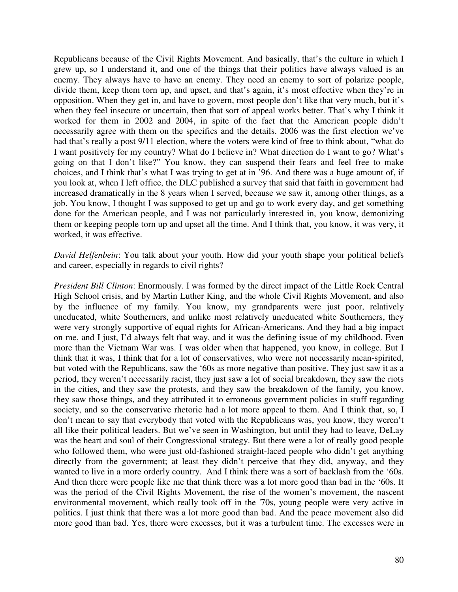Republicans because of the Civil Rights Movement. And basically, that's the culture in which I grew up, so I understand it, and one of the things that their politics have always valued is an enemy. They always have to have an enemy. They need an enemy to sort of polarize people, divide them, keep them torn up, and upset, and that's again, it's most effective when they're in opposition. When they get in, and have to govern, most people don't like that very much, but it's when they feel insecure or uncertain, then that sort of appeal works better. That's why I think it worked for them in 2002 and 2004, in spite of the fact that the American people didn't necessarily agree with them on the specifics and the details. 2006 was the first election we've had that's really a post 9/11 election, where the voters were kind of free to think about, "what do I want positively for my country? What do I believe in? What direction do I want to go? What's going on that I don't like?" You know, they can suspend their fears and feel free to make choices, and I think that's what I was trying to get at in '96. And there was a huge amount of, if you look at, when I left office, the DLC published a survey that said that faith in government had increased dramatically in the 8 years when I served, because we saw it, among other things, as a job. You know, I thought I was supposed to get up and go to work every day, and get something done for the American people, and I was not particularly interested in, you know, demonizing them or keeping people torn up and upset all the time. And I think that, you know, it was very, it worked, it was effective.

*David Helfenbein*: You talk about your youth. How did your youth shape your political beliefs and career, especially in regards to civil rights?

*President Bill Clinton*: Enormously. I was formed by the direct impact of the Little Rock Central High School crisis, and by Martin Luther King, and the whole Civil Rights Movement, and also by the influence of my family. You know, my grandparents were just poor, relatively uneducated, white Southerners, and unlike most relatively uneducated white Southerners, they were very strongly supportive of equal rights for African-Americans. And they had a big impact on me, and I just, I'd always felt that way, and it was the defining issue of my childhood. Even more than the Vietnam War was. I was older when that happened, you know, in college. But I think that it was, I think that for a lot of conservatives, who were not necessarily mean-spirited, but voted with the Republicans, saw the '60s as more negative than positive. They just saw it as a period, they weren't necessarily racist, they just saw a lot of social breakdown, they saw the riots in the cities, and they saw the protests, and they saw the breakdown of the family, you know, they saw those things, and they attributed it to erroneous government policies in stuff regarding society, and so the conservative rhetoric had a lot more appeal to them. And I think that, so, I don't mean to say that everybody that voted with the Republicans was, you know, they weren't all like their political leaders. But we've seen in Washington, but until they had to leave, DeLay was the heart and soul of their Congressional strategy. But there were a lot of really good people who followed them, who were just old-fashioned straight-laced people who didn't get anything directly from the government; at least they didn't perceive that they did, anyway, and they wanted to live in a more orderly country. And I think there was a sort of backlash from the '60s. And then there were people like me that think there was a lot more good than bad in the '60s. It was the period of the Civil Rights Movement, the rise of the women's movement, the nascent environmental movement, which really took off in the '70s, young people were very active in politics. I just think that there was a lot more good than bad. And the peace movement also did more good than bad. Yes, there were excesses, but it was a turbulent time. The excesses were in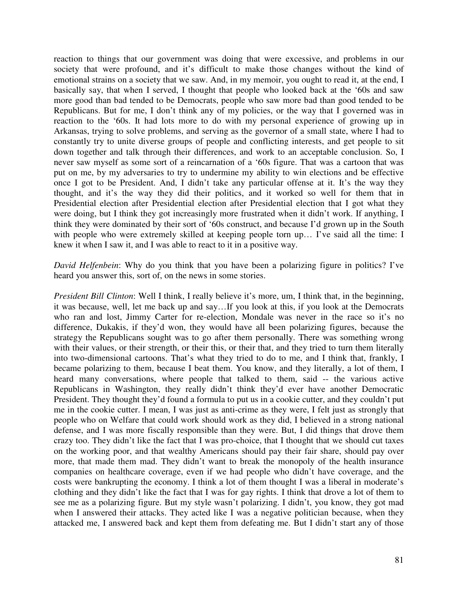reaction to things that our government was doing that were excessive, and problems in our society that were profound, and it's difficult to make those changes without the kind of emotional strains on a society that we saw. And, in my memoir, you ought to read it, at the end, I basically say, that when I served, I thought that people who looked back at the '60s and saw more good than bad tended to be Democrats, people who saw more bad than good tended to be Republicans. But for me, I don't think any of my policies, or the way that I governed was in reaction to the '60s. It had lots more to do with my personal experience of growing up in Arkansas, trying to solve problems, and serving as the governor of a small state, where I had to constantly try to unite diverse groups of people and conflicting interests, and get people to sit down together and talk through their differences, and work to an acceptable conclusion. So, I never saw myself as some sort of a reincarnation of a '60s figure. That was a cartoon that was put on me, by my adversaries to try to undermine my ability to win elections and be effective once I got to be President. And, I didn't take any particular offense at it. It's the way they thought, and it's the way they did their politics, and it worked so well for them that in Presidential election after Presidential election after Presidential election that I got what they were doing, but I think they got increasingly more frustrated when it didn't work. If anything, I think they were dominated by their sort of '60s construct, and because I'd grown up in the South with people who were extremely skilled at keeping people torn up… I've said all the time: I knew it when I saw it, and I was able to react to it in a positive way.

*David Helfenbein*: Why do you think that you have been a polarizing figure in politics? I've heard you answer this, sort of, on the news in some stories.

*President Bill Clinton*: Well I think, I really believe it's more, um, I think that, in the beginning, it was because, well, let me back up and say…If you look at this, if you look at the Democrats who ran and lost, Jimmy Carter for re-election, Mondale was never in the race so it's no difference, Dukakis, if they'd won, they would have all been polarizing figures, because the strategy the Republicans sought was to go after them personally. There was something wrong with their values, or their strength, or their this, or their that, and they tried to turn them literally into two-dimensional cartoons. That's what they tried to do to me, and I think that, frankly, I became polarizing to them, because I beat them. You know, and they literally, a lot of them, I heard many conversations, where people that talked to them, said -- the various active Republicans in Washington, they really didn't think they'd ever have another Democratic President. They thought they'd found a formula to put us in a cookie cutter, and they couldn't put me in the cookie cutter. I mean, I was just as anti-crime as they were, I felt just as strongly that people who on Welfare that could work should work as they did, I believed in a strong national defense, and I was more fiscally responsible than they were. But, I did things that drove them crazy too. They didn't like the fact that I was pro-choice, that I thought that we should cut taxes on the working poor, and that wealthy Americans should pay their fair share, should pay over more, that made them mad. They didn't want to break the monopoly of the health insurance companies on healthcare coverage, even if we had people who didn't have coverage, and the costs were bankrupting the economy. I think a lot of them thought I was a liberal in moderate's clothing and they didn't like the fact that I was for gay rights. I think that drove a lot of them to see me as a polarizing figure. But my style wasn't polarizing. I didn't, you know, they got mad when I answered their attacks. They acted like I was a negative politician because, when they attacked me, I answered back and kept them from defeating me. But I didn't start any of those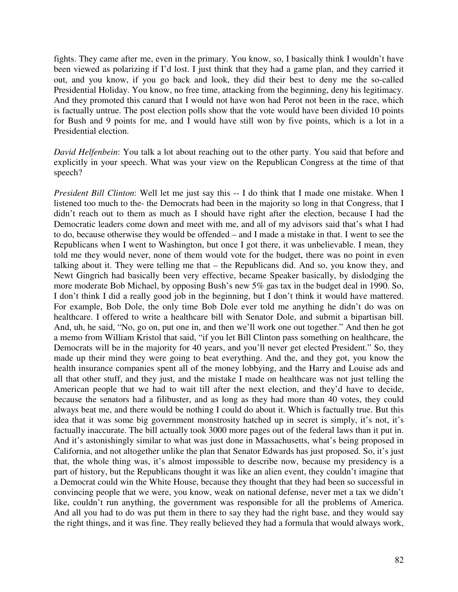fights. They came after me, even in the primary. You know, so, I basically think I wouldn't have been viewed as polarizing if I'd lost. I just think that they had a game plan, and they carried it out, and you know, if you go back and look, they did their best to deny me the so-called Presidential Holiday. You know, no free time, attacking from the beginning, deny his legitimacy. And they promoted this canard that I would not have won had Perot not been in the race, which is factually untrue. The post election polls show that the vote would have been divided 10 points for Bush and 9 points for me, and I would have still won by five points, which is a lot in a Presidential election.

*David Helfenbein*: You talk a lot about reaching out to the other party. You said that before and explicitly in your speech. What was your view on the Republican Congress at the time of that speech?

*President Bill Clinton*: Well let me just say this -- I do think that I made one mistake. When I listened too much to the- the Democrats had been in the majority so long in that Congress, that I didn't reach out to them as much as I should have right after the election, because I had the Democratic leaders come down and meet with me, and all of my advisors said that's what I had to do, because otherwise they would be offended *–* and I made a mistake in that. I went to see the Republicans when I went to Washington, but once I got there, it was unbelievable. I mean, they told me they would never, none of them would vote for the budget, there was no point in even talking about it. They were telling me that *–* the Republicans did. And so, you know they, and Newt Gingrich had basically been very effective, became Speaker basically, by dislodging the more moderate Bob Michael, by opposing Bush's new 5% gas tax in the budget deal in 1990. So, I don't think I did a really good job in the beginning, but I don't think it would have mattered. For example, Bob Dole, the only time Bob Dole ever told me anything he didn't do was on healthcare. I offered to write a healthcare bill with Senator Dole, and submit a bipartisan bill. And, uh, he said, "No, go on, put one in, and then we'll work one out together." And then he got a memo from William Kristol that said, "if you let Bill Clinton pass something on healthcare, the Democrats will be in the majority for 40 years, and you'll never get elected President." So, they made up their mind they were going to beat everything. And the, and they got, you know the health insurance companies spent all of the money lobbying, and the Harry and Louise ads and all that other stuff, and they just, and the mistake I made on healthcare was not just telling the American people that we had to wait till after the next election, and they'd have to decide, because the senators had a filibuster, and as long as they had more than 40 votes, they could always beat me, and there would be nothing I could do about it. Which is factually true. But this idea that it was some big government monstrosity hatched up in secret is simply, it's not, it's factually inaccurate. The bill actually took 3000 more pages out of the federal laws than it put in. And it's astonishingly similar to what was just done in Massachusetts, what's being proposed in California, and not altogether unlike the plan that Senator Edwards has just proposed. So, it's just that, the whole thing was, it's almost impossible to describe now, because my presidency is a part of history, but the Republicans thought it was like an alien event, they couldn't imagine that a Democrat could win the White House, because they thought that they had been so successful in convincing people that we were, you know, weak on national defense, never met a tax we didn't like, couldn't run anything, the government was responsible for all the problems of America. And all you had to do was put them in there to say they had the right base, and they would say the right things, and it was fine. They really believed they had a formula that would always work,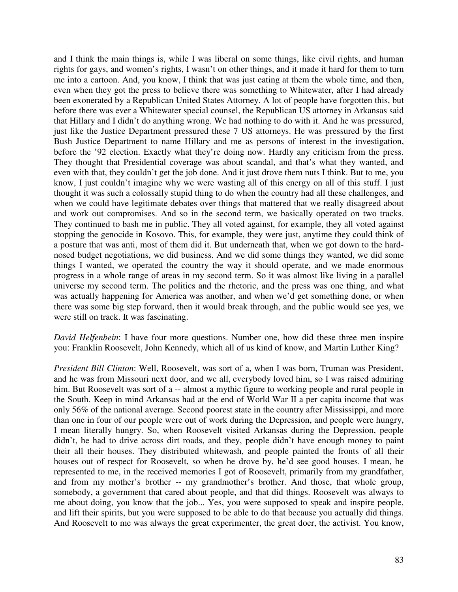and I think the main things is, while I was liberal on some things, like civil rights, and human rights for gays, and women's rights, I wasn't on other things, and it made it hard for them to turn me into a cartoon. And, you know, I think that was just eating at them the whole time, and then, even when they got the press to believe there was something to Whitewater, after I had already been exonerated by a Republican United States Attorney. A lot of people have forgotten this, but before there was ever a Whitewater special counsel, the Republican US attorney in Arkansas said that Hillary and I didn't do anything wrong. We had nothing to do with it. And he was pressured, just like the Justice Department pressured these 7 US attorneys. He was pressured by the first Bush Justice Department to name Hillary and me as persons of interest in the investigation, before the '92 election. Exactly what they're doing now. Hardly any criticism from the press. They thought that Presidential coverage was about scandal, and that's what they wanted, and even with that, they couldn't get the job done. And it just drove them nuts I think. But to me, you know, I just couldn't imagine why we were wasting all of this energy on all of this stuff. I just thought it was such a colossally stupid thing to do when the country had all these challenges, and when we could have legitimate debates over things that mattered that we really disagreed about and work out compromises. And so in the second term, we basically operated on two tracks. They continued to bash me in public. They all voted against, for example, they all voted against stopping the genocide in Kosovo. This, for example, they were just, anytime they could think of a posture that was anti, most of them did it. But underneath that, when we got down to the hardnosed budget negotiations, we did business. And we did some things they wanted, we did some things I wanted, we operated the country the way it should operate, and we made enormous progress in a whole range of areas in my second term. So it was almost like living in a parallel universe my second term. The politics and the rhetoric, and the press was one thing, and what was actually happening for America was another, and when we'd get something done, or when there was some big step forward, then it would break through, and the public would see yes, we were still on track. It was fascinating.

*David Helfenbein*: I have four more questions. Number one, how did these three men inspire you: Franklin Roosevelt, John Kennedy, which all of us kind of know, and Martin Luther King?

*President Bill Clinton*: Well, Roosevelt, was sort of a, when I was born, Truman was President, and he was from Missouri next door, and we all, everybody loved him, so I was raised admiring him. But Roosevelt was sort of a -- almost a mythic figure to working people and rural people in the South. Keep in mind Arkansas had at the end of World War II a per capita income that was only 56% of the national average. Second poorest state in the country after Mississippi, and more than one in four of our people were out of work during the Depression, and people were hungry, I mean literally hungry. So, when Roosevelt visited Arkansas during the Depression, people didn't, he had to drive across dirt roads, and they, people didn't have enough money to paint their all their houses. They distributed whitewash, and people painted the fronts of all their houses out of respect for Roosevelt, so when he drove by, he'd see good houses. I mean, he represented to me, in the received memories I got of Roosevelt, primarily from my grandfather, and from my mother's brother -- my grandmother's brother. And those, that whole group, somebody, a government that cared about people, and that did things. Roosevelt was always to me about doing, you know that the job... Yes, you were supposed to speak and inspire people, and lift their spirits, but you were supposed to be able to do that because you actually did things. And Roosevelt to me was always the great experimenter, the great doer, the activist. You know,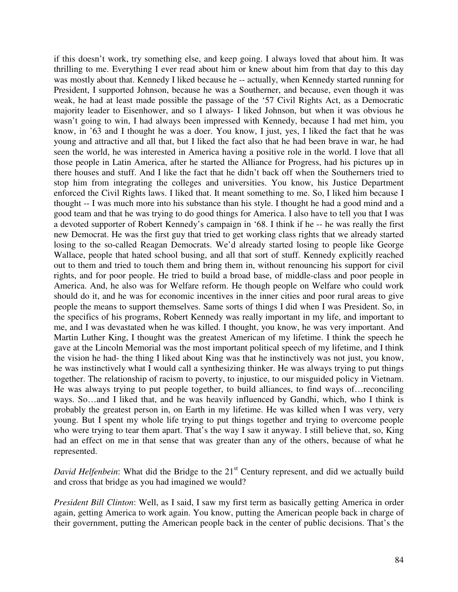if this doesn't work, try something else, and keep going. I always loved that about him. It was thrilling to me. Everything I ever read about him or knew about him from that day to this day was mostly about that. Kennedy I liked because he -- actually, when Kennedy started running for President, I supported Johnson, because he was a Southerner, and because, even though it was weak, he had at least made possible the passage of the '57 Civil Rights Act, as a Democratic majority leader to Eisenhower, and so I always- I liked Johnson, but when it was obvious he wasn't going to win, I had always been impressed with Kennedy, because I had met him, you know, in '63 and I thought he was a doer. You know, I just, yes, I liked the fact that he was young and attractive and all that, but I liked the fact also that he had been brave in war, he had seen the world, he was interested in America having a positive role in the world. I love that all those people in Latin America, after he started the Alliance for Progress, had his pictures up in there houses and stuff. And I like the fact that he didn't back off when the Southerners tried to stop him from integrating the colleges and universities. You know, his Justice Department enforced the Civil Rights laws. I liked that. It meant something to me. So, I liked him because I thought -- I was much more into his substance than his style. I thought he had a good mind and a good team and that he was trying to do good things for America. I also have to tell you that I was a devoted supporter of Robert Kennedy's campaign in '68. I think if he -- he was really the first new Democrat. He was the first guy that tried to get working class rights that we already started losing to the so-called Reagan Democrats. We'd already started losing to people like George Wallace, people that hated school busing, and all that sort of stuff. Kennedy explicitly reached out to them and tried to touch them and bring them in, without renouncing his support for civil rights, and for poor people. He tried to build a broad base, of middle-class and poor people in America. And, he also was for Welfare reform. He though people on Welfare who could work should do it, and he was for economic incentives in the inner cities and poor rural areas to give people the means to support themselves. Same sorts of things I did when I was President. So, in the specifics of his programs, Robert Kennedy was really important in my life, and important to me, and I was devastated when he was killed. I thought, you know, he was very important. And Martin Luther King, I thought was the greatest American of my lifetime. I think the speech he gave at the Lincoln Memorial was the most important political speech of my lifetime, and I think the vision he had- the thing I liked about King was that he instinctively was not just, you know, he was instinctively what I would call a synthesizing thinker. He was always trying to put things together. The relationship of racism to poverty, to injustice, to our misguided policy in Vietnam. He was always trying to put people together, to build alliances, to find ways of…reconciling ways. So…and I liked that, and he was heavily influenced by Gandhi, which, who I think is probably the greatest person in, on Earth in my lifetime. He was killed when I was very, very young. But I spent my whole life trying to put things together and trying to overcome people who were trying to tear them apart. That's the way I saw it anyway. I still believe that, so, King had an effect on me in that sense that was greater than any of the others, because of what he represented.

*David Helfenbein*: What did the Bridge to the 21<sup>st</sup> Century represent, and did we actually build and cross that bridge as you had imagined we would?

*President Bill Clinton*: Well, as I said, I saw my first term as basically getting America in order again, getting America to work again. You know, putting the American people back in charge of their government, putting the American people back in the center of public decisions. That's the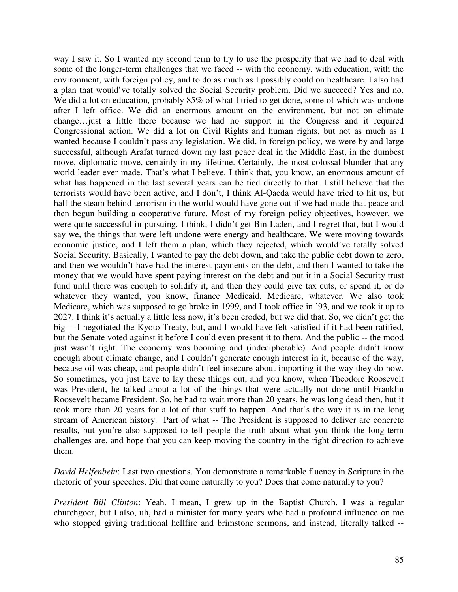way I saw it. So I wanted my second term to try to use the prosperity that we had to deal with some of the longer-term challenges that we faced -- with the economy, with education, with the environment, with foreign policy, and to do as much as I possibly could on healthcare. I also had a plan that would've totally solved the Social Security problem. Did we succeed? Yes and no. We did a lot on education, probably 85% of what I tried to get done, some of which was undone after I left office. We did an enormous amount on the environment, but not on climate change…just a little there because we had no support in the Congress and it required Congressional action. We did a lot on Civil Rights and human rights, but not as much as I wanted because I couldn't pass any legislation. We did, in foreign policy, we were by and large successful, although Arafat turned down my last peace deal in the Middle East, in the dumbest move, diplomatic move, certainly in my lifetime. Certainly, the most colossal blunder that any world leader ever made. That's what I believe. I think that, you know, an enormous amount of what has happened in the last several years can be tied directly to that. I still believe that the terrorists would have been active, and I don't, I think Al-Qaeda would have tried to hit us, but half the steam behind terrorism in the world would have gone out if we had made that peace and then begun building a cooperative future. Most of my foreign policy objectives, however, we were quite successful in pursuing. I think, I didn't get Bin Laden, and I regret that, but I would say we, the things that were left undone were energy and healthcare. We were moving towards economic justice, and I left them a plan, which they rejected, which would've totally solved Social Security. Basically, I wanted to pay the debt down, and take the public debt down to zero, and then we wouldn't have had the interest payments on the debt, and then I wanted to take the money that we would have spent paying interest on the debt and put it in a Social Security trust fund until there was enough to solidify it, and then they could give tax cuts, or spend it, or do whatever they wanted, you know, finance Medicaid, Medicare, whatever. We also took Medicare, which was supposed to go broke in 1999, and I took office in '93, and we took it up to 2027. I think it's actually a little less now, it's been eroded, but we did that. So, we didn't get the big -- I negotiated the Kyoto Treaty, but, and I would have felt satisfied if it had been ratified, but the Senate voted against it before I could even present it to them. And the public -- the mood just wasn't right. The economy was booming and (indecipherable). And people didn't know enough about climate change, and I couldn't generate enough interest in it, because of the way, because oil was cheap, and people didn't feel insecure about importing it the way they do now. So sometimes, you just have to lay these things out, and you know, when Theodore Roosevelt was President, he talked about a lot of the things that were actually not done until Franklin Roosevelt became President. So, he had to wait more than 20 years, he was long dead then, but it took more than 20 years for a lot of that stuff to happen. And that's the way it is in the long stream of American history. Part of what -- The President is supposed to deliver are concrete results, but you're also supposed to tell people the truth about what you think the long-term challenges are, and hope that you can keep moving the country in the right direction to achieve them.

*David Helfenbein*: Last two questions. You demonstrate a remarkable fluency in Scripture in the rhetoric of your speeches. Did that come naturally to you? Does that come naturally to you?

*President Bill Clinton*: Yeah. I mean, I grew up in the Baptist Church. I was a regular churchgoer, but I also, uh, had a minister for many years who had a profound influence on me who stopped giving traditional hellfire and brimstone sermons, and instead, literally talked --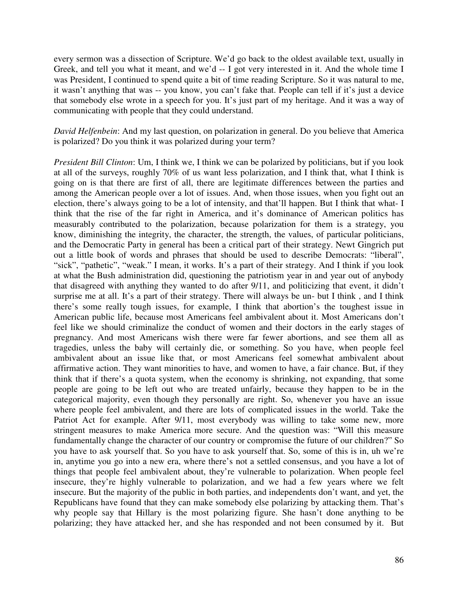every sermon was a dissection of Scripture. We'd go back to the oldest available text, usually in Greek, and tell you what it meant, and we'd -- I got very interested in it. And the whole time I was President, I continued to spend quite a bit of time reading Scripture. So it was natural to me, it wasn't anything that was -- you know, you can't fake that. People can tell if it's just a device that somebody else wrote in a speech for you. It's just part of my heritage. And it was a way of communicating with people that they could understand.

*David Helfenbein*: And my last question, on polarization in general. Do you believe that America is polarized? Do you think it was polarized during your term?

*President Bill Clinton*: Um, I think we, I think we can be polarized by politicians, but if you look at all of the surveys, roughly 70% of us want less polarization, and I think that, what I think is going on is that there are first of all, there are legitimate differences between the parties and among the American people over a lot of issues. And, when those issues, when you fight out an election, there's always going to be a lot of intensity, and that'll happen. But I think that what- I think that the rise of the far right in America, and it's dominance of American politics has measurably contributed to the polarization, because polarization for them is a strategy, you know, diminishing the integrity, the character, the strength, the values, of particular politicians, and the Democratic Party in general has been a critical part of their strategy. Newt Gingrich put out a little book of words and phrases that should be used to describe Democrats: "liberal", "sick", "pathetic", "weak." I mean, it works. It's a part of their strategy. And I think if you look at what the Bush administration did, questioning the patriotism year in and year out of anybody that disagreed with anything they wanted to do after 9/11, and politicizing that event, it didn't surprise me at all. It's a part of their strategy. There will always be un- but I think, and I think there's some really tough issues, for example, I think that abortion's the toughest issue in American public life, because most Americans feel ambivalent about it. Most Americans don't feel like we should criminalize the conduct of women and their doctors in the early stages of pregnancy. And most Americans wish there were far fewer abortions, and see them all as tragedies, unless the baby will certainly die, or something. So you have, when people feel ambivalent about an issue like that, or most Americans feel somewhat ambivalent about affirmative action. They want minorities to have, and women to have, a fair chance. But, if they think that if there's a quota system, when the economy is shrinking, not expanding, that some people are going to be left out who are treated unfairly, because they happen to be in the categorical majority, even though they personally are right. So, whenever you have an issue where people feel ambivalent, and there are lots of complicated issues in the world. Take the Patriot Act for example. After 9/11, most everybody was willing to take some new, more stringent measures to make America more secure. And the question was: "Will this measure fundamentally change the character of our country or compromise the future of our children?" So you have to ask yourself that. So you have to ask yourself that. So, some of this is in, uh we're in, anytime you go into a new era, where there's not a settled consensus, and you have a lot of things that people feel ambivalent about, they're vulnerable to polarization. When people feel insecure, they're highly vulnerable to polarization, and we had a few years where we felt insecure. But the majority of the public in both parties, and independents don't want, and yet, the Republicans have found that they can make somebody else polarizing by attacking them. That's why people say that Hillary is the most polarizing figure. She hasn't done anything to be polarizing; they have attacked her, and she has responded and not been consumed by it. But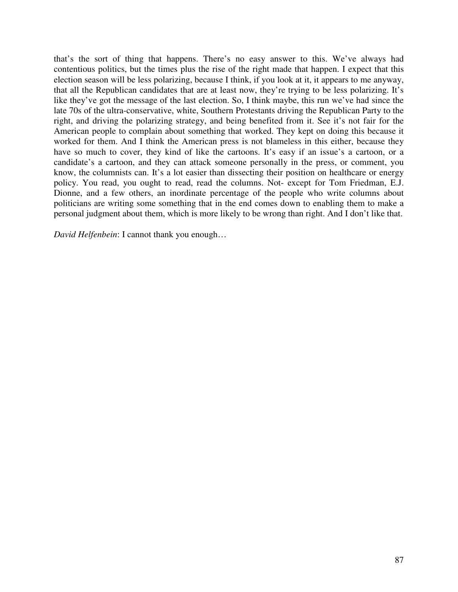that's the sort of thing that happens. There's no easy answer to this. We've always had contentious politics, but the times plus the rise of the right made that happen. I expect that this election season will be less polarizing, because I think, if you look at it, it appears to me anyway, that all the Republican candidates that are at least now, they're trying to be less polarizing. It's like they've got the message of the last election. So, I think maybe, this run we've had since the late 70s of the ultra-conservative, white, Southern Protestants driving the Republican Party to the right, and driving the polarizing strategy, and being benefited from it. See it's not fair for the American people to complain about something that worked. They kept on doing this because it worked for them. And I think the American press is not blameless in this either, because they have so much to cover, they kind of like the cartoons. It's easy if an issue's a cartoon, or a candidate's a cartoon, and they can attack someone personally in the press, or comment, you know, the columnists can. It's a lot easier than dissecting their position on healthcare or energy policy. You read, you ought to read, read the columns. Not- except for Tom Friedman, E.J. Dionne, and a few others, an inordinate percentage of the people who write columns about politicians are writing some something that in the end comes down to enabling them to make a personal judgment about them, which is more likely to be wrong than right. And I don't like that.

*David Helfenbein*: I cannot thank you enough…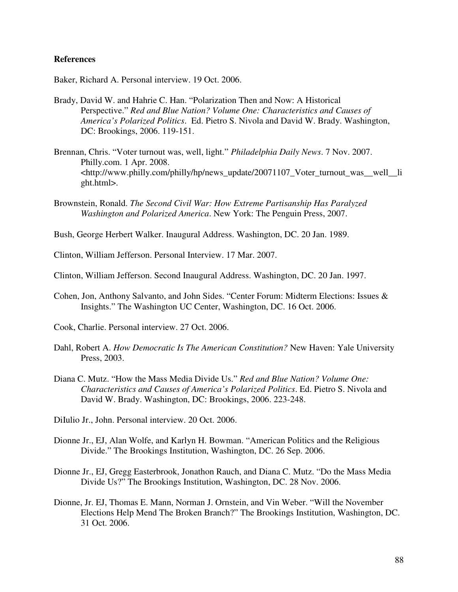## **References**

Baker, Richard A. Personal interview. 19 Oct. 2006.

- Brady, David W. and Hahrie C. Han. "Polarization Then and Now: A Historical Perspective." *Red and Blue Nation? Volume One: Characteristics and Causes of America's Polarized Politics*. Ed. Pietro S. Nivola and David W. Brady. Washington, DC: Brookings, 2006. 119-151.
- Brennan, Chris. "Voter turnout was, well, light." *Philadelphia Daily News*. 7 Nov. 2007. Philly.com. 1 Apr. 2008. <http://www.philly.com/philly/hp/news\_update/20071107\_Voter\_turnout\_was\_\_well\_\_li ght.html>.
- Brownstein, Ronald. *The Second Civil War: How Extreme Partisanship Has Paralyzed Washington and Polarized America*. New York: The Penguin Press, 2007.
- Bush, George Herbert Walker. Inaugural Address. Washington, DC. 20 Jan. 1989.
- Clinton, William Jefferson. Personal Interview. 17 Mar. 2007.
- Clinton, William Jefferson. Second Inaugural Address. Washington, DC. 20 Jan. 1997.
- Cohen, Jon, Anthony Salvanto, and John Sides. "Center Forum: Midterm Elections: Issues & Insights." The Washington UC Center, Washington, DC. 16 Oct. 2006.
- Cook, Charlie. Personal interview. 27 Oct. 2006.
- Dahl, Robert A. *How Democratic Is The American Constitution?* New Haven: Yale University Press, 2003.
- Diana C. Mutz. "How the Mass Media Divide Us." *Red and Blue Nation? Volume One: Characteristics and Causes of America's Polarized Politics*. Ed. Pietro S. Nivola and David W. Brady. Washington, DC: Brookings, 2006. 223-248.
- DiIulio Jr., John. Personal interview. 20 Oct. 2006.
- Dionne Jr., EJ, Alan Wolfe, and Karlyn H. Bowman. "American Politics and the Religious Divide." The Brookings Institution, Washington, DC. 26 Sep. 2006.
- Dionne Jr., EJ, Gregg Easterbrook, Jonathon Rauch, and Diana C. Mutz. "Do the Mass Media Divide Us?" The Brookings Institution, Washington, DC. 28 Nov. 2006.
- Dionne, Jr. EJ, Thomas E. Mann, Norman J. Ornstein, and Vin Weber. "Will the November Elections Help Mend The Broken Branch?" The Brookings Institution, Washington, DC. 31 Oct. 2006.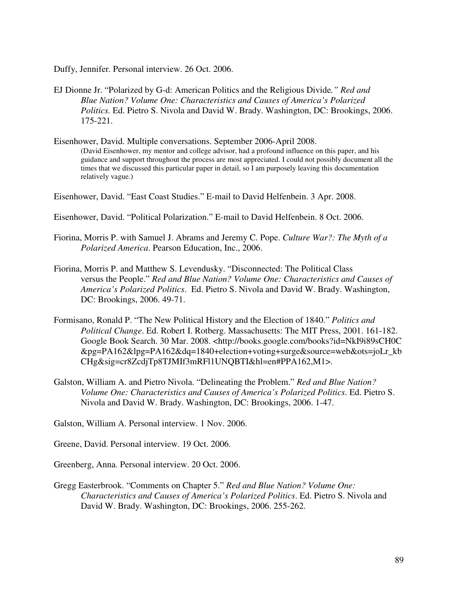Duffy, Jennifer. Personal interview. 26 Oct. 2006.

- EJ Dionne Jr. "Polarized by G-d: American Politics and the Religious Divide*." Red and Blue Nation? Volume One: Characteristics and Causes of America's Polarized Politics.* Ed. Pietro S. Nivola and David W. Brady. Washington, DC: Brookings, 2006. 175-221.
- Eisenhower, David. Multiple conversations. September 2006-April 2008. (David Eisenhower, my mentor and college advisor, had a profound influence on this paper, and his guidance and support throughout the process are most appreciated. I could not possibly document all the times that we discussed this particular paper in detail, so I am purposely leaving this documentation relatively vague.)

Eisenhower, David. "East Coast Studies." E-mail to David Helfenbein. 3 Apr. 2008.

- Eisenhower, David. "Political Polarization." E-mail to David Helfenbein. 8 Oct. 2006.
- Fiorina, Morris P. with Samuel J. Abrams and Jeremy C. Pope. *Culture War?: The Myth of a Polarized America*. Pearson Education, Inc., 2006.
- Fiorina, Morris P. and Matthew S. Levendusky. "Disconnected: The Political Class versus the People." *Red and Blue Nation? Volume One: Characteristics and Causes of America's Polarized Politics*. Ed. Pietro S. Nivola and David W. Brady. Washington, DC: Brookings, 2006. 49-71.
- Formisano, Ronald P. "The New Political History and the Election of 1840." *Politics and Political Change*. Ed. Robert I. Rotberg. Massachusetts: The MIT Press, 2001. 161-182. Google Book Search. 30 Mar. 2008. <http://books.google.com/books?id=NkI9i89sCH0C &pg=PA162&lpg=PA162&dq=1840+election+voting+surge&source=web&ots=joLr\_kb CHg&sig=cr8ZcdjTp8TJMIf3mRFl1UNQBTI&hl=en#PPA162,M1>.
- Galston, William A. and Pietro Nivola. "Delineating the Problem." *Red and Blue Nation? Volume One: Characteristics and Causes of America's Polarized Politics*. Ed. Pietro S. Nivola and David W. Brady. Washington, DC: Brookings, 2006. 1-47.

Galston, William A. Personal interview. 1 Nov. 2006.

Greene, David. Personal interview. 19 Oct. 2006.

Greenberg, Anna. Personal interview. 20 Oct. 2006.

Gregg Easterbrook. "Comments on Chapter 5." *Red and Blue Nation? Volume One: Characteristics and Causes of America's Polarized Politics*. Ed. Pietro S. Nivola and David W. Brady. Washington, DC: Brookings, 2006. 255-262.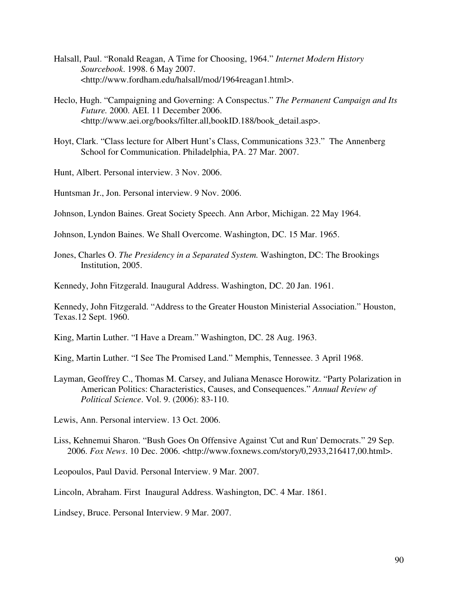- Halsall, Paul. "Ronald Reagan, A Time for Choosing, 1964." *Internet Modern History Sourcebook*. 1998. 6 May 2007. <http://www.fordham.edu/halsall/mod/1964reagan1.html>.
- Heclo, Hugh. "Campaigning and Governing: A Conspectus." *The Permanent Campaign and Its Future.* 2000. AEI. 11 December 2006. <http://www.aei.org/books/filter.all,bookID.188/book\_detail.asp>.
- Hoyt, Clark. "Class lecture for Albert Hunt's Class, Communications 323." The Annenberg School for Communication. Philadelphia, PA. 27 Mar. 2007.

Hunt, Albert. Personal interview. 3 Nov. 2006.

Huntsman Jr., Jon. Personal interview. 9 Nov. 2006.

Johnson, Lyndon Baines. Great Society Speech. Ann Arbor, Michigan. 22 May 1964.

Johnson, Lyndon Baines. We Shall Overcome. Washington, DC. 15 Mar. 1965.

Jones, Charles O. *The Presidency in a Separated System.* Washington, DC: The Brookings Institution, 2005.

Kennedy, John Fitzgerald. Inaugural Address. Washington, DC. 20 Jan. 1961.

Kennedy, John Fitzgerald. "Address to the Greater Houston Ministerial Association." Houston, Texas.12 Sept. 1960.

King, Martin Luther. "I Have a Dream." Washington, DC. 28 Aug. 1963.

King, Martin Luther. "I See The Promised Land." Memphis, Tennessee. 3 April 1968.

Layman, Geoffrey C., Thomas M. Carsey, and Juliana Menasce Horowitz. "Party Polarization in American Politics: Characteristics, Causes, and Consequences." *Annual Review of Political Science*. Vol. 9. (2006): 83-110.

Lewis, Ann. Personal interview. 13 Oct. 2006.

Liss, Kehnemui Sharon. "Bush Goes On Offensive Against 'Cut and Run' Democrats." 29 Sep. 2006. *Fox News*. 10 Dec. 2006. <http://www.foxnews.com/story/0,2933,216417,00.html>.

Leopoulos, Paul David. Personal Interview. 9 Mar. 2007.

Lincoln, Abraham. First Inaugural Address. Washington, DC. 4 Mar. 1861.

Lindsey, Bruce. Personal Interview. 9 Mar. 2007.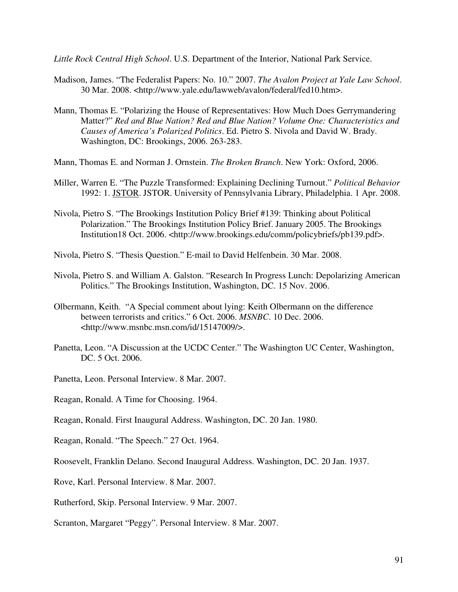*Little Rock Central High School*. U.S. Department of the Interior, National Park Service.

- Madison, James. "The Federalist Papers: No. 10." 2007. *The Avalon Project at Yale Law School*. 30 Mar. 2008. <http://www.yale.edu/lawweb/avalon/federal/fed10.htm>.
- Mann, Thomas E. "Polarizing the House of Representatives: How Much Does Gerrymandering Matter?" *Red and Blue Nation? Red and Blue Nation? Volume One: Characteristics and Causes of America's Polarized Politics*. Ed. Pietro S. Nivola and David W. Brady. Washington, DC: Brookings, 2006. 263-283.
- Mann, Thomas E. and Norman J. Ornstein. *The Broken Branch*. New York: Oxford, 2006.
- Miller, Warren E. "The Puzzle Transformed: Explaining Declining Turnout." *Political Behavior*  1992: 1. JSTOR. JSTOR. University of Pennsylvania Library, Philadelphia. 1 Apr. 2008.
- Nivola, Pietro S. "The Brookings Institution Policy Brief #139: Thinking about Political Polarization." The Brookings Institution Policy Brief. January 2005. The Brookings Institution18 Oct. 2006. <http://www.brookings.edu/comm/policybriefs/pb139.pdf>.
- Nivola, Pietro S. "Thesis Question." E-mail to David Helfenbein. 30 Mar. 2008.
- Nivola, Pietro S. and William A. Galston. "Research In Progress Lunch: Depolarizing American Politics." The Brookings Institution, Washington, DC. 15 Nov. 2006.
- Olbermann, Keith. "A Special comment about lying: Keith Olbermann on the difference between terrorists and critics." 6 Oct. 2006. *MSNBC*. 10 Dec. 2006. <http://www.msnbc.msn.com/id/15147009/>.
- Panetta, Leon. "A Discussion at the UCDC Center." The Washington UC Center, Washington, DC. 5 Oct. 2006.
- Panetta, Leon. Personal Interview. 8 Mar. 2007.
- Reagan, Ronald. A Time for Choosing. 1964.
- Reagan, Ronald. First Inaugural Address. Washington, DC. 20 Jan. 1980.
- Reagan, Ronald. "The Speech." 27 Oct. 1964.
- Roosevelt, Franklin Delano. Second Inaugural Address. Washington, DC. 20 Jan. 1937.
- Rove, Karl. Personal Interview. 8 Mar. 2007.
- Rutherford, Skip. Personal Interview. 9 Mar. 2007.
- Scranton, Margaret "Peggy". Personal Interview. 8 Mar. 2007.